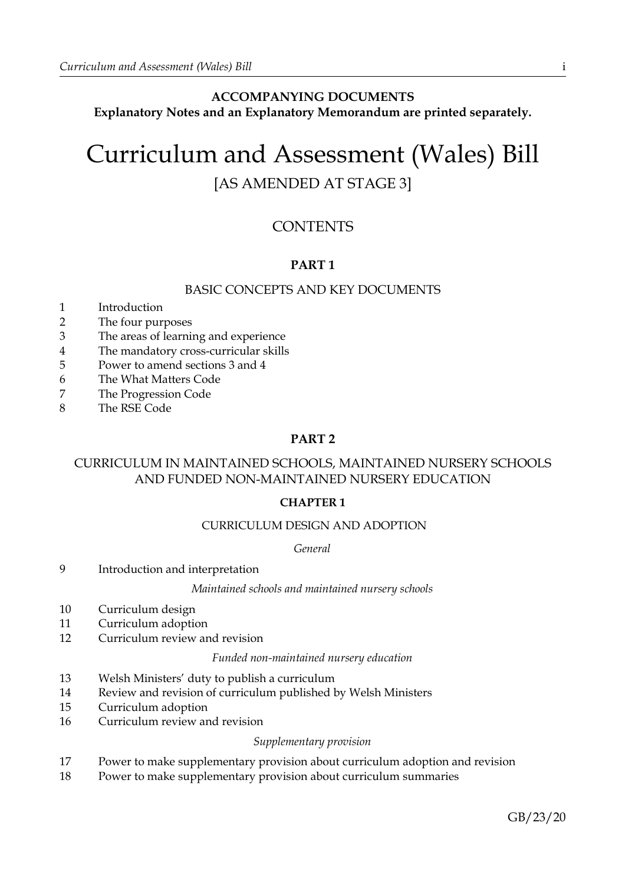# **ACCOMPANYING DOCUMENTS Explanatory Notes and an Explanatory Memorandum are printed separately.**

# Curriculum and Assessment (Wales) Bill [AS AMENDED AT STAGE 3]

# **CONTENTS**

# **PART 1**

# BASIC CONCEPTS AND KEY DOCUMENTS

- 1 Introduction
- 2 The four purposes
- 3 The areas of learning and experience
- 4 The mandatory cross-curricular skills
- 5 Power to amend sections 3 and 4
- 6 The What Matters Code
- 7 The Progression Code
- 8 The RSE Code

# **PART 2**

# CURRICULUM IN MAINTAINED SCHOOLS, MAINTAINED NURSERY SCHOOLS AND FUNDED NON-MAINTAINED NURSERY EDUCATION

# **CHAPTER 1**

# CURRICULUM DESIGN AND ADOPTION

*General*

9 Introduction and interpretation

*Maintained schools and maintained nursery schools*

- 10 Curriculum design
- 11 Curriculum adoption
- 12 Curriculum review and revision

### *Funded non-maintained nursery education*

- 13 Welsh Ministers' duty to publish a curriculum
- 14 Review and revision of curriculum published by Welsh Ministers
- 15 Curriculum adoption
- 16 Curriculum review and revision

### *Supplementary provision*

- 17 Power to make supplementary provision about curriculum adoption and revision
- 18 Power to make supplementary provision about curriculum summaries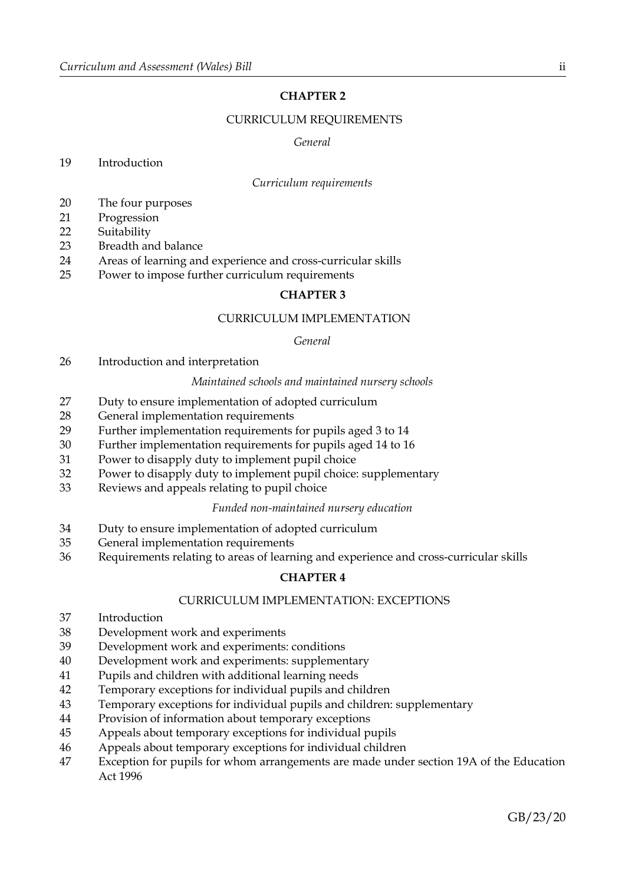# **CHAPTER 2**

# CURRICULUM REQUIREMENTS

#### *General*

### Introduction

#### *Curriculum requirements*

- The four purposes
- Progression
- Suitability
- Breadth and balance
- Areas of learning and experience and cross-curricular skills
- Power to impose further curriculum requirements

### **CHAPTER 3**

### CURRICULUM IMPLEMENTATION

#### *General*

Introduction and interpretation

#### *Maintained schools and maintained nursery schools*

- Duty to ensure implementation of adopted curriculum
- General implementation requirements
- Further implementation requirements for pupils aged 3 to 14
- Further implementation requirements for pupils aged 14 to 16
- Power to disapply duty to implement pupil choice
- Power to disapply duty to implement pupil choice: supplementary
- Reviews and appeals relating to pupil choice

#### *Funded non-maintained nursery education*

- Duty to ensure implementation of adopted curriculum
- General implementation requirements
- Requirements relating to areas of learning and experience and cross-curricular skills

### **CHAPTER 4**

### CURRICULUM IMPLEMENTATION: EXCEPTIONS

- Introduction
- Development work and experiments
- Development work and experiments: conditions
- Development work and experiments: supplementary
- Pupils and children with additional learning needs
- Temporary exceptions for individual pupils and children
- Temporary exceptions for individual pupils and children: supplementary
- Provision of information about temporary exceptions
- Appeals about temporary exceptions for individual pupils
- Appeals about temporary exceptions for individual children
- Exception for pupils for whom arrangements are made under section 19A of the Education Act 1996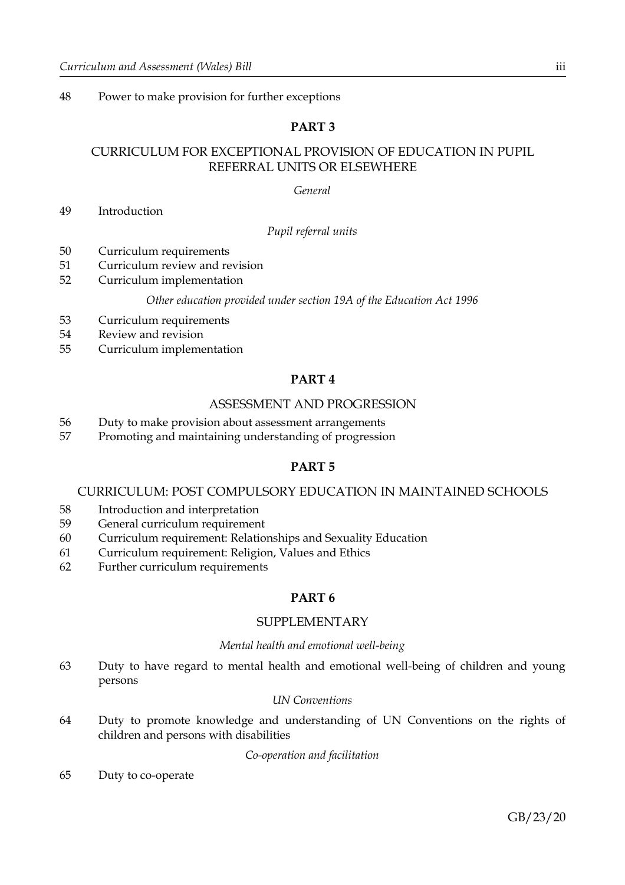48 Power to make provision for further exceptions

# **PART 3**

# CURRICULUM FOR EXCEPTIONAL PROVISION OF EDUCATION IN PUPIL REFERRAL UNITS OR ELSEWHERE

#### *General*

49 Introduction

### *Pupil referral units*

- 50 Curriculum requirements
- 51 Curriculum review and revision
- 52 Curriculum implementation

#### *Other education provided under section 19A of the Education Act 1996*

- 53 Curriculum requirements
- 54 Review and revision
- 55 Curriculum implementation

# **PART 4**

#### ASSESSMENT AND PROGRESSION

- 56 Duty to make provision about assessment arrangements
- 57 Promoting and maintaining understanding of progression

# **PART 5**

### CURRICULUM: POST COMPULSORY EDUCATION IN MAINTAINED SCHOOLS

- 58 Introduction and interpretation
- 59 General curriculum requirement
- 60 Curriculum requirement: Relationships and Sexuality Education
- 61 Curriculum requirement: Religion, Values and Ethics
- 62 Further curriculum requirements

# **PART 6**

### SUPPLEMENTARY

#### *Mental health and emotional well-being*

63 Duty to have regard to mental health and emotional well-being of children and young persons

# *UN Conventions*

64 Duty to promote knowledge and understanding of UN Conventions on the rights of children and persons with disabilities

#### *Co-operation and facilitation*

65 Duty to co-operate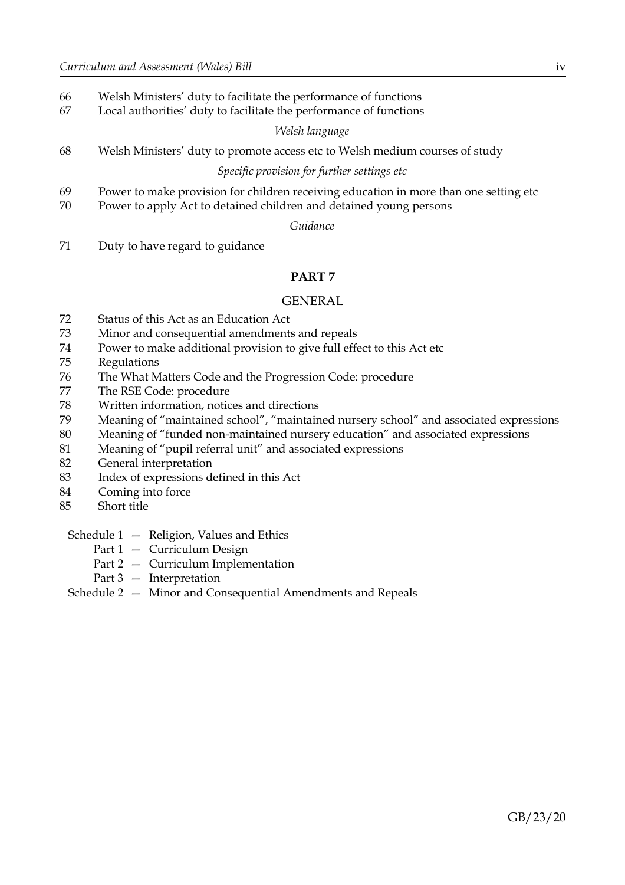- Welsh Ministers' duty to facilitate the performance of functions
- Local authorities' duty to facilitate the performance of functions

#### *Welsh language*

Welsh Ministers' duty to promote access etc to Welsh medium courses of study

# *Specific provision for further settings etc*

- Power to make provision for children receiving education in more than one setting etc
- Power to apply Act to detained children and detained young persons

#### *Guidance*

Duty to have regard to guidance

### **PART 7**

#### GENERAL

- Status of this Act as an Education Act
- Minor and consequential amendments and repeals
- Power to make additional provision to give full effect to this Act etc
- Regulations
- The What Matters Code and the Progression Code: procedure
- The RSE Code: procedure
- Written information, notices and directions
- Meaning of "maintained school", "maintained nursery school" and associated expressions
- Meaning of "funded non-maintained nursery education" and associated expressions
- Meaning of "pupil referral unit" and associated expressions
- General interpretation
- Index of expressions defined in this Act
- Coming into force
- Short title

#### Schedule 1 – Religion, Values and Ethics

- Part 1 Curriculum Design
- Part 2 Curriculum Implementation
- Part 3 Interpretation

# Schedule 2 — Minor and Consequential Amendments and Repeals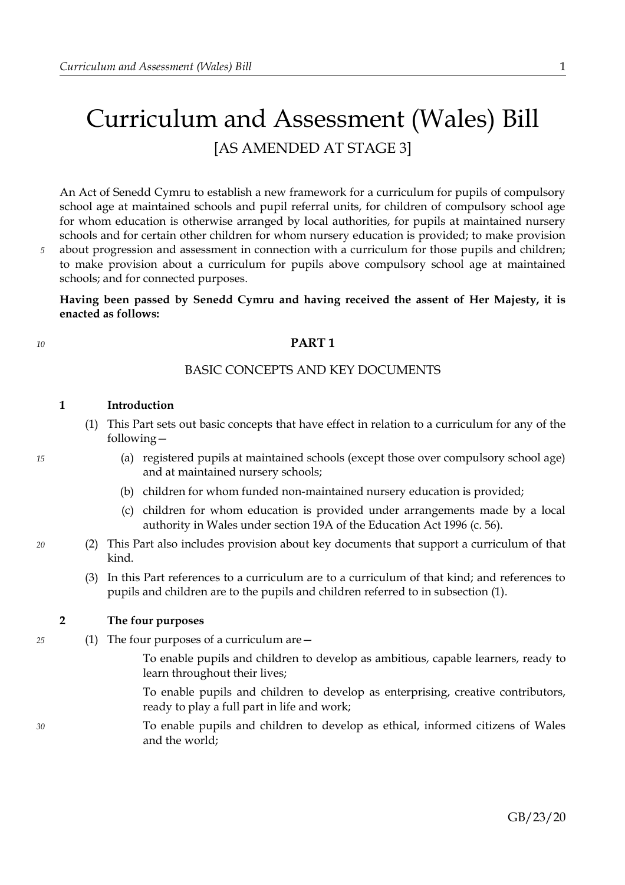# Curriculum and Assessment (Wales) Bill [AS AMENDED AT STAGE 3]

An Act of Senedd Cymru to establish a new framework for a curriculum for pupils of compulsory school age at maintained schools and pupil referral units, for children of compulsory school age for whom education is otherwise arranged by local authorities, for pupils at maintained nursery schools and for certain other children for whom nursery education is provided; to make provision about progression and assessment in connection with a curriculum for those pupils and children; to make provision about a curriculum for pupils above compulsory school age at maintained schools; and for connected purposes.

**Having been passed by Senedd Cymru and having received the assent of Her Majesty, it is enacted as follows:**

### **PART 1**

# BASIC CONCEPTS AND KEY DOCUMENTS

#### **1 Introduction**

- <span id="page-4-0"></span>(1) This Part sets out basic concepts that have effect in relation to a curriculum for any of the following—
	- (a) registered pupils at maintained schools (except those over compulsory school age) and at maintained nursery schools;
	- (b) children for whom funded non-maintained nursery education is provided;
	- (c) children for whom education is provided under arrangements made by a local authority in Wales under section 19A of the Education Act 1996 (c. 56).
- (2) This Part also includes provision about key documents that support a curriculum of that kind.
	- (3) In this Part references to a curriculum are to a curriculum of that kind; and references to pupils and children are to the pupils and children referred to in subsection [\(1\).](#page-4-0)

### <span id="page-4-2"></span>**2 The four purposes**

<span id="page-4-1"></span>(1) The four purposes of a curriculum are—

To enable pupils and children to develop as ambitious, capable learners, ready to learn throughout their lives;

To enable pupils and children to develop as enterprising, creative contributors, ready to play a full part in life and work;

To enable pupils and children to develop as ethical, informed citizens of Wales and the world;

GB/23/20

*10*

*5*

*15*

*20*

*25*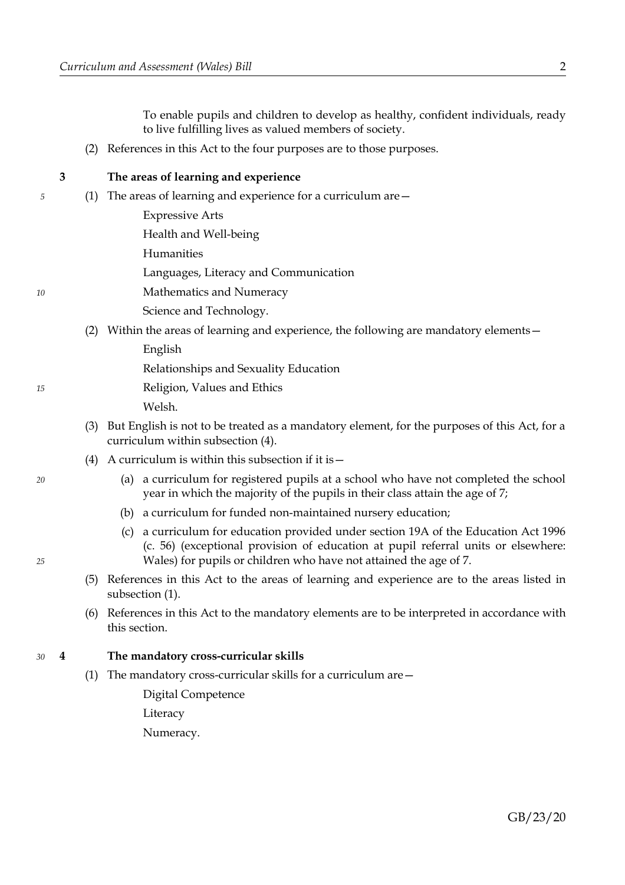To enable pupils and children to develop as healthy, confident individuals, ready to live fulfilling lives as valued members of society.

(2) References in this Act to the four purposes are to those purposes.

*5*

*10*

# <span id="page-5-2"></span>**3 The areas of learning and experience**

<span id="page-5-0"></span>(1) The areas of learning and experience for a curriculum are—

Expressive Arts

Health and Well-being

Humanities

Languages, Literacy and Communication

Mathematics and Numeracy

Science and Technology.

<span id="page-5-4"></span>(2) Within the areas of learning and experience, the following are mandatory elements—

English

Relationships and Sexuality Education

Religion, Values and Ethics

Welsh.

- (3) But English is not to be treated as a mandatory element, for the purposes of this Act, for a curriculum within subsection (4).
- (4) A curriculum is within this subsection if it is  $-$ 
	- (a) a curriculum for registered pupils at a school who have not completed the school year in which the majority of the pupils in their class attain the age of 7;
	- (b) a curriculum for funded non-maintained nursery education;
	- (c) a curriculum for education provided under section 19A of the Education Act 1996 (c. 56) (exceptional provision of education at pupil referral units or elsewhere: Wales) for pupils or children who have not attained the age of 7.
- (5) References in this Act to the areas of learning and experience are to the areas listed in subsection [\(1\).](#page-5-0)
- (6) References in this Act to the mandatory elements are to be interpreted in accordance with this section.

#### <span id="page-5-1"></span>**4 The mandatory cross-curricular skills** *30*

<span id="page-5-3"></span>(1) The mandatory cross-curricular skills for a curriculum are—

Digital Competence Literacy

Numeracy.

*20*

*25*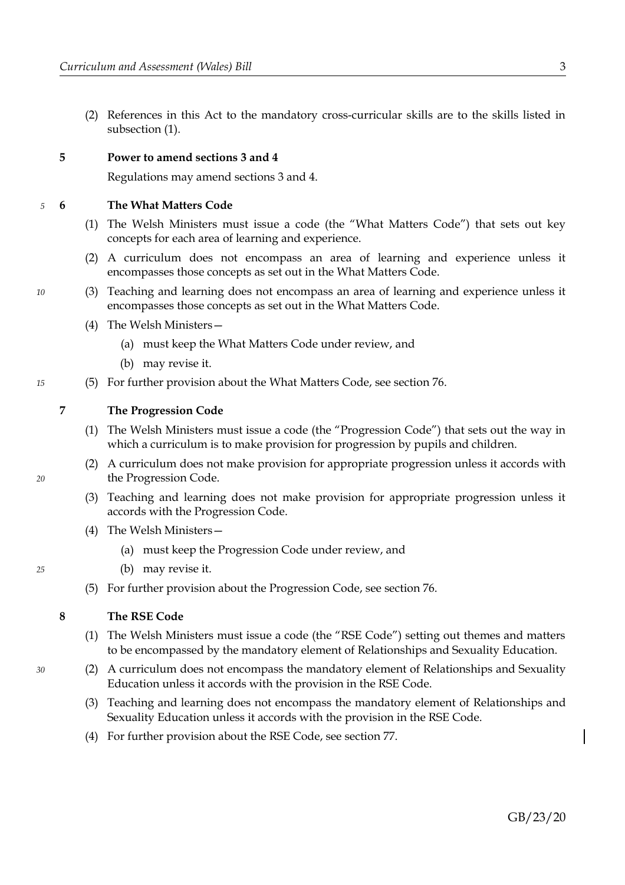(2) References in this Act to the mandatory cross-curricular skills are to the skills listed in subsection [\(1\).](#page-5-3)

#### <span id="page-6-0"></span>**5 Power to amend sections [3](#page-5-2) and [4](#page-5-1)**

Regulations may amend sections [3](#page-5-2) and [4.](#page-5-1)

<span id="page-6-11"></span>**6 The What Matters Code** *5*

- <span id="page-6-12"></span>(1) The Welsh Ministers must issue a code (the "What Matters Code") that sets out key concepts for each area of learning and experience.
- <span id="page-6-10"></span>(2) A curriculum does not encompass an area of learning and experience unless it encompasses those concepts as set out in the What Matters Code.
- <span id="page-6-9"></span>(3) Teaching and learning does not encompass an area of learning and experience unless it encompasses those concepts as set out in the What Matters Code.
	- (4) The Welsh Ministers—
		- (a) must keep the What Matters Code under review, and
		- (b) may revise it.
- (5) For further provision about the What Matters Code, see section [76.](#page-38-0)

*15*

*10*

# <span id="page-6-3"></span>**7 The Progression Code**

- <span id="page-6-6"></span>(1) The Welsh Ministers must issue a code (the "Progression Code") that sets out the way in which a curriculum is to make provision for progression by pupils and children.
- <span id="page-6-2"></span>(2) A curriculum does not make provision for appropriate progression unless it accords with the Progression Code.
- <span id="page-6-1"></span>(3) Teaching and learning does not make provision for appropriate progression unless it accords with the Progression Code.
- (4) The Welsh Ministers—
	- (a) must keep the Progression Code under review, and
	- (b) may revise it.
- (5) For further provision about the Progression Code, see section [76.](#page-38-0)

### <span id="page-6-5"></span>**8 The RSE Code**

- <span id="page-6-4"></span>(1) The Welsh Ministers must issue a code (the "RSE Code") setting out themes and matters to be encompassed by the mandatory element of Relationships and Sexuality Education.
- <span id="page-6-8"></span><span id="page-6-7"></span>(2) A curriculum does not encompass the mandatory element of Relationships and Sexuality Education unless it accords with the provision in the RSE Code.
	- (3) Teaching and learning does not encompass the mandatory element of Relationships and Sexuality Education unless it accords with the provision in the RSE Code.
	- (4) For further provision about the RSE Code, see section [77.](#page-39-0)

*20*

*30*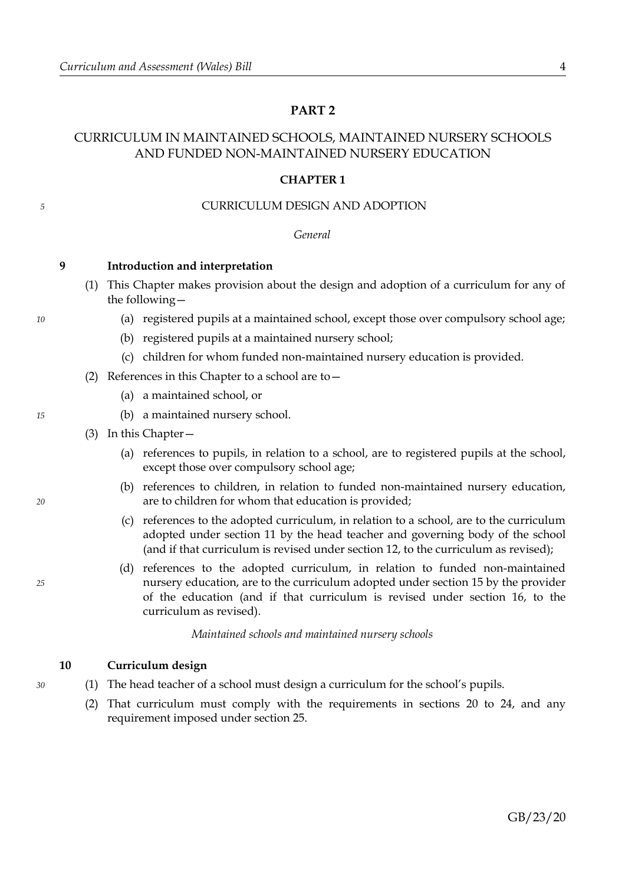# <span id="page-7-1"></span>**PART 2**

# CURRICULUM IN MAINTAINED SCHOOLS, MAINTAINED NURSERY SCHOOLS AND FUNDED NON-MAINTAINED NURSERY EDUCATION

#### <span id="page-7-4"></span>**CHAPTER 1**

#### CURRICULUM DESIGN AND ADOPTION

*General*

- <span id="page-7-3"></span>**9 Introduction and interpretation**
	- (1) This Chapter makes provision about the design and adoption of a curriculum for any of the following—
		- (a) registered pupils at a maintained school, except those over compulsory school age;
		- (b) registered pupils at a maintained nursery school;
		- (c) children for whom funded non-maintained nursery education is provided.
	- (2) References in this Chapter to a school are to—
		- (a) a maintained school, or
		- (b) a maintained nursery school.
	- (3) In this Chapter—
		- (a) references to pupils, in relation to a school, are to registered pupils at the school, except those over compulsory school age;
		- (b) references to children, in relation to funded non-maintained nursery education, are to children for whom that education is provided;
		- (c) references to the adopted curriculum, in relation to a school, are to the curriculum adopted under section [11](#page-8-1) by the head teacher and governing body of the school (and if that curriculum is revised under section [12,](#page-8-0) to the curriculum as revised);
		- (d) references to the adopted curriculum, in relation to funded non-maintained nursery education, are to the curriculum adopted under section [15](#page-9-1) by the provider of the education (and if that curriculum is revised under section [16,](#page-9-0) to the curriculum as revised).

*Maintained schools and maintained nursery schools*

# <span id="page-7-0"></span>**10 Curriculum design**

- (1) The head teacher of a school must design a curriculum for the school's pupils.
	- (2) That curriculum must comply with the requirements in sections [20](#page-10-0) to [24,](#page-11-1) and any requirement imposed under section [25.](#page-11-0)

*10*

*5*

<span id="page-7-5"></span><span id="page-7-2"></span>*15*

*20*

*25*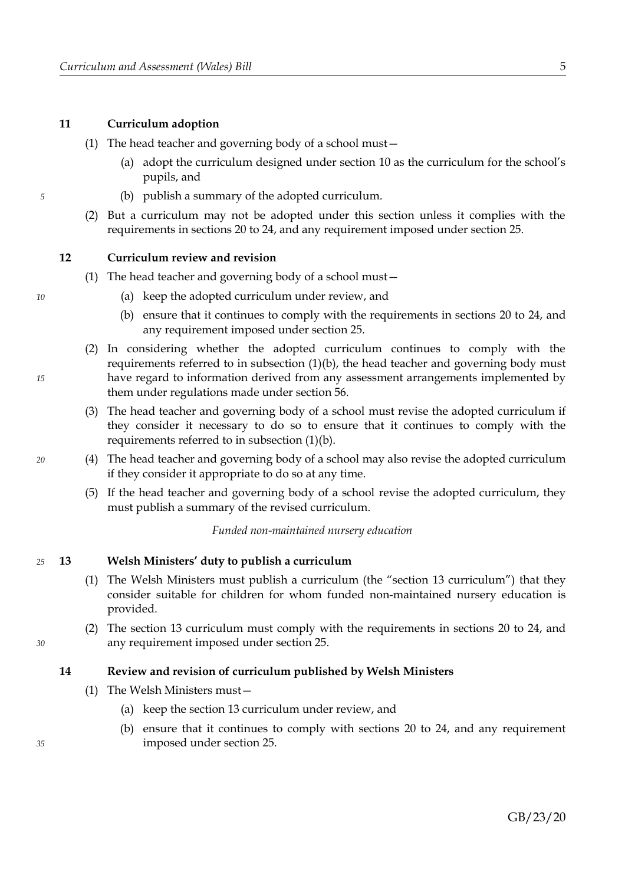# <span id="page-8-1"></span>**11 Curriculum adoption**

- (1) The head teacher and governing body of a school must—
	- (a) adopt the curriculum designed under section [10](#page-7-0) as the curriculum for the school's pupils, and
	- (b) publish a summary of the adopted curriculum.
- (2) But a curriculum may not be adopted under this section unless it complies with the requirements in sections [20](#page-10-0) to [24,](#page-11-1) and any requirement imposed under section [25.](#page-11-0)

#### <span id="page-8-0"></span>**12 Curriculum review and revision**

- <span id="page-8-4"></span>(1) The head teacher and governing body of a school must—
	- (a) keep the adopted curriculum under review, and
	- (b) ensure that it continues to comply with the requirements in sections [20](#page-10-0) to [24,](#page-11-1) and any requirement imposed under section [25.](#page-11-0)
- <span id="page-8-3"></span>(2) In considering whether the adopted curriculum continues to comply with the requirements referred to in subsection  $(1)(b)$ , the head teacher and governing body must have regard to information derived from any assessment arrangements implemented by them under regulations made under section [56.](#page-28-0)
- (3) The head teacher and governing body of a school must revise the adopted curriculum if they consider it necessary to do so to ensure that it continues to comply with the requirements referred to in subsection [\(1\)](#page-8-4)[\(b\).](#page-8-3)
- (4) The head teacher and governing body of a school may also revise the adopted curriculum if they consider it appropriate to do so at any time.
- (5) If the head teacher and governing body of a school revise the adopted curriculum, they must publish a summary of the revised curriculum.

*Funded non-maintained nursery education*

#### <span id="page-8-2"></span>**13 Welsh Ministers' duty to publish a curriculum** *25*

- <span id="page-8-8"></span>(1) The Welsh Ministers must publish a curriculum (the "section [13](#page-8-2) curriculum") that they consider suitable for children for whom funded non-maintained nursery education is provided.
- (2) The section [13](#page-8-2) curriculum must comply with the requirements in sections [20](#page-10-0) to [24,](#page-11-1) and any requirement imposed under section [25.](#page-11-0)

#### <span id="page-8-5"></span>**14 Review and revision of curriculum published by Welsh Ministers**

- <span id="page-8-7"></span><span id="page-8-6"></span>(1) The Welsh Ministers must—
	- (a) keep the section [13](#page-8-2) curriculum under review, and
	- (b) ensure that it continues to comply with sections [20](#page-10-0) to [24,](#page-11-1) and any requirement imposed under section [25.](#page-11-0)

*10*

*5*

*15*

*20*

# GB/23/20

*35*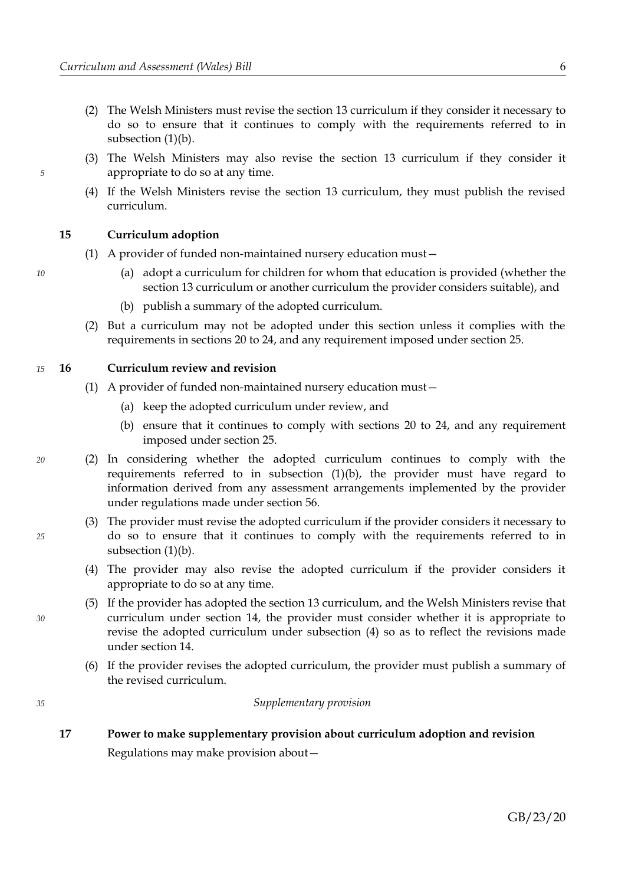- (2) The Welsh Ministers must revise the section [13](#page-8-2) curriculum if they consider it necessary to do so to ensure that it continues to comply with the requirements referred to in subsection [\(1\)](#page-8-7)[\(b\).](#page-8-6)
- (3) The Welsh Ministers may also revise the section [13](#page-8-2) curriculum if they consider it appropriate to do so at any time.
- (4) If the Welsh Ministers revise the section [13](#page-8-2) curriculum, they must publish the revised curriculum.

# <span id="page-9-1"></span>**15 Curriculum adoption**

- (1) A provider of funded non-maintained nursery education must—
	- (a) adopt a curriculum for children for whom that education is provided (whether the section [13](#page-8-2) curriculum or another curriculum the provider considers suitable), and
	- (b) publish a summary of the adopted curriculum.
- (2) But a curriculum may not be adopted under this section unless it complies with the requirements in sections [20](#page-10-0) to [24,](#page-11-1) and any requirement imposed under section [25.](#page-11-0)

#### <span id="page-9-0"></span>**16 Curriculum review and revision** *15*

- <span id="page-9-4"></span><span id="page-9-3"></span>(1) A provider of funded non-maintained nursery education must—
	- (a) keep the adopted curriculum under review, and
	- (b) ensure that it continues to comply with sections [20](#page-10-0) to [24,](#page-11-1) and any requirement imposed under section [25.](#page-11-0)
- (2) In considering whether the adopted curriculum continues to comply with the requirements referred to in subsection [\(1\)](#page-9-4)[\(b\),](#page-9-3) the provider must have regard to information derived from any assessment arrangements implemented by the provider under regulations made under section [56.](#page-28-0)
	- (3) The provider must revise the adopted curriculum if the provider considers it necessary to do so to ensure that it continues to comply with the requirements referred to in subsection [\(1\)](#page-9-4)[\(b\).](#page-9-3)
	- (4) The provider may also revise the adopted curriculum if the provider considers it appropriate to do so at any time.
	- (5) If the provider has adopted the section [13](#page-8-2) curriculum, and the Welsh Ministers revise that curriculum under section [14,](#page-8-5) the provider must consider whether it is appropriate to revise the adopted curriculum under subsection [\(4\)](#page-9-2) so as to reflect the revisions made under section [14.](#page-8-5)
	- (6) If the provider revises the adopted curriculum, the provider must publish a summary of the revised curriculum.

#### *Supplementary provision*

**17 Power to make supplementary provision about curriculum adoption and revision**

Regulations may make provision about—

*10*

*5*

*25*

*20*

<span id="page-9-2"></span>

*30*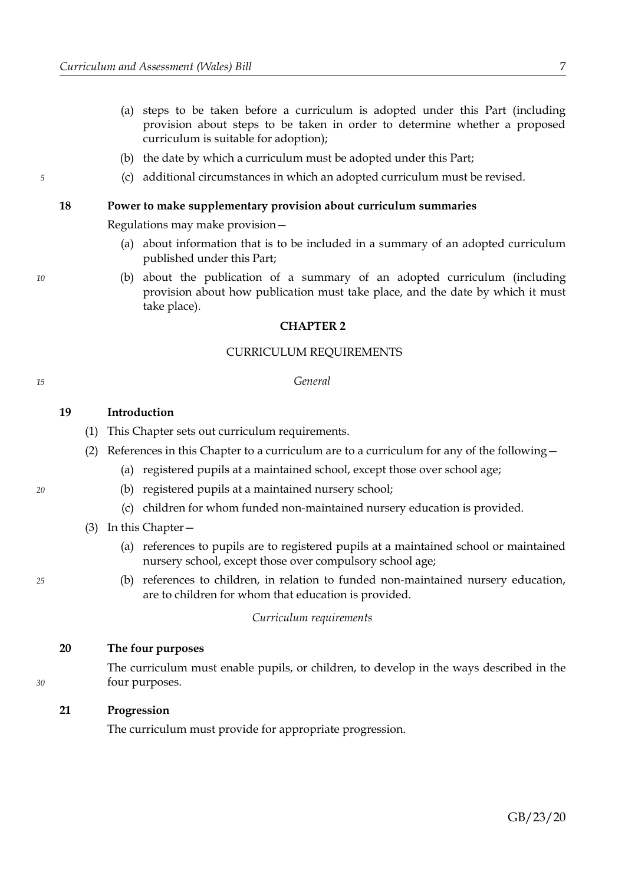- (a) steps to be taken before a curriculum is adopted under this Part (including provision about steps to be taken in order to determine whether a proposed curriculum is suitable for adoption);
- (b) the date by which a curriculum must be adopted under this Part;
- (c) additional circumstances in which an adopted curriculum must be revised.

#### **18 Power to make supplementary provision about curriculum summaries**

Regulations may make provision—

- (a) about information that is to be included in a summary of an adopted curriculum published under this Part;
- (b) about the publication of a summary of an adopted curriculum (including provision about how publication must take place, and the date by which it must take place).

#### **CHAPTER 2**

#### CURRICULUM REQUIREMENTS

#### *General*

#### **19 Introduction**

- (1) This Chapter sets out curriculum requirements.
- (2) References in this Chapter to a curriculum are to a curriculum for any of the following—
	- (a) registered pupils at a maintained school, except those over school age;
	- (b) registered pupils at a maintained nursery school;
	- (c) children for whom funded non-maintained nursery education is provided.
- (3) In this Chapter—
	- (a) references to pupils are to registered pupils at a maintained school or maintained nursery school, except those over compulsory school age;
	- (b) references to children, in relation to funded non-maintained nursery education, are to children for whom that education is provided.

*Curriculum requirements*

### <span id="page-10-0"></span>**20 The four purposes**

The curriculum must enable pupils, or children, to develop in the ways described in the four purposes.

### **21 Progression**

The curriculum must provide for appropriate progression.

*20*

*15*

*5*

*10*

*25*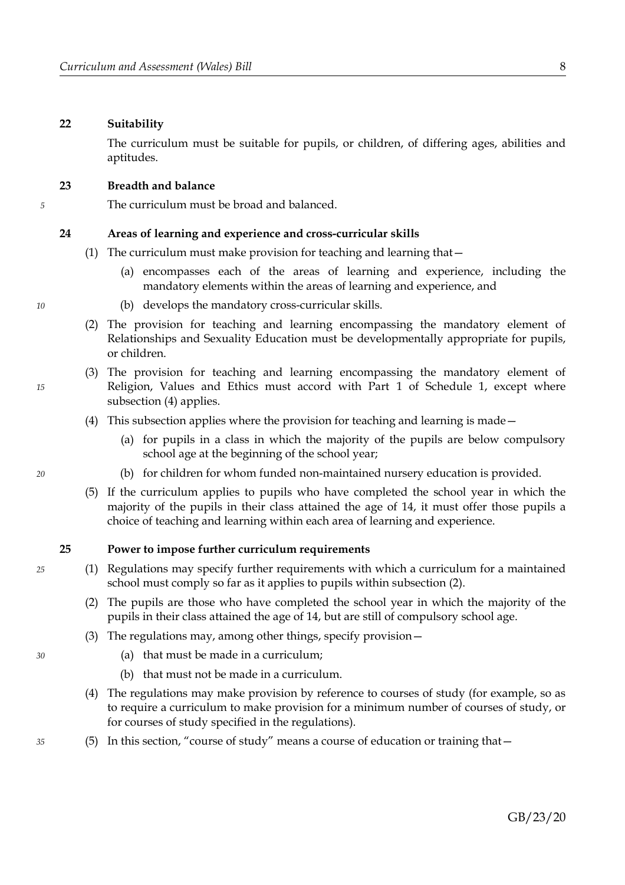#### **22 Suitability**

The curriculum must be suitable for pupils, or children, of differing ages, abilities and aptitudes.

#### **23 Breadth and balance**

The curriculum must be broad and balanced.

#### <span id="page-11-1"></span>**24 Areas of learning and experience and cross-curricular skills**

- (1) The curriculum must make provision for teaching and learning that—
	- (a) encompasses each of the areas of learning and experience, including the mandatory elements within the areas of learning and experience, and
	- (b) develops the mandatory cross-curricular skills.
- (2) The provision for teaching and learning encompassing the mandatory element of Relationships and Sexuality Education must be developmentally appropriate for pupils, or children.
- <span id="page-11-5"></span>(3) The provision for teaching and learning encompassing the mandatory element of Religion, Values and Ethics must accord with Part [1](#page-45-1) of Schedule [1,](#page-45-0) except where subsection [\(4\)](#page-11-3) applies.
- <span id="page-11-3"></span>(4) This subsection applies where the provision for teaching and learning is made—
	- (a) for pupils in a class in which the majority of the pupils are below compulsory school age at the beginning of the school year;
	- (b) for children for whom funded non-maintained nursery education is provided.
- (5) If the curriculum applies to pupils who have completed the school year in which the majority of the pupils in their class attained the age of 14, it must offer those pupils a choice of teaching and learning within each area of learning and experience.

#### <span id="page-11-0"></span>**25 Power to impose further curriculum requirements**

- <span id="page-11-2"></span>(1) Regulations may specify further requirements with which a curriculum for a maintained school must comply so far as it applies to pupils within subsection [\(2\).](#page-11-2)
	- (2) The pupils are those who have completed the school year in which the majority of the pupils in their class attained the age of 14, but are still of compulsory school age.
	- (3) The regulations may, among other things, specify provision—
		- (a) that must be made in a curriculum;
		- (b) that must not be made in a curriculum.
	- (4) The regulations may make provision by reference to courses of study (for example, so as to require a curriculum to make provision for a minimum number of courses of study, or for courses of study specified in the regulations).
- <span id="page-11-4"></span>(5) In this section, "course of study" means a course of education or training that—

*10*

*15*

*5*

*20*

### *25*

*30*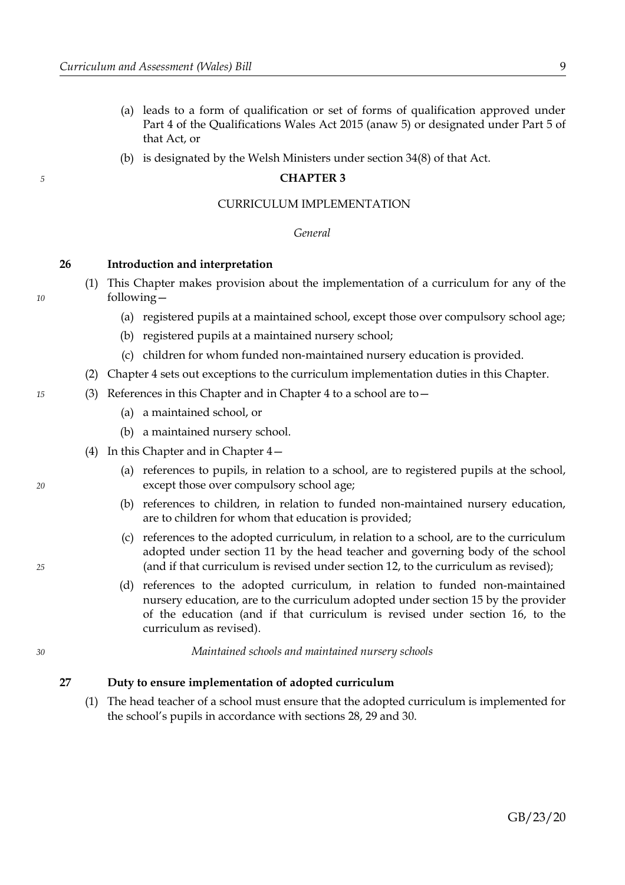*5*

*10*

*15*

*20*

*25*

*30*

- (a) leads to a form of qualification or set of forms of qualification approved under Part 4 of the Qualifications Wales Act 2015 (anaw 5) or designated under Part 5 of that Act, or
- (b) is designated by the Welsh Ministers under section 34(8) of that Act.

#### <span id="page-12-2"></span>**CHAPTER 3**

### CURRICULUM IMPLEMENTATION

#### *General*

#### <span id="page-12-1"></span>**26 Introduction and interpretation**

- (1) This Chapter makes provision about the implementation of a curriculum for any of the following—
	- (a) registered pupils at a maintained school, except those over compulsory school age;
	- (b) registered pupils at a maintained nursery school;
	- (c) children for whom funded non-maintained nursery education is provided.
- <span id="page-12-4"></span>(2) Chapter [4](#page-17-0) sets out exceptions to the curriculum implementation duties in this Chapter.
- <span id="page-12-3"></span>(3) References in this Chapter and in Chapter [4](#page-17-0) to a school are to—
	- (a) a maintained school, or
	- (b) a maintained nursery school.
	- (4) In this Chapter and in Chapter [4—](#page-17-0)
		- (a) references to pupils, in relation to a school, are to registered pupils at the school, except those over compulsory school age;
		- (b) references to children, in relation to funded non-maintained nursery education, are to children for whom that education is provided;
		- (c) references to the adopted curriculum, in relation to a school, are to the curriculum adopted under section [11](#page-8-1) by the head teacher and governing body of the school (and if that curriculum is revised under section [12,](#page-8-0) to the curriculum as revised);
		- (d) references to the adopted curriculum, in relation to funded non-maintained nursery education, are to the curriculum adopted under section [15](#page-9-1) by the provider of the education (and if that curriculum is revised under section [16,](#page-9-0) to the curriculum as revised).

*Maintained schools and maintained nursery schools*

# <span id="page-12-0"></span>**27 Duty to ensure implementation of adopted curriculum**

(1) The head teacher of a school must ensure that the adopted curriculum is implemented for the school's pupils in accordance with sections [28,](#page-13-2) [29](#page-13-1) and [30.](#page-13-0)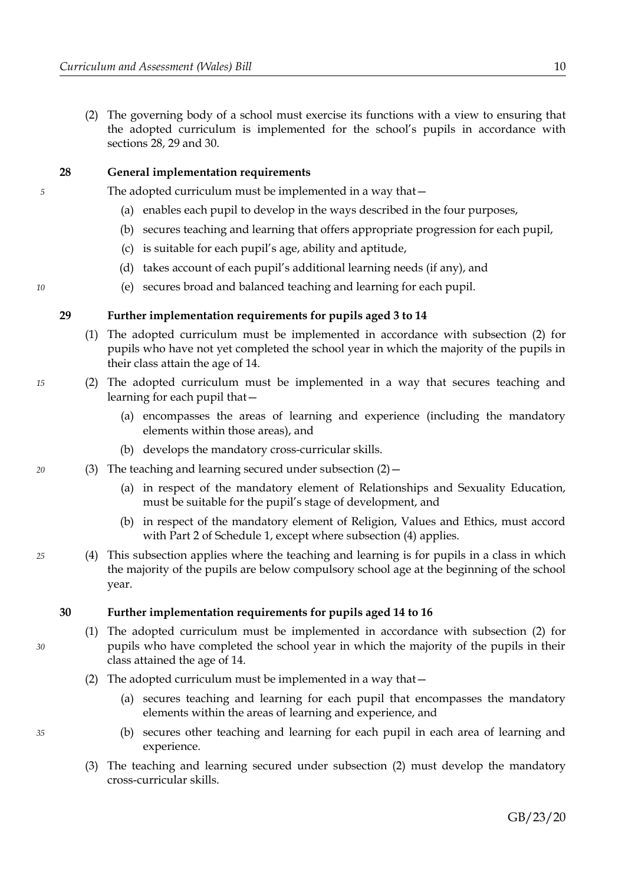(2) The governing body of a school must exercise its functions with a view to ensuring that the adopted curriculum is implemented for the school's pupils in accordance with sections [28,](#page-13-2) [29](#page-13-1) and [30.](#page-13-0)

# <span id="page-13-2"></span>**28 General implementation requirements**

The adopted curriculum must be implemented in a way that—

- (a) enables each pupil to develop in the ways described in the four purposes,
- (b) secures teaching and learning that offers appropriate progression for each pupil,
- (c) is suitable for each pupil's age, ability and aptitude,
- (d) takes account of each pupil's additional learning needs (if any), and
- (e) secures broad and balanced teaching and learning for each pupil.

### <span id="page-13-1"></span>**29 Further implementation requirements for pupils aged 3 to 14**

- (1) The adopted curriculum must be implemented in accordance with subsection [\(2\)](#page-13-5) for pupils who have not yet completed the school year in which the majority of the pupils in their class attain the age of 14.
- <span id="page-13-5"></span>(2) The adopted curriculum must be implemented in a way that secures teaching and learning for each pupil that—
	- (a) encompasses the areas of learning and experience (including the mandatory elements within those areas), and
	- (b) develops the mandatory cross-curricular skills.
- <span id="page-13-7"></span>(3) The teaching and learning secured under subsection  $(2)$  -
	- (a) in respect of the mandatory element of Relationships and Sexuality Education, must be suitable for the pupil's stage of development, and
	- (b) in respect of the mandatory element of Religion, Values and Ethics, must accord with Part [2](#page-46-0) of Schedule [1,](#page-45-0) except where subsection [\(4\)](#page-13-4) applies.
- <span id="page-13-6"></span><span id="page-13-4"></span>(4) This subsection applies where the teaching and learning is for pupils in a class in which the majority of the pupils are below compulsory school age at the beginning of the school year.

### <span id="page-13-0"></span>**30 Further implementation requirements for pupils aged 14 to 16**

- (1) The adopted curriculum must be implemented in accordance with subsection [\(2\)](#page-13-3) for pupils who have completed the school year in which the majority of the pupils in their class attained the age of 14.
- <span id="page-13-3"></span>(2) The adopted curriculum must be implemented in a way that—
	- (a) secures teaching and learning for each pupil that encompasses the mandatory elements within the areas of learning and experience, and
	- (b) secures other teaching and learning for each pupil in each area of learning and experience.
- (3) The teaching and learning secured under subsection [\(2\)](#page-13-3) must develop the mandatory cross-curricular skills.

*5*

*15*

*10*

*25*

*20*

*30*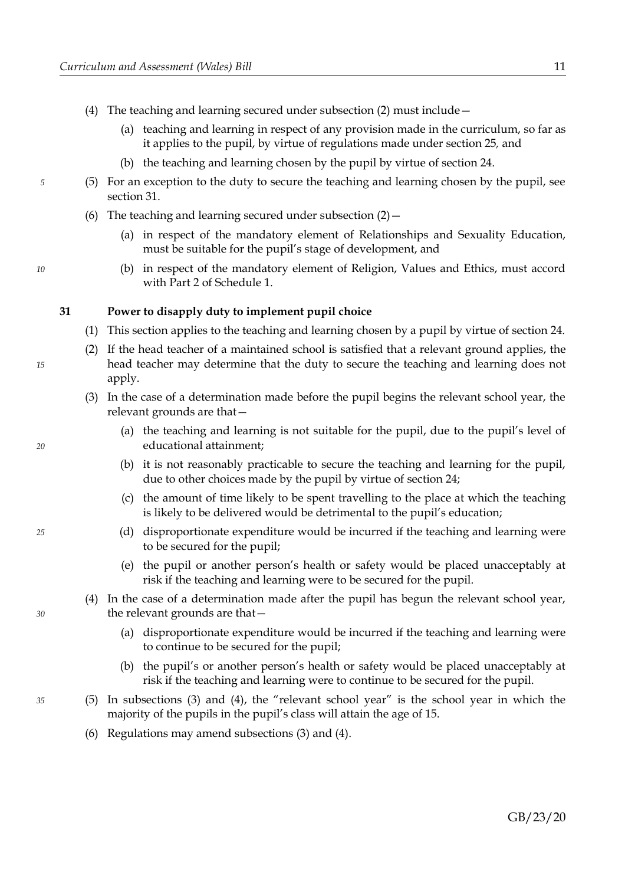- (4) The teaching and learning secured under subsection [\(2\)](#page-13-3) must include—
	- (a) teaching and learning in respect of any provision made in the curriculum, so far as it applies to the pupil, by virtue of regulations made under section [25](#page-11-0)*,* and
	- (b) the teaching and learning chosen by the pupil by virtue of section [24.](#page-11-1)
- (5) For an exception to the duty to secure the teaching and learning chosen by the pupil, see section [31.](#page-14-2)
- <span id="page-14-5"></span><span id="page-14-4"></span>(6) The teaching and learning secured under subsection  $(2)$  -
	- (a) in respect of the mandatory element of Relationships and Sexuality Education, must be suitable for the pupil's stage of development, and
	- (b) in respect of the mandatory element of Religion, Values and Ethics, must accord with Part [2](#page-46-0) of Schedule [1.](#page-45-0)

#### <span id="page-14-2"></span>**31 Power to disapply duty to implement pupil choice**

- (1) This section applies to the teaching and learning chosen by a pupil by virtue of section [24.](#page-11-1)
- (2) If the head teacher of a maintained school is satisfied that a relevant ground applies, the head teacher may determine that the duty to secure the teaching and learning does not apply.
- <span id="page-14-1"></span>(3) In the case of a determination made before the pupil begins the relevant school year, the relevant grounds are that—
	- (a) the teaching and learning is not suitable for the pupil, due to the pupil's level of educational attainment;
	- (b) it is not reasonably practicable to secure the teaching and learning for the pupil, due to other choices made by the pupil by virtue of section [24;](#page-11-1)
	- (c) the amount of time likely to be spent travelling to the place at which the teaching is likely to be delivered would be detrimental to the pupil's education;
	- (d) disproportionate expenditure would be incurred if the teaching and learning were to be secured for the pupil;
	- (e) the pupil or another person's health or safety would be placed unacceptably at risk if the teaching and learning were to be secured for the pupil.
- <span id="page-14-0"></span>(4) In the case of a determination made after the pupil has begun the relevant school year, the relevant grounds are that—
	- (a) disproportionate expenditure would be incurred if the teaching and learning were to continue to be secured for the pupil;
	- (b) the pupil's or another person's health or safety would be placed unacceptably at risk if the teaching and learning were to continue to be secured for the pupil.
- <span id="page-14-3"></span>(5) In subsections [\(3\)](#page-14-1) and [\(4\),](#page-14-0) the "relevant school year" is the school year in which the majority of the pupils in the pupil's class will attain the age of 15.
- (6) Regulations may amend subsections [\(3\)](#page-14-1) and [\(4\).](#page-14-0)

*10*

*5*

*20*

*15*

*30*

*35*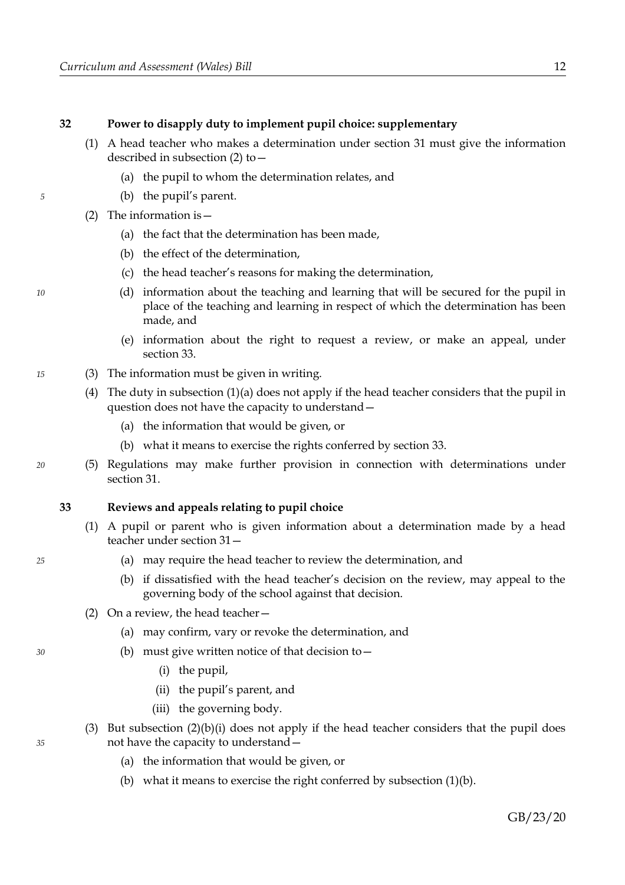# **32 Power to disapply duty to implement pupil choice: supplementary**

- <span id="page-15-7"></span><span id="page-15-6"></span>(1) A head teacher who makes a determination under section [31](#page-14-2) must give the information described in subsection [\(2\)](#page-15-8) to—
	- (a) the pupil to whom the determination relates, and
	- (b) the pupil's parent.
- <span id="page-15-8"></span>(2) The information is  $-$ 
	- (a) the fact that the determination has been made,
	- (b) the effect of the determination,
	- (c) the head teacher's reasons for making the determination,
	- (d) information about the teaching and learning that will be secured for the pupil in place of the teaching and learning in respect of which the determination has been made, and
	- (e) information about the right to request a review, or make an appeal, under section [33.](#page-15-5)
- (3) The information must be given in writing.
	- (4) The duty in subsection [\(1\)](#page-15-7)[\(a\)](#page-15-6) does not apply if the head teacher considers that the pupil in question does not have the capacity to understand—
		- (a) the information that would be given, or
		- (b) what it means to exercise the rights conferred by section [33.](#page-15-5)
	- (5) Regulations may make further provision in connection with determinations under section [31.](#page-14-2)

#### <span id="page-15-5"></span>**33 Reviews and appeals relating to pupil choice**

- <span id="page-15-1"></span>(1) A pupil or parent who is given information about a determination made by a head teacher under section [31—](#page-14-2)
	- (a) may require the head teacher to review the determination, and
	- (b) if dissatisfied with the head teacher's decision on the review, may appeal to the governing body of the school against that decision.
- <span id="page-15-4"></span><span id="page-15-3"></span><span id="page-15-2"></span><span id="page-15-0"></span>(2) On a review, the head teacher—
	- (a) may confirm, vary or revoke the determination, and
	- (b) must give written notice of that decision to—
		- (i) the pupil,
		- (ii) the pupil's parent, and
		- (iii) the governing body.
- (3) But subsection  $(2)(b)(i)$  $(2)(b)(i)$  $(2)(b)(i)$  does not apply if the head teacher considers that the pupil does not have the capacity to understand—
	- (a) the information that would be given, or
	- (b) what it means to exercise the right conferred by subsection [\(1\)](#page-15-1)[\(b\).](#page-15-0)

*35*

*30*

*15*

*20*

*25*

*10*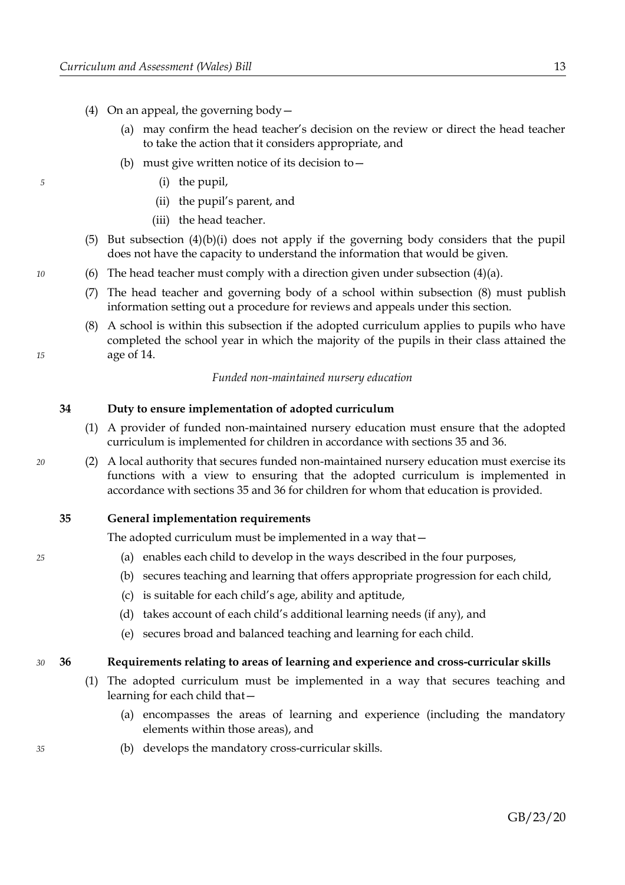- <span id="page-16-6"></span><span id="page-16-4"></span><span id="page-16-3"></span>(4) On an appeal, the governing body—
	- (a) may confirm the head teacher's decision on the review or direct the head teacher to take the action that it considers appropriate, and
	- (b) must give written notice of its decision to—
		- (i) the pupil,
		- (ii) the pupil's parent, and
		- (iii) the head teacher.
- <span id="page-16-5"></span>(5) But subsection [\(4\)](#page-16-4)[\(b\)](#page-16-6)[\(i\)](#page-16-5) does not apply if the governing body considers that the pupil does not have the capacity to understand the information that would be given.
- (6) The head teacher must comply with a direction given under subsection  $(4)(a)$ .
- (7) The head teacher and governing body of a school within subsection [\(8\)](#page-16-2) must publish information setting out a procedure for reviews and appeals under this section.
- <span id="page-16-2"></span>(8) A school is within this subsection if the adopted curriculum applies to pupils who have completed the school year in which the majority of the pupils in their class attained the age of 14.

#### *Funded non-maintained nursery education*

# <span id="page-16-8"></span>**34 Duty to ensure implementation of adopted curriculum**

- (1) A provider of funded non-maintained nursery education must ensure that the adopted curriculum is implemented for children in accordance with sections [35](#page-16-1) and [36.](#page-16-0)
- (2) A local authority that secures funded non-maintained nursery education must exercise its functions with a view to ensuring that the adopted curriculum is implemented in accordance with sections [35](#page-16-1) and [36](#page-16-0) for children for whom that education is provided.
- <span id="page-16-1"></span>**35 General implementation requirements**

The adopted curriculum must be implemented in a way that—

- (a) enables each child to develop in the ways described in the four purposes,
- (b) secures teaching and learning that offers appropriate progression for each child,
- (c) is suitable for each child's age, ability and aptitude,
- (d) takes account of each child's additional learning needs (if any), and
- (e) secures broad and balanced teaching and learning for each child.

#### <span id="page-16-0"></span>**36 Requirements relating to areas of learning and experience and cross-curricular skills**  *30*

- <span id="page-16-7"></span>(1) The adopted curriculum must be implemented in a way that secures teaching and learning for each child that—
	- (a) encompasses the areas of learning and experience (including the mandatory elements within those areas), and
	- (b) develops the mandatory cross-curricular skills.

*10*

*15*

*5*

*20*

*25*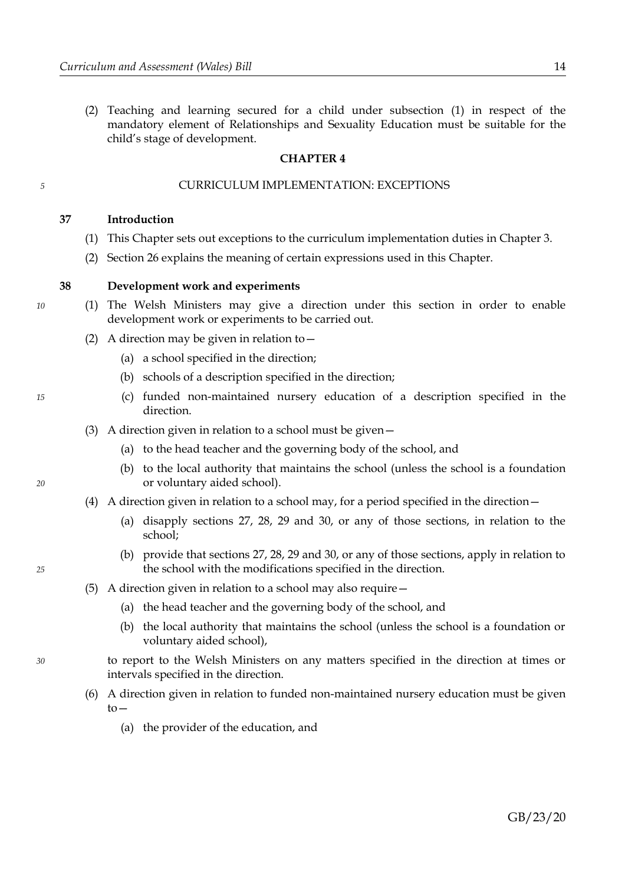(2) Teaching and learning secured for a child under subsection [\(1\)](#page-16-7) in respect of the mandatory element of Relationships and Sexuality Education must be suitable for the child's stage of development.

#### <span id="page-17-0"></span>**CHAPTER 4**

# CURRICULUM IMPLEMENTATION: EXCEPTIONS

#### **37 Introduction**

- (1) This Chapter sets out exceptions to the curriculum implementation duties in Chapter [3.](#page-12-2)
- (2) Section [26](#page-12-1) explains the meaning of certain expressions used in this Chapter.

#### <span id="page-17-1"></span>**38 Development work and experiments**

- (1) The Welsh Ministers may give a direction under this section in order to enable development work or experiments to be carried out.
	- (2) A direction may be given in relation to  $-$ 
		- (a) a school specified in the direction;
		- (b) schools of a description specified in the direction;
		- (c) funded non-maintained nursery education of a description specified in the direction.
	- (3) A direction given in relation to a school must be given—
		- (a) to the head teacher and the governing body of the school, and
		- (b) to the local authority that maintains the school (unless the school is a foundation or voluntary aided school).
	- (4) A direction given in relation to a school may, for a period specified in the direction—
		- (a) disapply sections [27,](#page-12-0) [28,](#page-13-2) [29](#page-13-1) and [30,](#page-13-0) or any of those sections, in relation to the school;
		- (b) provide that sections [27,](#page-12-0) [28,](#page-13-2) [29](#page-13-1) and [30,](#page-13-0) or any of those sections, apply in relation to the school with the modifications specified in the direction.
	- (5) A direction given in relation to a school may also require—
		- (a) the head teacher and the governing body of the school, and
		- (b) the local authority that maintains the school (unless the school is a foundation or voluntary aided school),
	- to report to the Welsh Ministers on any matters specified in the direction at times or intervals specified in the direction.
	- (6) A direction given in relation to funded non-maintained nursery education must be given  $to-$ 
		- (a) the provider of the education, and

*10*

*5*

*20*

*25*

*30*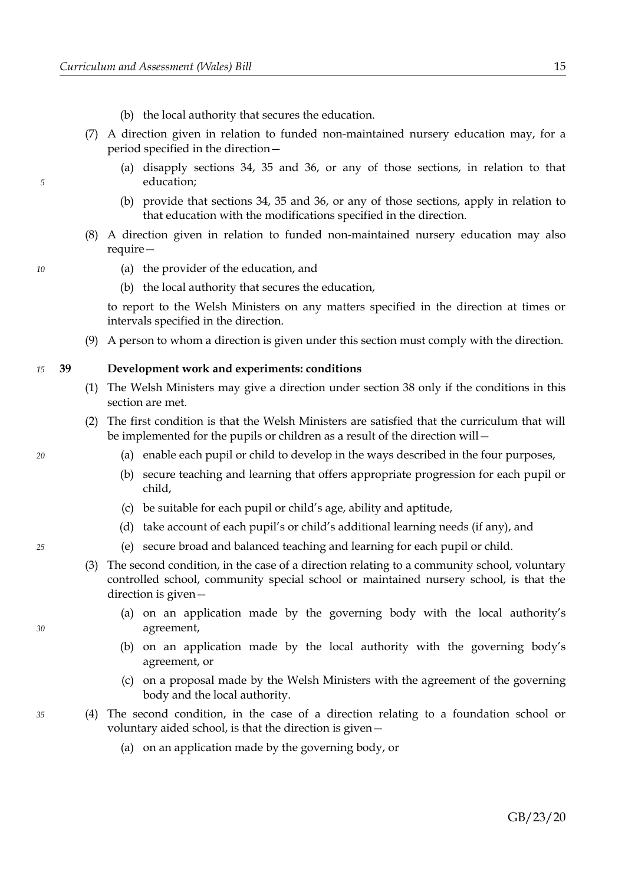- (b) the local authority that secures the education.
- (7) A direction given in relation to funded non-maintained nursery education may, for a period specified in the direction—
	- (a) disapply sections [34,](#page-16-8) [35](#page-16-1) and [36,](#page-16-0) or any of those sections, in relation to that education;
	- (b) provide that sections [34,](#page-16-8) [35](#page-16-1) and [36,](#page-16-0) or any of those sections, apply in relation to that education with the modifications specified in the direction.
- (8) A direction given in relation to funded non-maintained nursery education may also require—
	- (a) the provider of the education, and
	- (b) the local authority that secures the education,

to report to the Welsh Ministers on any matters specified in the direction at times or intervals specified in the direction.

(9) A person to whom a direction is given under this section must comply with the direction.

#### **39 Development work and experiments: conditions** *15*

- (1) The Welsh Ministers may give a direction under section [38](#page-17-1) only if the conditions in this section are met.
- (2) The first condition is that the Welsh Ministers are satisfied that the curriculum that will be implemented for the pupils or children as a result of the direction will—
	- (a) enable each pupil or child to develop in the ways described in the four purposes,
	- (b) secure teaching and learning that offers appropriate progression for each pupil or child,
	- (c) be suitable for each pupil or child's age, ability and aptitude,
	- (d) take account of each pupil's or child's additional learning needs (if any), and
	- (e) secure broad and balanced teaching and learning for each pupil or child.
- (3) The second condition, in the case of a direction relating to a community school, voluntary controlled school, community special school or maintained nursery school, is that the direction is given—
	- (a) on an application made by the governing body with the local authority's agreement,
	- (b) on an application made by the local authority with the governing body's agreement, or
	- (c) on a proposal made by the Welsh Ministers with the agreement of the governing body and the local authority.
- (4) The second condition, in the case of a direction relating to a foundation school or voluntary aided school, is that the direction is given—
	- (a) on an application made by the governing body, or

*20*

*5*

*10*

*25*

*30*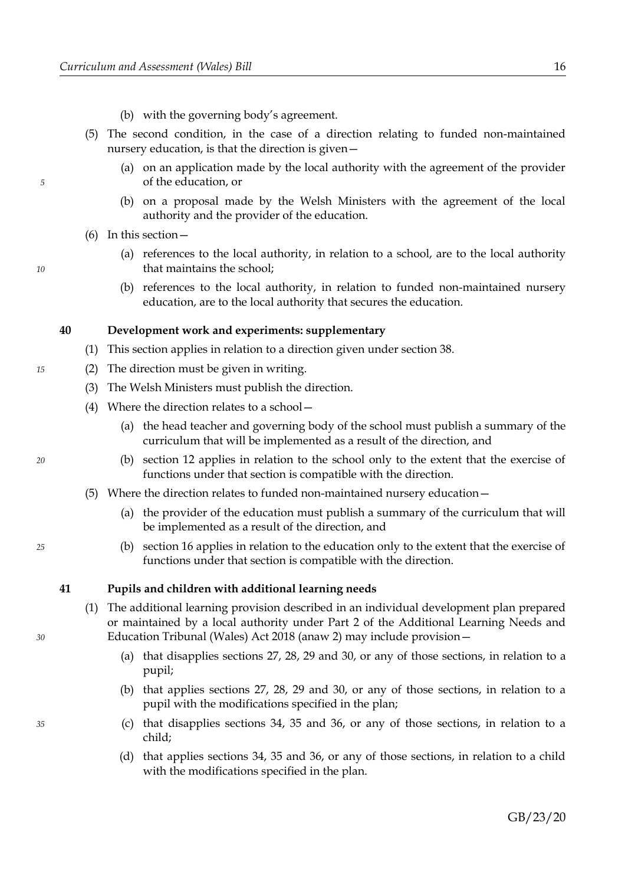- (b) with the governing body's agreement.
- (5) The second condition, in the case of a direction relating to funded non-maintained nursery education, is that the direction is given—
	- (a) on an application made by the local authority with the agreement of the provider of the education, or
	- (b) on a proposal made by the Welsh Ministers with the agreement of the local authority and the provider of the education.
- (6) In this section—
	- (a) references to the local authority, in relation to a school, are to the local authority that maintains the school;
	- (b) references to the local authority, in relation to funded non-maintained nursery education, are to the local authority that secures the education.

#### **40 Development work and experiments: supplementary**

- (1) This section applies in relation to a direction given under section [38.](#page-17-1)
- (2) The direction must be given in writing.
	- (3) The Welsh Ministers must publish the direction.
	- (4) Where the direction relates to a school—
		- (a) the head teacher and governing body of the school must publish a summary of the curriculum that will be implemented as a result of the direction, and
		- (b) section [12](#page-8-0) applies in relation to the school only to the extent that the exercise of functions under that section is compatible with the direction.
	- (5) Where the direction relates to funded non-maintained nursery education—
		- (a) the provider of the education must publish a summary of the curriculum that will be implemented as a result of the direction, and
		- (b) section [16](#page-9-0) applies in relation to the education only to the extent that the exercise of functions under that section is compatible with the direction.

#### <span id="page-19-1"></span>**41 Pupils and children with additional learning needs**

- <span id="page-19-0"></span>(1) The additional learning provision described in an individual development plan prepared or maintained by a local authority under Part 2 of the Additional Learning Needs and Education Tribunal (Wales) Act 2018 (anaw 2) may include provision—
	- (a) that disapplies sections [27,](#page-12-0) [28,](#page-13-2) [29](#page-13-1) and [30,](#page-13-0) or any of those sections, in relation to a pupil;
	- (b) that applies sections [27,](#page-12-0) [28,](#page-13-2) [29](#page-13-1) and [30,](#page-13-0) or any of those sections, in relation to a pupil with the modifications specified in the plan;
	- (c) that disapplies sections [34,](#page-16-8) [35](#page-16-1) and [36,](#page-16-0) or any of those sections, in relation to a child;
	- (d) that applies sections [34,](#page-16-8) [35](#page-16-1) and [36,](#page-16-0) or any of those sections, in relation to a child with the modifications specified in the plan.

*20*

*15*

*5*

*10*

*25*

*30*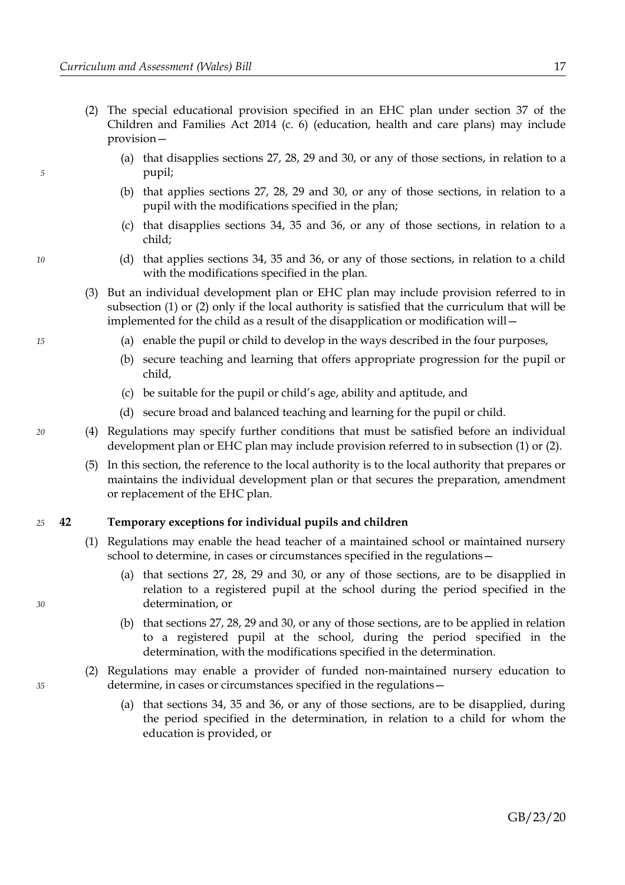*5*

*10*

*15*

*20*

*30*

*35*

- <span id="page-20-0"></span>(2) The special educational provision specified in an EHC plan under section 37 of the Children and Families Act 2014 (c. 6) (education, health and care plans) may include provision—
	- (a) that disapplies sections [27,](#page-12-0) [28,](#page-13-2) [29](#page-13-1) and [30,](#page-13-0) or any of those sections, in relation to a pupil;
	- (b) that applies sections [27,](#page-12-0) [28,](#page-13-2) [29](#page-13-1) and [30,](#page-13-0) or any of those sections, in relation to a pupil with the modifications specified in the plan;
	- (c) that disapplies sections [34,](#page-16-8) [35](#page-16-1) and [36,](#page-16-0) or any of those sections, in relation to a child;
	- (d) that applies sections [34,](#page-16-8) [35](#page-16-1) and [36,](#page-16-0) or any of those sections, in relation to a child with the modifications specified in the plan.
- (3) But an individual development plan or EHC plan may include provision referred to in subsection [\(1\)](#page-19-0) or [\(2\)](#page-20-0) only if the local authority is satisfied that the curriculum that will be implemented for the child as a result of the disapplication or modification will—
	- (a) enable the pupil or child to develop in the ways described in the four purposes,
	- (b) secure teaching and learning that offers appropriate progression for the pupil or child,
	- (c) be suitable for the pupil or child's age, ability and aptitude, and
	- (d) secure broad and balanced teaching and learning for the pupil or child.
- (4) Regulations may specify further conditions that must be satisfied before an individual development plan or EHC plan may include provision referred to in subsection [\(1\)](#page-19-0) or [\(2\).](#page-20-0)
	- (5) In this section, the reference to the local authority is to the local authority that prepares or maintains the individual development plan or that secures the preparation, amendment or replacement of the EHC plan.

#### <span id="page-20-1"></span>**42 Temporary exceptions for individual pupils and children** *25*

- (1) Regulations may enable the head teacher of a maintained school or maintained nursery school to determine, in cases or circumstances specified in the regulations—
	- (a) that sections [27,](#page-12-0) [28,](#page-13-2) [29](#page-13-1) and [30,](#page-13-0) or any of those sections, are to be disapplied in relation to a registered pupil at the school during the period specified in the determination, or
	- (b) that sections [27,](#page-12-0) [28,](#page-13-2) [29](#page-13-1) and [30,](#page-13-0) or any of those sections, are to be applied in relation to a registered pupil at the school, during the period specified in the determination, with the modifications specified in the determination.
- (2) Regulations may enable a provider of funded non-maintained nursery education to determine, in cases or circumstances specified in the regulations—
	- (a) that sections [34,](#page-16-8) [35](#page-16-1) and [36,](#page-16-0) or any of those sections, are to be disapplied, during the period specified in the determination, in relation to a child for whom the education is provided, or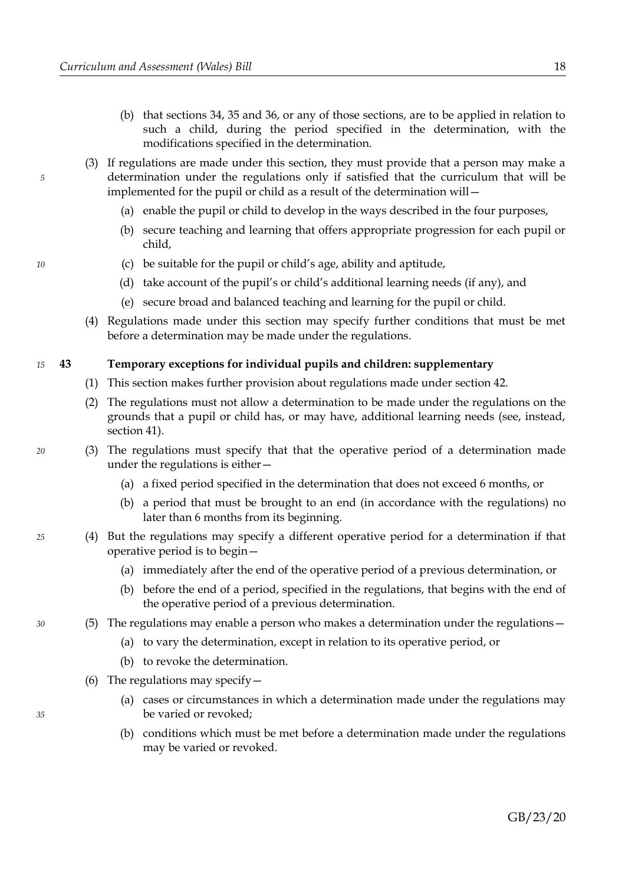- (b) that sections [34,](#page-16-8) [35](#page-16-1) and [36,](#page-16-0) or any of those sections, are to be applied in relation to such a child, during the period specified in the determination, with the modifications specified in the determination.
- (3) If regulations are made under this section, they must provide that a person may make a determination under the regulations only if satisfied that the curriculum that will be implemented for the pupil or child as a result of the determination will—
	- (a) enable the pupil or child to develop in the ways described in the four purposes,
	- (b) secure teaching and learning that offers appropriate progression for each pupil or child,
	- (c) be suitable for the pupil or child's age, ability and aptitude,
	- (d) take account of the pupil's or child's additional learning needs (if any), and
	- (e) secure broad and balanced teaching and learning for the pupil or child.
- (4) Regulations made under this section may specify further conditions that must be met before a determination may be made under the regulations.

#### **43 Temporary exceptions for individual pupils and children: supplementary** *15*

- (1) This section makes further provision about regulations made under section [42.](#page-20-1)
- (2) The regulations must not allow a determination to be made under the regulations on the grounds that a pupil or child has, or may have, additional learning needs (see, instead, section [41\)](#page-19-1).
- (3) The regulations must specify that that the operative period of a determination made under the regulations is either—
	- (a) a fixed period specified in the determination that does not exceed 6 months, or
	- (b) a period that must be brought to an end (in accordance with the regulations) no later than 6 months from its beginning.
- (4) But the regulations may specify a different operative period for a determination if that operative period is to begin—
	- (a) immediately after the end of the operative period of a previous determination, or
	- (b) before the end of a period, specified in the regulations, that begins with the end of the operative period of a previous determination.
- (5) The regulations may enable a person who makes a determination under the regulations—
	- (a) to vary the determination, except in relation to its operative period, or
	- (b) to revoke the determination.
	- (6) The regulations may specify—
		- (a) cases or circumstances in which a determination made under the regulations may be varied or revoked;
		- (b) conditions which must be met before a determination made under the regulations may be varied or revoked.

*35*

*20*

*25*

*30*

*5*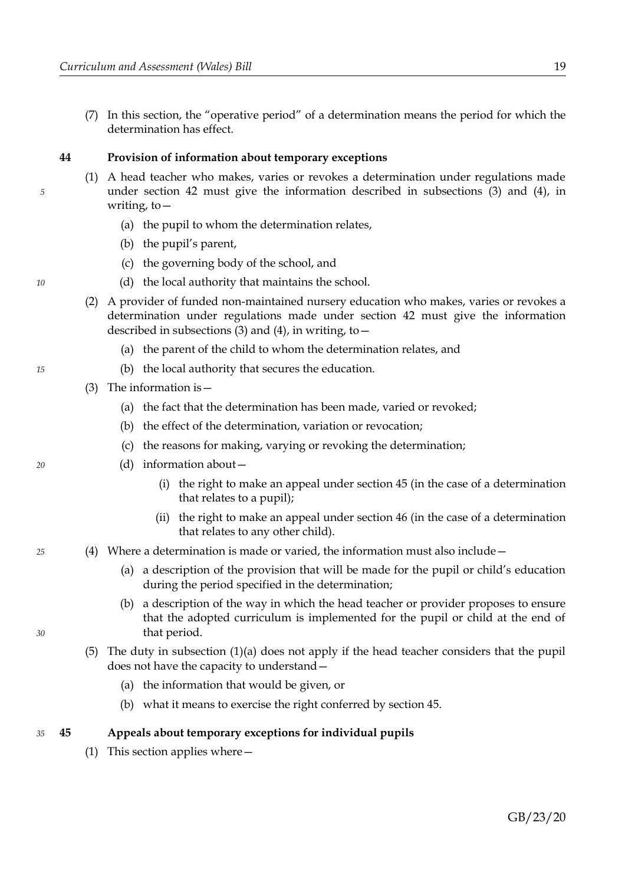(7) In this section, the "operative period" of a determination means the period for which the determination has effect.

#### **44 Provision of information about temporary exceptions**

- <span id="page-22-2"></span><span id="page-22-1"></span>(1) A head teacher who makes, varies or revokes a determination under regulations made under section [42](#page-20-1) must give the information described in subsections [\(3\)](#page-22-4) and [\(4\),](#page-22-3) in writing, to—
	- (a) the pupil to whom the determination relates,
	- (b) the pupil's parent,
	- (c) the governing body of the school, and
	- (d) the local authority that maintains the school.
- (2) A provider of funded non-maintained nursery education who makes, varies or revokes a determination under regulations made under section [42](#page-20-1) must give the information described in subsections  $(3)$  and  $(4)$ , in writing, to –
	- (a) the parent of the child to whom the determination relates, and
	- (b) the local authority that secures the education.
- <span id="page-22-4"></span>(3) The information is—
	- (a) the fact that the determination has been made, varied or revoked;
	- (b) the effect of the determination, variation or revocation;
	- (c) the reasons for making, varying or revoking the determination;
	- (d) information about—
		- (i) the right to make an appeal under section [45](#page-22-0) (in the case of a determination that relates to a pupil);
		- (ii) the right to make an appeal under section [46](#page-23-0) (in the case of a determination that relates to any other child).
- <span id="page-22-3"></span>(4) Where a determination is made or varied, the information must also include—
	- (a) a description of the provision that will be made for the pupil or child's education during the period specified in the determination;
	- (b) a description of the way in which the head teacher or provider proposes to ensure that the adopted curriculum is implemented for the pupil or child at the end of that period.
	- (5) The duty in subsection [\(1\)](#page-22-2)[\(a\)](#page-22-1) does not apply if the head teacher considers that the pupil does not have the capacity to understand—
		- (a) the information that would be given, or
		- (b) what it means to exercise the right conferred by section [45.](#page-22-0)

#### <span id="page-22-0"></span>**45 Appeals about temporary exceptions for individual pupils** *35*

<span id="page-22-5"></span>(1) This section applies where—

*15*

*10*

*5*

*20*

*25*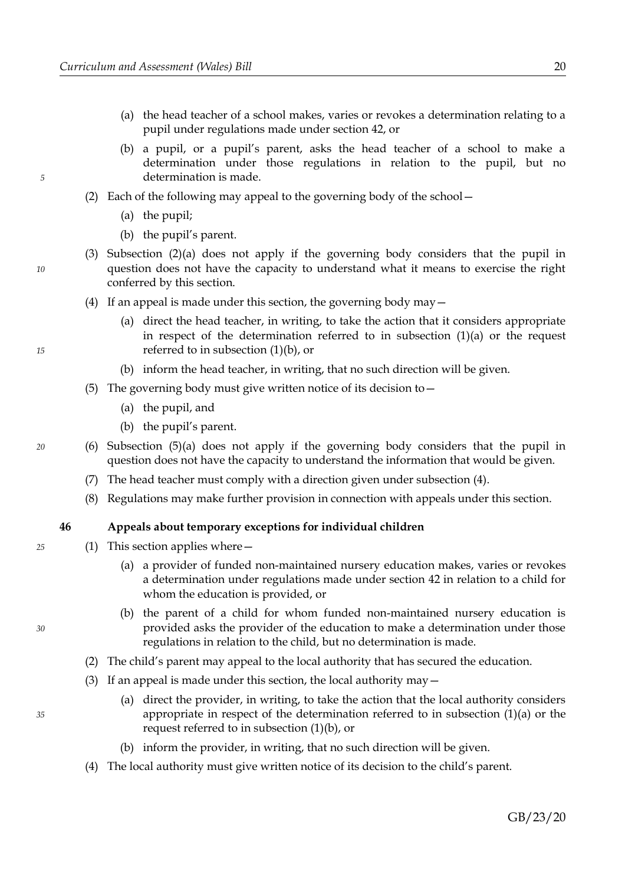- <span id="page-23-8"></span>(a) the head teacher of a school makes, varies or revokes a determination relating to a pupil under regulations made under section [42,](#page-20-1) or
- <span id="page-23-7"></span>(b) a pupil, or a pupil's parent, asks the head teacher of a school to make a determination under those regulations in relation to the pupil, but no determination is made.
- <span id="page-23-10"></span><span id="page-23-9"></span>(2) Each of the following may appeal to the governing body of the school—
	- (a) the pupil;
	- (b) the pupil's parent.
- (3) Subsection [\(2\)](#page-23-10)[\(a\)](#page-23-9) does not apply if the governing body considers that the pupil in question does not have the capacity to understand what it means to exercise the right conferred by this section.
- <span id="page-23-4"></span>(4) If an appeal is made under this section, the governing body may  $-$ 
	- (a) direct the head teacher, in writing, to take the action that it considers appropriate in respect of the determination referred to in subsection  $(1)(a)$  or the request referred to in subsection [\(1\)](#page-22-5)[\(b\),](#page-23-7) or
	- (b) inform the head teacher, in writing, that no such direction will be given.
- <span id="page-23-6"></span><span id="page-23-5"></span>(5) The governing body must give written notice of its decision to  $-$ 
	- (a) the pupil, and
	- (b) the pupil's parent.
- (6) Subsection [\(5\)](#page-23-6)[\(a\)](#page-23-5) does not apply if the governing body considers that the pupil in question does not have the capacity to understand the information that would be given.
	- (7) The head teacher must comply with a direction given under subsection [\(4\).](#page-23-4)
	- (8) Regulations may make further provision in connection with appeals under this section.

#### <span id="page-23-0"></span>**46 Appeals about temporary exceptions for individual children**

- <span id="page-23-3"></span><span id="page-23-2"></span><span id="page-23-1"></span>(1) This section applies where—
	- (a) a provider of funded non-maintained nursery education makes, varies or revokes a determination under regulations made under section [42](#page-20-1) in relation to a child for whom the education is provided, or
	- (b) the parent of a child for whom funded non-maintained nursery education is provided asks the provider of the education to make a determination under those regulations in relation to the child, but no determination is made.
	- (2) The child's parent may appeal to the local authority that has secured the education.
	- (3) If an appeal is made under this section, the local authority may  $-$ 
		- (a) direct the provider, in writing, to take the action that the local authority considers appropriate in respect of the determination referred to in subsection [\(1\)](#page-23-2)[\(a\)](#page-23-3) or the request referred to in subsection [\(1\)](#page-23-2)[\(b\),](#page-23-1) or
		- (b) inform the provider, in writing, that no such direction will be given.
	- (4) The local authority must give written notice of its decision to the child's parent.

<span id="page-23-11"></span>*35*

*15*

*5*

*10*

*20*

*25*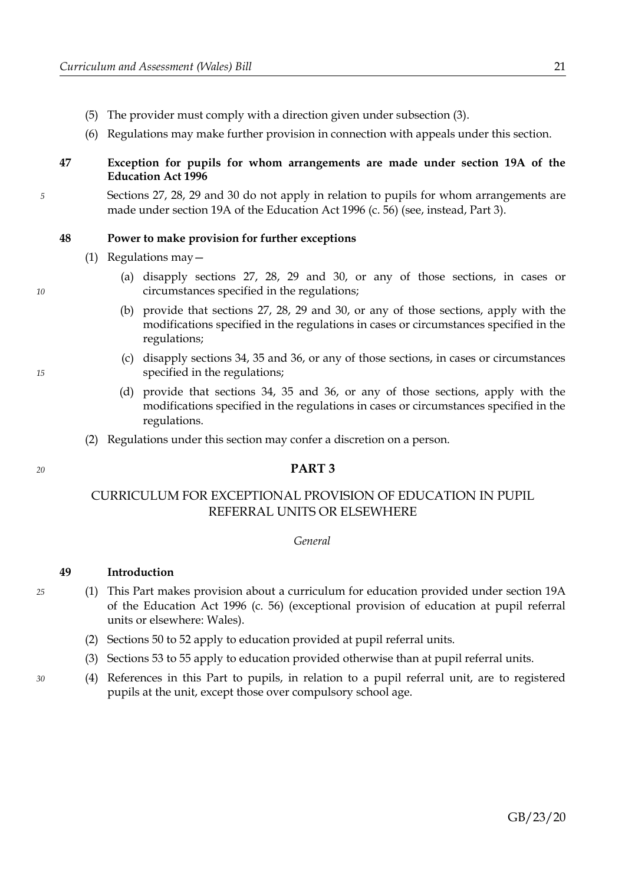- (5) The provider must comply with a direction given under subsection [\(3\).](#page-23-11)
- (6) Regulations may make further provision in connection with appeals under this section.

# **47 Exception for pupils for whom arrangements are made under section 19A of the Education Act 1996**

Sections [27,](#page-12-0) [28,](#page-13-2) [29](#page-13-1) and [30](#page-13-0) do not apply in relation to pupils for whom arrangements are made under section 19A of the Education Act 1996 (c. 56) (see, instead, Part [3\)](#page-24-0).

#### <span id="page-24-1"></span>**48 Power to make provision for further exceptions**

- (1) Regulations may—
	- (a) disapply sections [27,](#page-12-0) [28,](#page-13-2) [29](#page-13-1) and [30,](#page-13-0) or any of those sections, in cases or circumstances specified in the regulations;
	- (b) provide that sections [27,](#page-12-0) [28,](#page-13-2) [29](#page-13-1) and [30,](#page-13-0) or any of those sections, apply with the modifications specified in the regulations in cases or circumstances specified in the regulations;
	- (c) disapply sections [34,](#page-16-8) [35](#page-16-1) and [36,](#page-16-0) or any of those sections, in cases or circumstances specified in the regulations;
	- (d) provide that sections [34,](#page-16-8) [35](#page-16-1) and [36,](#page-16-0) or any of those sections, apply with the modifications specified in the regulations in cases or circumstances specified in the regulations.
- (2) Regulations under this section may confer a discretion on a person.

### <span id="page-24-0"></span>**PART 3**

# CURRICULUM FOR EXCEPTIONAL PROVISION OF EDUCATION IN PUPIL REFERRAL UNITS OR ELSEWHERE

#### *General*

# **49 Introduction**

- (1) This Part makes provision about a curriculum for education provided under section 19A of the Education Act 1996 (c. 56) (exceptional provision of education at pupil referral units or elsewhere: Wales).
	- (2) Sections [50](#page-25-0) to [52](#page-26-1) apply to education provided at pupil referral units.
	- (3) Sections [53](#page-26-0) to [55](#page-27-0) apply to education provided otherwise than at pupil referral units.
- (4) References in this Part to pupils, in relation to a pupil referral unit, are to registered pupils at the unit, except those over compulsory school age.

*20*

*25*

*30*

*15*

*5*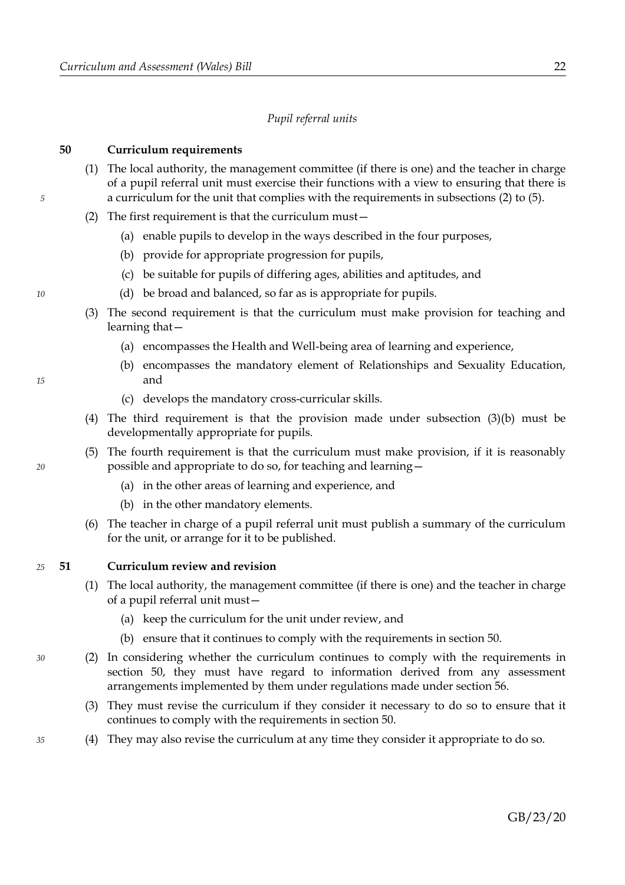### *Pupil referral units*

#### <span id="page-25-0"></span>**50 Curriculum requirements**

- (1) The local authority, the management committee (if there is one) and the teacher in charge of a pupil referral unit must exercise their functions with a view to ensuring that there is a curriculum for the unit that complies with the requirements in subsections [\(2\)](#page-25-4) to [\(5\).](#page-25-3)
- <span id="page-25-4"></span>(2) The first requirement is that the curriculum must—
	- (a) enable pupils to develop in the ways described in the four purposes,
	- (b) provide for appropriate progression for pupils,
	- (c) be suitable for pupils of differing ages, abilities and aptitudes, and
	- (d) be broad and balanced, so far as is appropriate for pupils.
- <span id="page-25-2"></span><span id="page-25-1"></span>(3) The second requirement is that the curriculum must make provision for teaching and learning that—
	- (a) encompasses the Health and Well-being area of learning and experience,
	- (b) encompasses the mandatory element of Relationships and Sexuality Education, and
	- (c) develops the mandatory cross-curricular skills.
- (4) The third requirement is that the provision made under subsection [\(3\)](#page-25-2)[\(b\)](#page-25-1) must be developmentally appropriate for pupils.
- <span id="page-25-3"></span>(5) The fourth requirement is that the curriculum must make provision, if it is reasonably possible and appropriate to do so, for teaching and learning—
	- (a) in the other areas of learning and experience, and
	- (b) in the other mandatory elements.
- (6) The teacher in charge of a pupil referral unit must publish a summary of the curriculum for the unit, or arrange for it to be published.

#### <span id="page-25-5"></span>**51 Curriculum review and revision** *25*

- (1) The local authority, the management committee (if there is one) and the teacher in charge of a pupil referral unit must—
	- (a) keep the curriculum for the unit under review, and
	- (b) ensure that it continues to comply with the requirements in section [50.](#page-25-0)
- (2) In considering whether the curriculum continues to comply with the requirements in section [50,](#page-25-0) they must have regard to information derived from any assessment arrangements implemented by them under regulations made under section [56.](#page-28-0)
	- (3) They must revise the curriculum if they consider it necessary to do so to ensure that it continues to comply with the requirements in section [50.](#page-25-0)
	- (4) They may also revise the curriculum at any time they consider it appropriate to do so.

*15*

*10*

*5*

*20*

*30*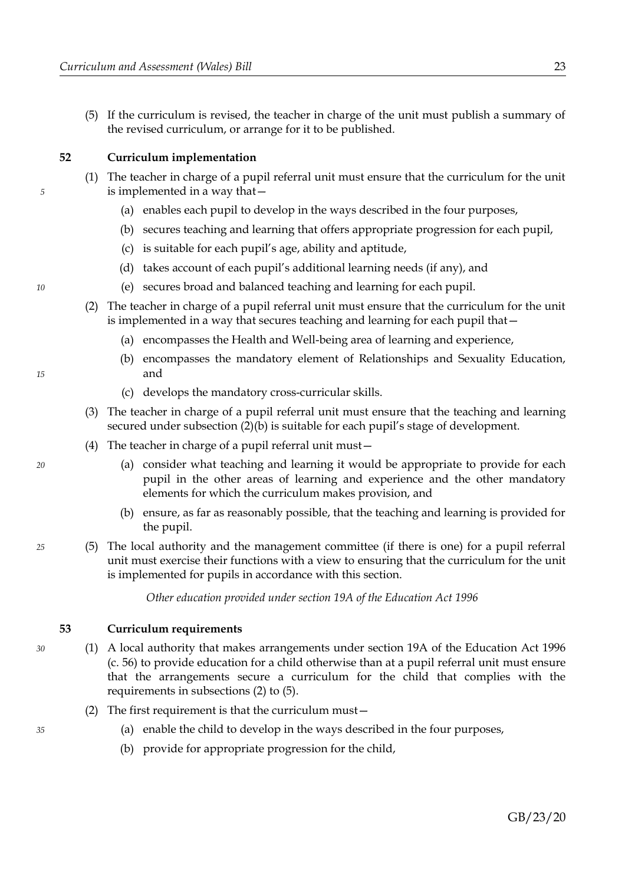(5) If the curriculum is revised, the teacher in charge of the unit must publish a summary of the revised curriculum, or arrange for it to be published.

<span id="page-26-1"></span>**52 Curriculum implementation**

- (1) The teacher in charge of a pupil referral unit must ensure that the curriculum for the unit is implemented in a way that—
	- (a) enables each pupil to develop in the ways described in the four purposes,
	- (b) secures teaching and learning that offers appropriate progression for each pupil,
	- (c) is suitable for each pupil's age, ability and aptitude,
	- (d) takes account of each pupil's additional learning needs (if any), and
	- (e) secures broad and balanced teaching and learning for each pupil.
- <span id="page-26-4"></span><span id="page-26-3"></span>(2) The teacher in charge of a pupil referral unit must ensure that the curriculum for the unit is implemented in a way that secures teaching and learning for each pupil that—
	- (a) encompasses the Health and Well-being area of learning and experience,
	- (b) encompasses the mandatory element of Relationships and Sexuality Education, and
	- (c) develops the mandatory cross-curricular skills.
- (3) The teacher in charge of a pupil referral unit must ensure that the teaching and learning secured under subsection [\(2\)](#page-26-4)[\(b\)](#page-26-3) is suitable for each pupil's stage of development.
- (4) The teacher in charge of a pupil referral unit must—
	- (a) consider what teaching and learning it would be appropriate to provide for each pupil in the other areas of learning and experience and the other mandatory elements for which the curriculum makes provision, and
	- (b) ensure, as far as reasonably possible, that the teaching and learning is provided for the pupil.
- (5) The local authority and the management committee (if there is one) for a pupil referral unit must exercise their functions with a view to ensuring that the curriculum for the unit is implemented for pupils in accordance with this section.

*Other education provided under section 19A of the Education Act 1996*

#### <span id="page-26-0"></span>**53 Curriculum requirements**

- (1) A local authority that makes arrangements under section 19A of the Education Act 1996 (c. 56) to provide education for a child otherwise than at a pupil referral unit must ensure that the arrangements secure a curriculum for the child that complies with the requirements in subsections [\(2\)](#page-26-2) to [\(5\).](#page-27-1)
	- (2) The first requirement is that the curriculum must—
		- (a) enable the child to develop in the ways described in the four purposes,
		- (b) provide for appropriate progression for the child,

*20*

*15*

*5*

*10*

*25*

# GB/23/20

<span id="page-26-2"></span>*35*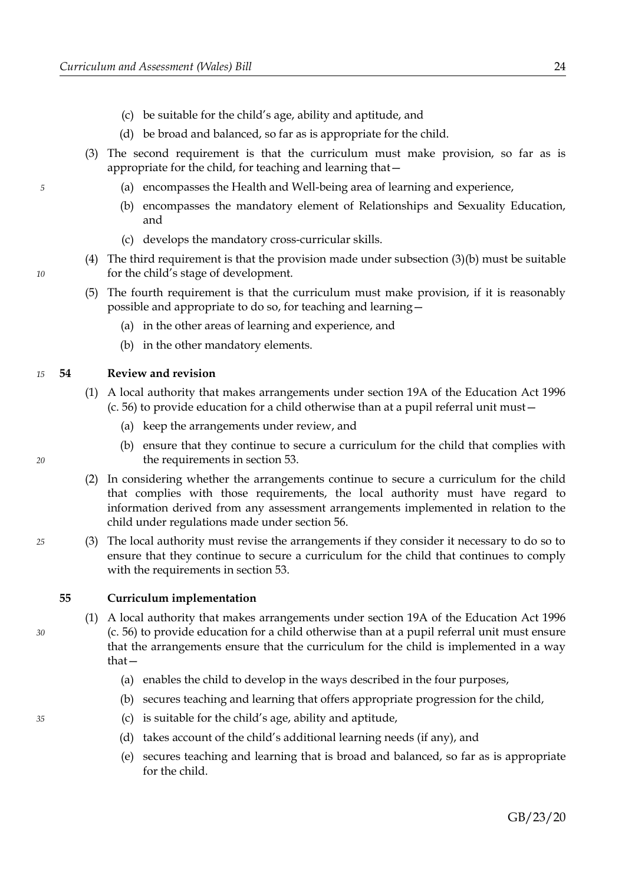- (c) be suitable for the child's age, ability and aptitude, and
- (d) be broad and balanced, so far as is appropriate for the child.
- <span id="page-27-3"></span><span id="page-27-2"></span>(3) The second requirement is that the curriculum must make provision, so far as is appropriate for the child, for teaching and learning that—
	- (a) encompasses the Health and Well-being area of learning and experience,
	- (b) encompasses the mandatory element of Relationships and Sexuality Education, and
	- (c) develops the mandatory cross-curricular skills.
- <span id="page-27-4"></span>(4) The third requirement is that the provision made under subsection [\(3\)](#page-27-3)[\(b\)](#page-27-2) must be suitable for the child's stage of development.
- <span id="page-27-1"></span>(5) The fourth requirement is that the curriculum must make provision, if it is reasonably possible and appropriate to do so, for teaching and learning—
	- (a) in the other areas of learning and experience, and
	- (b) in the other mandatory elements.

#### **54 Review and revision** *15*

- (1) A local authority that makes arrangements under section 19A of the Education Act 1996 (c. 56) to provide education for a child otherwise than at a pupil referral unit must—
	- (a) keep the arrangements under review, and
	- (b) ensure that they continue to secure a curriculum for the child that complies with the requirements in section [53.](#page-26-0)
- (2) In considering whether the arrangements continue to secure a curriculum for the child that complies with those requirements, the local authority must have regard to information derived from any assessment arrangements implemented in relation to the child under regulations made under section [56.](#page-28-0)
- (3) The local authority must revise the arrangements if they consider it necessary to do so to ensure that they continue to secure a curriculum for the child that continues to comply with the requirements in section [53.](#page-26-0)

### <span id="page-27-0"></span>**55 Curriculum implementation**

- (1) A local authority that makes arrangements under section 19A of the Education Act 1996 (c. 56) to provide education for a child otherwise than at a pupil referral unit must ensure that the arrangements ensure that the curriculum for the child is implemented in a way that—
	- (a) enables the child to develop in the ways described in the four purposes,
	- (b) secures teaching and learning that offers appropriate progression for the child,
	- (c) is suitable for the child's age, ability and aptitude,
	- (d) takes account of the child's additional learning needs (if any), and
	- (e) secures teaching and learning that is broad and balanced, so far as is appropriate for the child.

*5*

*10*

*25*

*30*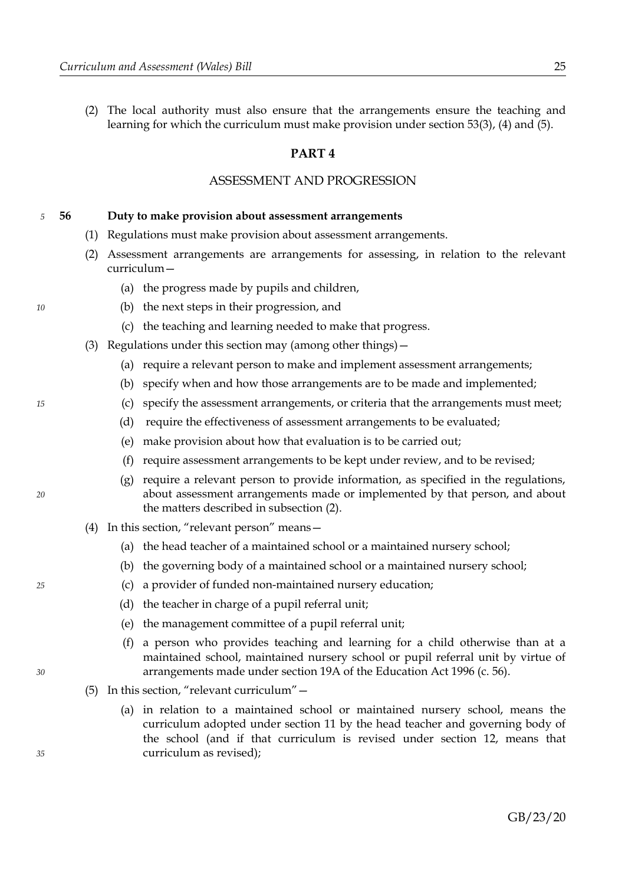(2) The local authority must also ensure that the arrangements ensure the teaching and learning for which the curriculum must make provision under section [53](#page-26-0)[\(3\),](#page-27-3) [\(4\)](#page-27-4) and [\(5\).](#page-27-1)

# <span id="page-28-2"></span>**PART 4**

# ASSESSMENT AND PROGRESSION

#### <span id="page-28-0"></span>**56 Duty to make provision about assessment arrangements** *5*

- (1) Regulations must make provision about assessment arrangements.
- <span id="page-28-1"></span>(2) Assessment arrangements are arrangements for assessing, in relation to the relevant curriculum—
	- (a) the progress made by pupils and children,
	- (b) the next steps in their progression, and
	- (c) the teaching and learning needed to make that progress.
- (3) Regulations under this section may (among other things)—
	- (a) require a relevant person to make and implement assessment arrangements;
	- (b) specify when and how those arrangements are to be made and implemented;
	- (c) specify the assessment arrangements, or criteria that the arrangements must meet;
	- (d) require the effectiveness of assessment arrangements to be evaluated;
	- (e) make provision about how that evaluation is to be carried out;
	- (f) require assessment arrangements to be kept under review, and to be revised;
	- (g) require a relevant person to provide information, as specified in the regulations, about assessment arrangements made or implemented by that person, and about the matters described in subsection [\(2\).](#page-28-1)
- <span id="page-28-3"></span>(4) In this section, "relevant person" means—
	- (a) the head teacher of a maintained school or a maintained nursery school;
	- (b) the governing body of a maintained school or a maintained nursery school;
	- (c) a provider of funded non-maintained nursery education;
	- (d) the teacher in charge of a pupil referral unit;
	- (e) the management committee of a pupil referral unit;
	- (f) a person who provides teaching and learning for a child otherwise than at a maintained school, maintained nursery school or pupil referral unit by virtue of arrangements made under section 19A of the Education Act 1996 (c. 56).
- <span id="page-28-4"></span>(5) In this section, "relevant curriculum"—
	- (a) in relation to a maintained school or maintained nursery school, means the curriculum adopted under section [11](#page-8-1) by the head teacher and governing body of the school (and if that curriculum is revised under section [12,](#page-8-0) means that curriculum as revised);

*15*

*10*

*20*

*25*

*35*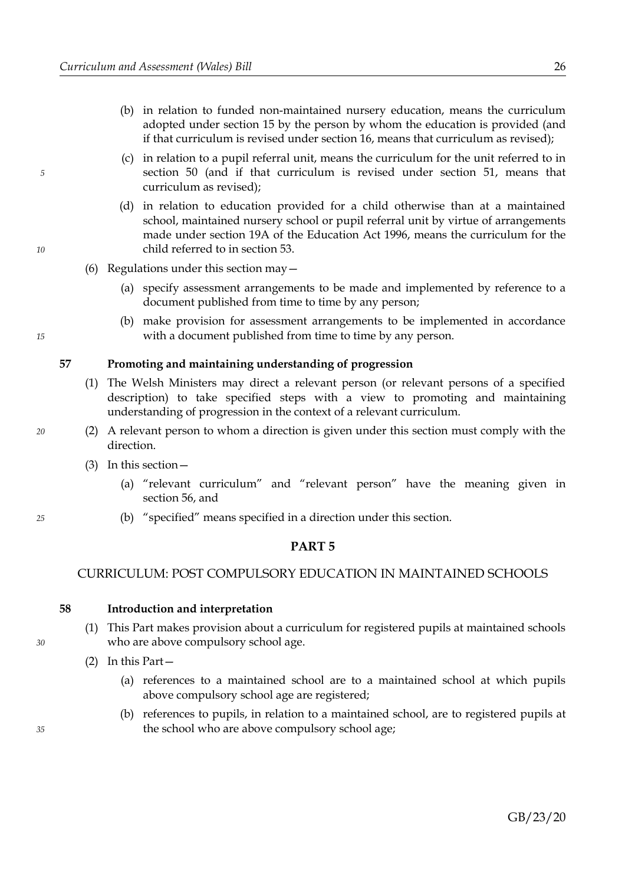- (b) in relation to funded non-maintained nursery education, means the curriculum adopted under section [15](#page-9-1) by the person by whom the education is provided (and if that curriculum is revised under section [16,](#page-9-0) means that curriculum as revised);
- (c) in relation to a pupil referral unit, means the curriculum for the unit referred to in section [50](#page-25-0) (and if that curriculum is revised under section [51,](#page-25-5) means that curriculum as revised);
- (d) in relation to education provided for a child otherwise than at a maintained school, maintained nursery school or pupil referral unit by virtue of arrangements made under section 19A of the Education Act 1996, means the curriculum for the child referred to in section [53.](#page-26-0)
- (6) Regulations under this section may—
	- (a) specify assessment arrangements to be made and implemented by reference to a document published from time to time by any person;
	- (b) make provision for assessment arrangements to be implemented in accordance with a document published from time to time by any person.

#### **57 Promoting and maintaining understanding of progression**

- (1) The Welsh Ministers may direct a relevant person (or relevant persons of a specified description) to take specified steps with a view to promoting and maintaining understanding of progression in the context of a relevant curriculum.
- (2) A relevant person to whom a direction is given under this section must comply with the direction.
	- (3) In this section—
		- (a) "relevant curriculum" and "relevant person" have the meaning given in section [56,](#page-28-0) and
		- (b) "specified" means specified in a direction under this section.

# <span id="page-29-3"></span>**PART 5**

# CURRICULUM: POST COMPULSORY EDUCATION IN MAINTAINED SCHOOLS

#### <span id="page-29-2"></span>**58 Introduction and interpretation**

- (1) This Part makes provision about a curriculum for registered pupils at maintained schools who are above compulsory school age.
- <span id="page-29-1"></span><span id="page-29-0"></span>(2) In this Part—
	- (a) references to a maintained school are to a maintained school at which pupils above compulsory school age are registered;
	- (b) references to pupils, in relation to a maintained school, are to registered pupils at the school who are above compulsory school age;

*20*

*25*

*30*

*35*

*15*

*5*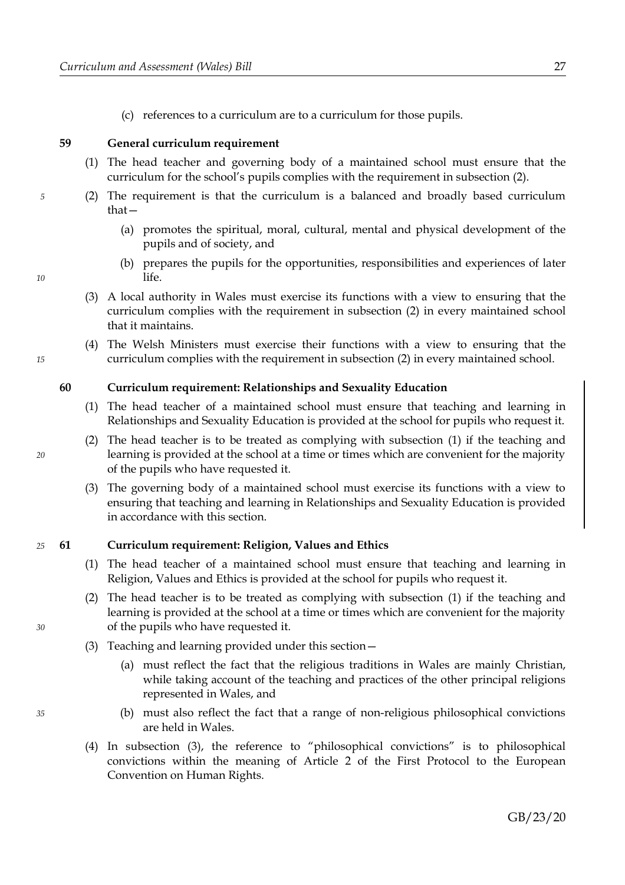(c) references to a curriculum are to a curriculum for those pupils.

### **59 General curriculum requirement**

- (1) The head teacher and governing body of a maintained school must ensure that the curriculum for the school's pupils complies with the requirement in subsection [\(2\).](#page-30-3)
- <span id="page-30-3"></span>(2) The requirement is that the curriculum is a balanced and broadly based curriculum that—
	- (a) promotes the spiritual, moral, cultural, mental and physical development of the pupils and of society, and
	- (b) prepares the pupils for the opportunities, responsibilities and experiences of later life.
	- (3) A local authority in Wales must exercise its functions with a view to ensuring that the curriculum complies with the requirement in subsection [\(2\)](#page-30-3) in every maintained school that it maintains.
	- (4) The Welsh Ministers must exercise their functions with a view to ensuring that the curriculum complies with the requirement in subsection [\(2\)](#page-30-3) in every maintained school.

# **60 Curriculum requirement: Relationships and Sexuality Education**

- <span id="page-30-2"></span>(1) The head teacher of a maintained school must ensure that teaching and learning in Relationships and Sexuality Education is provided at the school for pupils who request it.
- (2) The head teacher is to be treated as complying with subsection [\(1\)](#page-30-2) if the teaching and learning is provided at the school at a time or times which are convenient for the majority of the pupils who have requested it.
- (3) The governing body of a maintained school must exercise its functions with a view to ensuring that teaching and learning in Relationships and Sexuality Education is provided in accordance with this section.

#### **61 Curriculum requirement: Religion, Values and Ethics** *25*

- <span id="page-30-1"></span>(1) The head teacher of a maintained school must ensure that teaching and learning in Religion, Values and Ethics is provided at the school for pupils who request it.
- (2) The head teacher is to be treated as complying with subsection [\(1\)](#page-30-1) if the teaching and learning is provided at the school at a time or times which are convenient for the majority of the pupils who have requested it.
- <span id="page-30-0"></span>(3) Teaching and learning provided under this section—
	- (a) must reflect the fact that the religious traditions in Wales are mainly Christian, while taking account of the teaching and practices of the other principal religions represented in Wales, and
	- (b) must also reflect the fact that a range of non-religious philosophical convictions are held in Wales.
- (4) In subsection [\(3\),](#page-30-0) the reference to "philosophical convictions" is to philosophical convictions within the meaning of Article 2 of the First Protocol to the European Convention on Human Rights.

*30*

*35*

*20*

<span id="page-30-4"></span>

*10*

*15*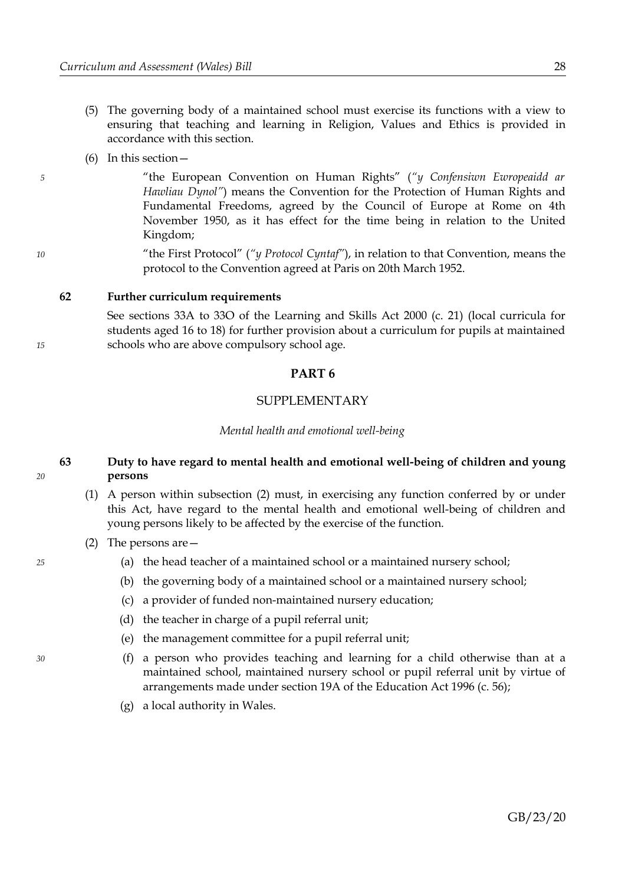- (5) The governing body of a maintained school must exercise its functions with a view to ensuring that teaching and learning in Religion, Values and Ethics is provided in accordance with this section.
- (6) In this section—

*5*

*10*

*15*

*20*

*25*

*30*

"the European Convention on Human Rights" (*"y Confensiwn Ewropeaidd ar Hawliau Dynol"*) means the Convention for the Protection of Human Rights and Fundamental Freedoms, agreed by the Council of Europe at Rome on 4th November 1950, as it has effect for the time being in relation to the United Kingdom;

"the First Protocol" (*"y Protocol Cyntaf"*), in relation to that Convention, means the protocol to the Convention agreed at Paris on 20th March 1952.

#### **62 Further curriculum requirements**

See sections 33A to 33O of the Learning and Skills Act 2000 (c. 21) (local curricula for students aged 16 to 18) for further provision about a curriculum for pupils at maintained schools who are above compulsory school age.

# **PART 6**

# SUPPLEMENTARY

*Mental health and emotional well-being*

### **63 Duty to have regard to mental health and emotional well-being of children and young persons**

- (1) A person within subsection [\(2\)](#page-31-0) must, in exercising any function conferred by or under this Act, have regard to the mental health and emotional well-being of children and young persons likely to be affected by the exercise of the function.
- <span id="page-31-0"></span>(2) The persons are—
	- (a) the head teacher of a maintained school or a maintained nursery school;
	- (b) the governing body of a maintained school or a maintained nursery school;
	- (c) a provider of funded non-maintained nursery education;
	- (d) the teacher in charge of a pupil referral unit;
	- (e) the management committee for a pupil referral unit;
	- (f) a person who provides teaching and learning for a child otherwise than at a maintained school, maintained nursery school or pupil referral unit by virtue of arrangements made under section 19A of the Education Act 1996 (c. 56);
	- (g) a local authority in Wales.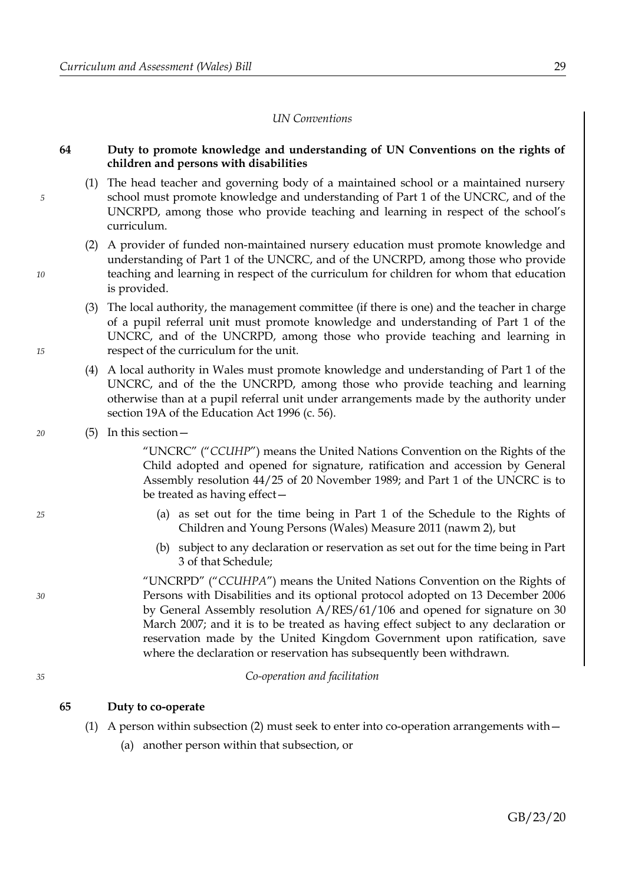### *UN Conventions*

# **64 Duty to promote knowledge and understanding of UN Conventions on the rights of children and persons with disabilities**

- (1) The head teacher and governing body of a maintained school or a maintained nursery school must promote knowledge and understanding of Part 1 of the UNCRC, and of the UNCRPD, among those who provide teaching and learning in respect of the school's curriculum.
- (2) A provider of funded non-maintained nursery education must promote knowledge and understanding of Part 1 of the UNCRC, and of the UNCRPD, among those who provide teaching and learning in respect of the curriculum for children for whom that education is provided.
- (3) The local authority, the management committee (if there is one) and the teacher in charge of a pupil referral unit must promote knowledge and understanding of Part 1 of the UNCRC, and of the UNCRPD, among those who provide teaching and learning in respect of the curriculum for the unit.
- (4) A local authority in Wales must promote knowledge and understanding of Part 1 of the UNCRC, and of the the UNCRPD, among those who provide teaching and learning otherwise than at a pupil referral unit under arrangements made by the authority under section 19A of the Education Act 1996 (c. 56).
- (5) In this section—

*5*

*10*

*15*

*20*

*25*

*30*

*35*

"UNCRC" ("*CCUHP*") means the United Nations Convention on the Rights of the Child adopted and opened for signature, ratification and accession by General Assembly resolution 44/25 of 20 November 1989; and Part 1 of the UNCRC is to be treated as having effect—

- (a) as set out for the time being in Part 1 of the Schedule to the Rights of Children and Young Persons (Wales) Measure 2011 (nawm 2), but
- (b) subject to any declaration or reservation as set out for the time being in Part 3 of that Schedule;

"UNCRPD" ("*CCUHPA*") means the United Nations Convention on the Rights of Persons with Disabilities and its optional protocol adopted on 13 December 2006 by General Assembly resolution A/RES/61/106 and opened for signature on 30 March 2007; and it is to be treated as having effect subject to any declaration or reservation made by the United Kingdom Government upon ratification, save where the declaration or reservation has subsequently been withdrawn.

### *Co-operation and facilitation*

### **65 Duty to co-operate**

- <span id="page-32-0"></span>(1) A person within subsection [\(2\)](#page-33-0) must seek to enter into co-operation arrangements with  $-$ 
	- (a) another person within that subsection, or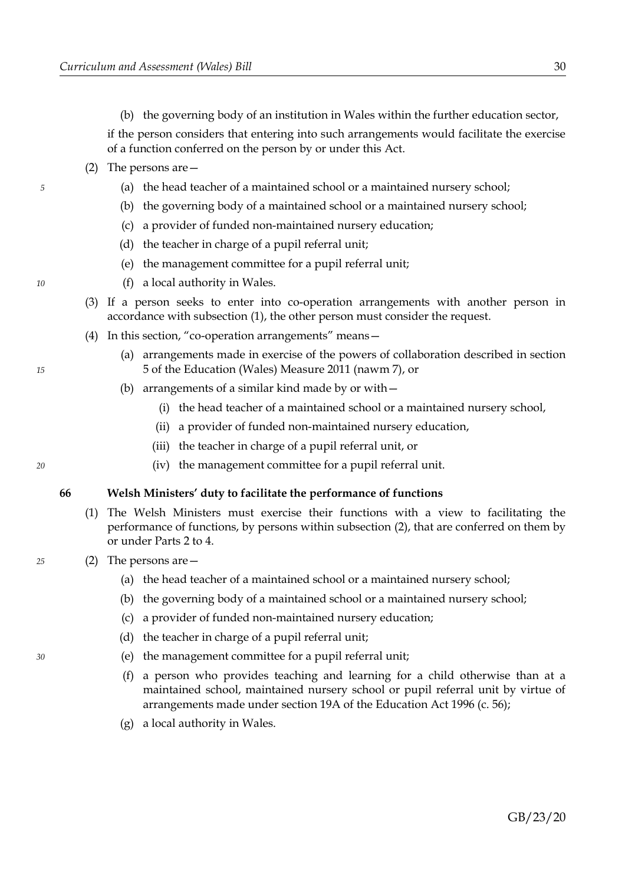(b) the governing body of an institution in Wales within the further education sector,

if the person considers that entering into such arrangements would facilitate the exercise of a function conferred on the person by or under this Act.

- <span id="page-33-0"></span>(2) The persons are—
	- (a) the head teacher of a maintained school or a maintained nursery school;
	- (b) the governing body of a maintained school or a maintained nursery school;
	- (c) a provider of funded non-maintained nursery education;
	- (d) the teacher in charge of a pupil referral unit;
	- (e) the management committee for a pupil referral unit;
	- (f) a local authority in Wales.
- (3) If a person seeks to enter into co-operation arrangements with another person in accordance with subsection [\(1\),](#page-32-0) the other person must consider the request.
- (4) In this section, "co-operation arrangements" means—
	- (a) arrangements made in exercise of the powers of collaboration described in section 5 of the Education (Wales) Measure 2011 (nawm 7), or
	- (b) arrangements of a similar kind made by or with—
		- (i) the head teacher of a maintained school or a maintained nursery school,
		- (ii) a provider of funded non-maintained nursery education,
		- (iii) the teacher in charge of a pupil referral unit, or
		- (iv) the management committee for a pupil referral unit.

### **66 Welsh Ministers' duty to facilitate the performance of functions**

- (1) The Welsh Ministers must exercise their functions with a view to facilitating the performance of functions, by persons within subsection [\(2\),](#page-33-1) that are conferred on them by or under Parts [2](#page-7-1) to [4.](#page-28-2)
- <span id="page-33-1"></span>(2) The persons are—
	- (a) the head teacher of a maintained school or a maintained nursery school;
	- (b) the governing body of a maintained school or a maintained nursery school;
	- (c) a provider of funded non-maintained nursery education;
	- (d) the teacher in charge of a pupil referral unit;
	- (e) the management committee for a pupil referral unit;
	- (f) a person who provides teaching and learning for a child otherwise than at a maintained school, maintained nursery school or pupil referral unit by virtue of arrangements made under section 19A of the Education Act 1996 (c. 56);
	- (g) a local authority in Wales.

*10*

*5*

*20*

*25*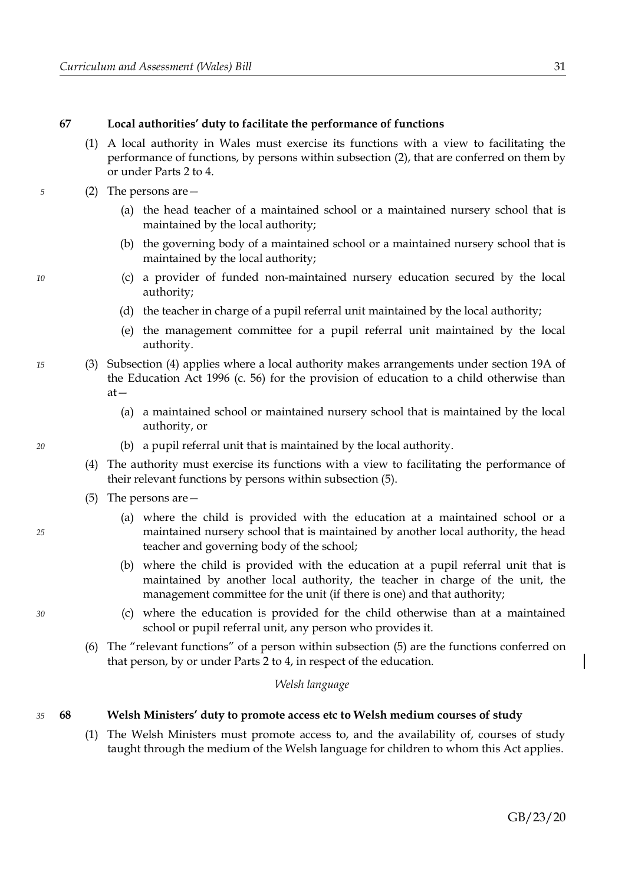# **67 Local authorities' duty to facilitate the performance of functions**

(1) A local authority in Wales must exercise its functions with a view to facilitating the performance of functions, by persons within subsection [\(2\),](#page-34-2) that are conferred on them by or under Parts [2](#page-7-1) to [4.](#page-28-2)

### <span id="page-34-2"></span>(2) The persons are—

- (a) the head teacher of a maintained school or a maintained nursery school that is maintained by the local authority;
- (b) the governing body of a maintained school or a maintained nursery school that is maintained by the local authority;
- (c) a provider of funded non-maintained nursery education secured by the local authority;
- (d) the teacher in charge of a pupil referral unit maintained by the local authority;
- (e) the management committee for a pupil referral unit maintained by the local authority.
- (3) Subsection [\(4\)](#page-34-1) applies where a local authority makes arrangements under section 19A of the Education Act 1996 (c. 56) for the provision of education to a child otherwise than at—
	- (a) a maintained school or maintained nursery school that is maintained by the local authority, or
	- (b) a pupil referral unit that is maintained by the local authority.
	- (4) The authority must exercise its functions with a view to facilitating the performance of their relevant functions by persons within subsection [\(5\).](#page-34-0)
	- (5) The persons are—
		- (a) where the child is provided with the education at a maintained school or a maintained nursery school that is maintained by another local authority, the head teacher and governing body of the school;
		- (b) where the child is provided with the education at a pupil referral unit that is maintained by another local authority, the teacher in charge of the unit, the management committee for the unit (if there is one) and that authority;
		- (c) where the education is provided for the child otherwise than at a maintained school or pupil referral unit, any person who provides it.
	- (6) The "relevant functions" of a person within subsection [\(5\)](#page-34-0) are the functions conferred on that person, by or under Parts [2](#page-7-1) to [4,](#page-28-2) in respect of the education.

#### *Welsh language*

#### <span id="page-34-3"></span>**68 Welsh Ministers' duty to promote access etc to Welsh medium courses of study** *35*

(1) The Welsh Ministers must promote access to, and the availability of, courses of study taught through the medium of the Welsh language for children to whom this Act applies.

GB/23/20

<span id="page-34-0"></span>

<span id="page-34-1"></span>*20*

*5*

*10*

*15*

*25*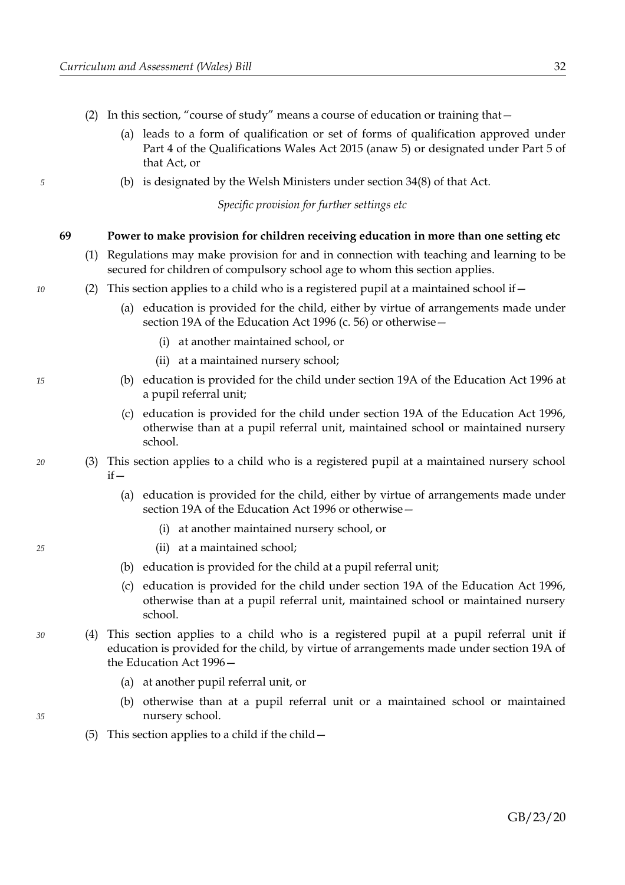- <span id="page-35-0"></span>(2) In this section, "course of study" means a course of education or training that—
	- (a) leads to a form of qualification or set of forms of qualification approved under Part 4 of the Qualifications Wales Act 2015 (anaw 5) or designated under Part 5 of that Act, or
	- (b) is designated by the Welsh Ministers under section 34(8) of that Act.

*Specific provision for further settings etc*

### **69 Power to make provision for children receiving education in more than one setting etc**

- (1) Regulations may make provision for and in connection with teaching and learning to be secured for children of compulsory school age to whom this section applies.
- (2) This section applies to a child who is a registered pupil at a maintained school if—
	- (a) education is provided for the child, either by virtue of arrangements made under section 19A of the Education Act 1996 (c. 56) or otherwise—
		- (i) at another maintained school, or
		- (ii) at a maintained nursery school;
	- (b) education is provided for the child under section 19A of the Education Act 1996 at a pupil referral unit;
	- (c) education is provided for the child under section 19A of the Education Act 1996, otherwise than at a pupil referral unit, maintained school or maintained nursery school.
- (3) This section applies to a child who is a registered pupil at a maintained nursery school  $if -$ 
	- (a) education is provided for the child, either by virtue of arrangements made under section 19A of the Education Act 1996 or otherwise—
		- (i) at another maintained nursery school, or
		- (ii) at a maintained school;
	- (b) education is provided for the child at a pupil referral unit;
	- (c) education is provided for the child under section 19A of the Education Act 1996, otherwise than at a pupil referral unit, maintained school or maintained nursery school.
	- (4) This section applies to a child who is a registered pupil at a pupil referral unit if education is provided for the child, by virtue of arrangements made under section 19A of the Education Act 1996—
		- (a) at another pupil referral unit, or
		- (b) otherwise than at a pupil referral unit or a maintained school or maintained nursery school.
		- (5) This section applies to a child if the child—

*15*

*10*

*5*

*20*

*25*

*35*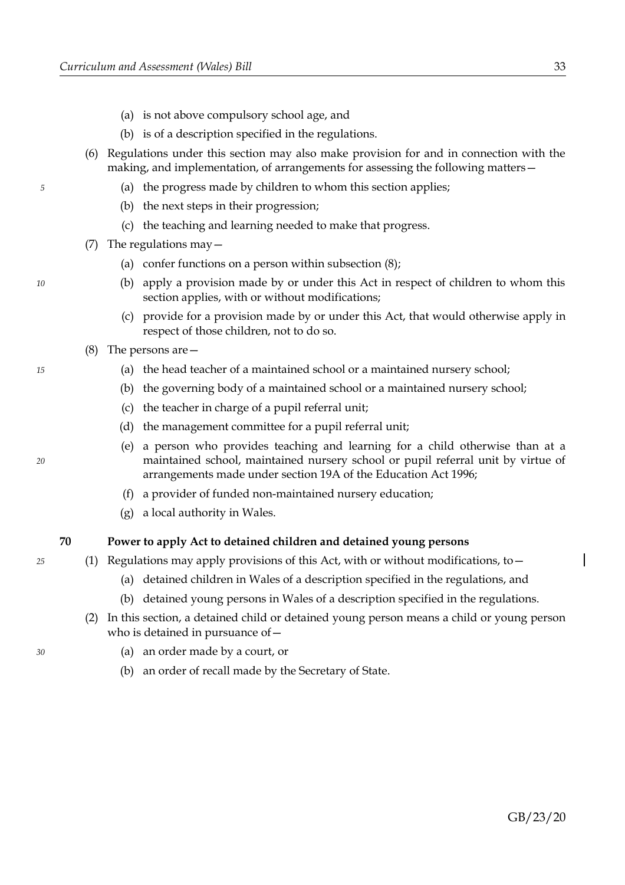- (a) is not above compulsory school age, and
- (b) is of a description specified in the regulations.
- (6) Regulations under this section may also make provision for and in connection with the making, and implementation, of arrangements for assessing the following matters—
	- (a) the progress made by children to whom this section applies;
	- (b) the next steps in their progression;
	- (c) the teaching and learning needed to make that progress.
- (7) The regulations may  $-$ 
	- (a) confer functions on a person within subsection [\(8\);](#page-36-0)
	- (b) apply a provision made by or under this Act in respect of children to whom this section applies, with or without modifications;
	- (c) provide for a provision made by or under this Act, that would otherwise apply in respect of those children, not to do so.
- <span id="page-36-0"></span>(8) The persons are—
	- (a) the head teacher of a maintained school or a maintained nursery school;
	- (b) the governing body of a maintained school or a maintained nursery school;
	- (c) the teacher in charge of a pupil referral unit;
	- (d) the management committee for a pupil referral unit;
	- (e) a person who provides teaching and learning for a child otherwise than at a maintained school, maintained nursery school or pupil referral unit by virtue of arrangements made under section 19A of the Education Act 1996;
	- (f) a provider of funded non-maintained nursery education;
	- (g) a local authority in Wales.

### **70 Power to apply Act to detained children and detained young persons**

*25*

*30*

*5*

*10*

*15*

*20*

(1) Regulations may apply provisions of this Act, with or without modifications, to—

- (a) detained children in Wales of a description specified in the regulations, and
- (b) detained young persons in Wales of a description specified in the regulations.
- (2) In this section, a detained child or detained young person means a child or young person who is detained in pursuance of—
	- (a) an order made by a court, or
	- (b) an order of recall made by the Secretary of State.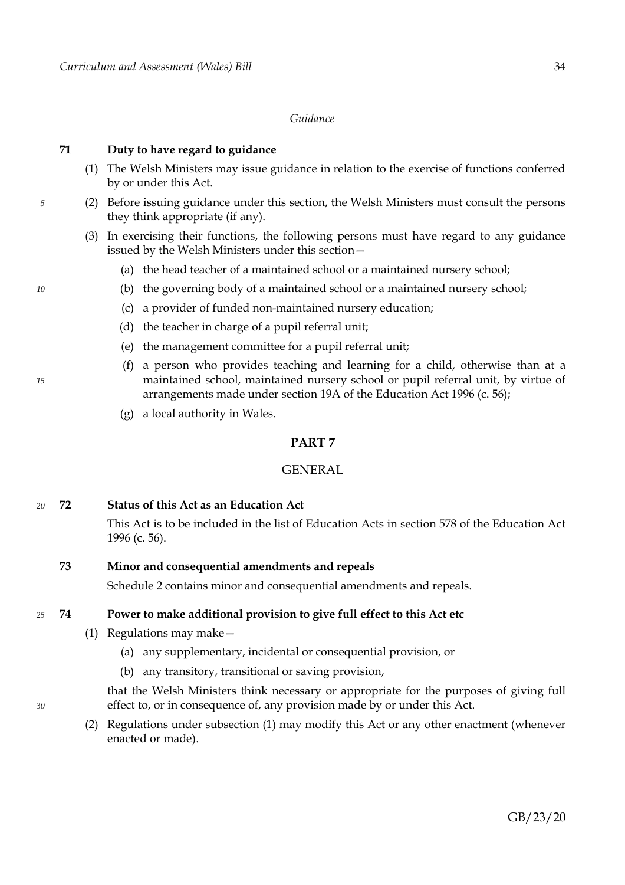#### *Guidance*

#### **71 Duty to have regard to guidance**

- (1) The Welsh Ministers may issue guidance in relation to the exercise of functions conferred by or under this Act.
- (2) Before issuing guidance under this section, the Welsh Ministers must consult the persons they think appropriate (if any).
- (3) In exercising their functions, the following persons must have regard to any guidance issued by the Welsh Ministers under this section—
	- (a) the head teacher of a maintained school or a maintained nursery school;
	- (b) the governing body of a maintained school or a maintained nursery school;
	- (c) a provider of funded non-maintained nursery education;
	- (d) the teacher in charge of a pupil referral unit;
	- (e) the management committee for a pupil referral unit;
	- (f) a person who provides teaching and learning for a child, otherwise than at a maintained school, maintained nursery school or pupil referral unit, by virtue of arrangements made under section 19A of the Education Act 1996 (c. 56);
	- (g) a local authority in Wales.

### **PART 7**

#### **GENERAL**

#### **72 Status of this Act as an Education Act** *20*

This Act is to be included in the list of Education Acts in section 578 of the Education Act 1996 (c. 56).

#### <span id="page-37-2"></span>**73 Minor and consequential amendments and repeals**

Schedule [2](#page-48-0) contains minor and consequential amendments and repeals.

#### <span id="page-37-1"></span>**74 Power to make additional provision to give full effect to this Act etc** *25*

- <span id="page-37-0"></span>(1) Regulations may make—
	- (a) any supplementary, incidental or consequential provision, or
	- (b) any transitory, transitional or saving provision,

that the Welsh Ministers think necessary or appropriate for the purposes of giving full effect to, or in consequence of, any provision made by or under this Act.

(2) Regulations under subsection [\(1\)](#page-37-0) may modify this Act or any other enactment (whenever enacted or made).

*10*

*5*

# *15*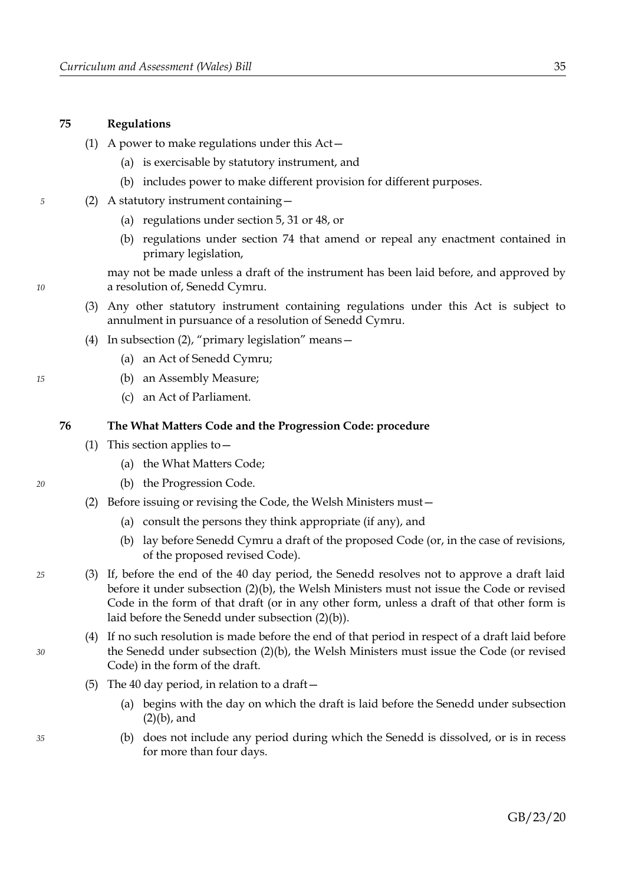#### **75 Regulations**

- (1) A power to make regulations under this Act—
	- (a) is exercisable by statutory instrument, and
	- (b) includes power to make different provision for different purposes.
- <span id="page-38-3"></span>(2) A statutory instrument containing—
	- (a) regulations under section [5,](#page-6-0) [31](#page-14-2) or [48,](#page-24-1) or
	- (b) regulations under section [74](#page-37-1) that amend or repeal any enactment contained in primary legislation,

may not be made unless a draft of the instrument has been laid before, and approved by a resolution of, Senedd Cymru.

- (3) Any other statutory instrument containing regulations under this Act is subject to annulment in pursuance of a resolution of Senedd Cymru.
- (4) In subsection [\(2\),](#page-38-3) "primary legislation" means—
	- (a) an Act of Senedd Cymru;
	- (b) an Assembly Measure;
	- (c) an Act of Parliament.

#### <span id="page-38-0"></span>**76 The What Matters Code and the Progression Code: procedure**

- <span id="page-38-5"></span>(1) This section applies to  $-$ 
	- (a) the What Matters Code;
	- (b) the Progression Code.
- <span id="page-38-4"></span><span id="page-38-2"></span><span id="page-38-1"></span>(2) Before issuing or revising the Code, the Welsh Ministers must—
	- (a) consult the persons they think appropriate (if any), and
	- (b) lay before Senedd Cymru a draft of the proposed Code (or, in the case of revisions, of the proposed revised Code).
- (3) If, before the end of the 40 day period, the Senedd resolves not to approve a draft laid before it under subsection [\(2\)](#page-38-2)[\(b\),](#page-38-1) the Welsh Ministers must not issue the Code or revised Code in the form of that draft (or in any other form, unless a draft of that other form is laid before the Senedd under subsection [\(2\)](#page-38-2)[\(b\)\)](#page-38-1).
	- (4) If no such resolution is made before the end of that period in respect of a draft laid before the Senedd under subsection [\(2\)](#page-38-2)[\(b\),](#page-38-1) the Welsh Ministers must issue the Code (or revised Code) in the form of the draft.
	- (5) The 40 day period, in relation to a draft—
		- (a) begins with the day on which the draft is laid before the Senedd under subsection [\(2\)](#page-38-2)[\(b\),](#page-38-1) and
		- (b) does not include any period during which the Senedd is dissolved, or is in recess for more than four days.

*15*

*5*

*10*

*20*

*25*

*30*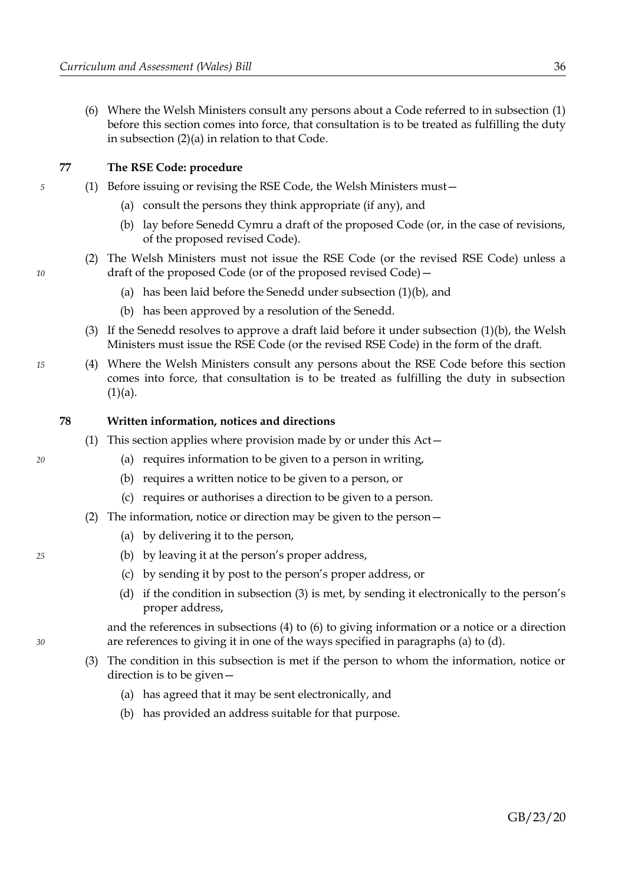(6) Where the Welsh Ministers consult any persons about a Code referred to in subsection [\(1\)](#page-38-5) before this section comes into force, that consultation is to be treated as fulfilling the duty in subsection [\(2\)](#page-38-2)[\(a\)](#page-38-4) in relation to that Code.

### <span id="page-39-0"></span>**77 The RSE Code: procedure**

- <span id="page-39-6"></span><span id="page-39-5"></span><span id="page-39-4"></span>(1) Before issuing or revising the RSE Code, the Welsh Ministers must—
	- (a) consult the persons they think appropriate (if any), and
	- (b) lay before Senedd Cymru a draft of the proposed Code (or, in the case of revisions, of the proposed revised Code).
	- (2) The Welsh Ministers must not issue the RSE Code (or the revised RSE Code) unless a draft of the proposed Code (or of the proposed revised Code)—
		- (a) has been laid before the Senedd under subsection [\(1\)](#page-39-5)[\(b\),](#page-39-6) and
		- (b) has been approved by a resolution of the Senedd.
	- (3) If the Senedd resolves to approve a draft laid before it under subsection [\(1\)](#page-39-5)[\(b\),](#page-39-6) the Welsh Ministers must issue the RSE Code (or the revised RSE Code) in the form of the draft.
- (4) Where the Welsh Ministers consult any persons about the RSE Code before this section comes into force, that consultation is to be treated as fulfilling the duty in subsection  $(1)(a)$  $(1)(a)$ .

### **78 Written information, notices and directions**

- (1) This section applies where provision made by or under this Act—
	- (a) requires information to be given to a person in writing,
	- (b) requires a written notice to be given to a person, or
	- (c) requires or authorises a direction to be given to a person.
- <span id="page-39-10"></span><span id="page-39-8"></span><span id="page-39-2"></span>(2) The information, notice or direction may be given to the person—
	- (a) by delivering it to the person,
	- (b) by leaving it at the person's proper address,
	- (c) by sending it by post to the person's proper address, or
	- (d) if the condition in subsection [\(3\)](#page-39-3) is met, by sending it electronically to the person's proper address,

<span id="page-39-9"></span><span id="page-39-1"></span>and the references in subsections [\(4\)](#page-40-1) to [\(6\)](#page-40-0) to giving information or a notice or a direction are references to giving it in one of the ways specified in paragraphs [\(a\)](#page-39-2) to [\(d\).](#page-39-1)

- <span id="page-39-7"></span><span id="page-39-3"></span>(3) The condition in this subsection is met if the person to whom the information, notice or direction is to be given—
	- (a) has agreed that it may be sent electronically, and
	- (b) has provided an address suitable for that purpose.

*15*

*10*

*5*

*20*

*25*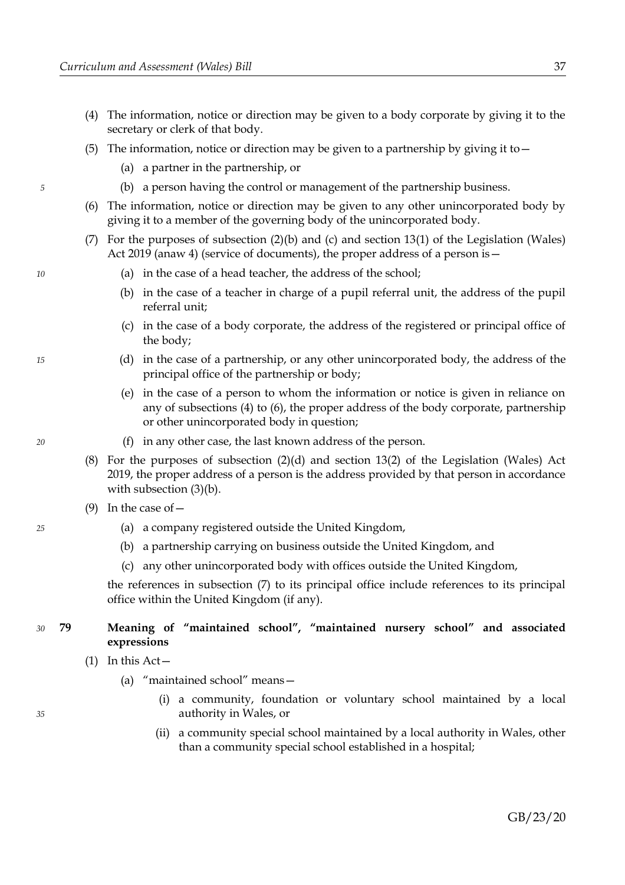- <span id="page-40-1"></span>(4) The information, notice or direction may be given to a body corporate by giving it to the secretary or clerk of that body.
- (5) The information, notice or direction may be given to a partnership by giving it to  $-$ 
	- (a) a partner in the partnership, or
	- (b) a person having the control or management of the partnership business.
- <span id="page-40-0"></span>(6) The information, notice or direction may be given to any other unincorporated body by giving it to a member of the governing body of the unincorporated body.
- <span id="page-40-2"></span>(7) For the purposes of subsection [\(2\)](#page-39-8)[\(b\)](#page-39-10) and [\(c\)](#page-39-9) and section 13(1) of the Legislation (Wales) Act 2019 (anaw 4) (service of documents), the proper address of a person is—
	- (a) in the case of a head teacher, the address of the school;
	- (b) in the case of a teacher in charge of a pupil referral unit, the address of the pupil referral unit;
	- (c) in the case of a body corporate, the address of the registered or principal office of the body;
	- (d) in the case of a partnership, or any other unincorporated body, the address of the principal office of the partnership or body;
	- (e) in the case of a person to whom the information or notice is given in reliance on any of subsections [\(4\)](#page-40-1) to [\(6\),](#page-40-0) the proper address of the body corporate, partnership or other unincorporated body in question;
	- (f) in any other case, the last known address of the person.
- (8) For the purposes of subsection [\(2\)](#page-39-8)[\(d\)](#page-39-1) and section 13(2) of the Legislation (Wales) Act 2019, the proper address of a person is the address provided by that person in accordance with subsection  $(3)(b)$ .
- (9) In the case of  $-$ 
	- (a) a company registered outside the United Kingdom,
	- (b) a partnership carrying on business outside the United Kingdom, and
	- (c) any other unincorporated body with offices outside the United Kingdom,

the references in subsection [\(7\)](#page-40-2) to its principal office include references to its principal office within the United Kingdom (if any).

#### <span id="page-40-3"></span>**79 Meaning of "maintained school", "maintained nursery school" and associated expressions** *30*

- <span id="page-40-5"></span><span id="page-40-4"></span>(1) In this  $Act-$ 
	- (a) "maintained school" means—
		- (i) a community, foundation or voluntary school maintained by a local authority in Wales, or
		- (ii) a community special school maintained by a local authority in Wales, other than a community special school established in a hospital;

*35*

*15*

*5*

*10*

*20*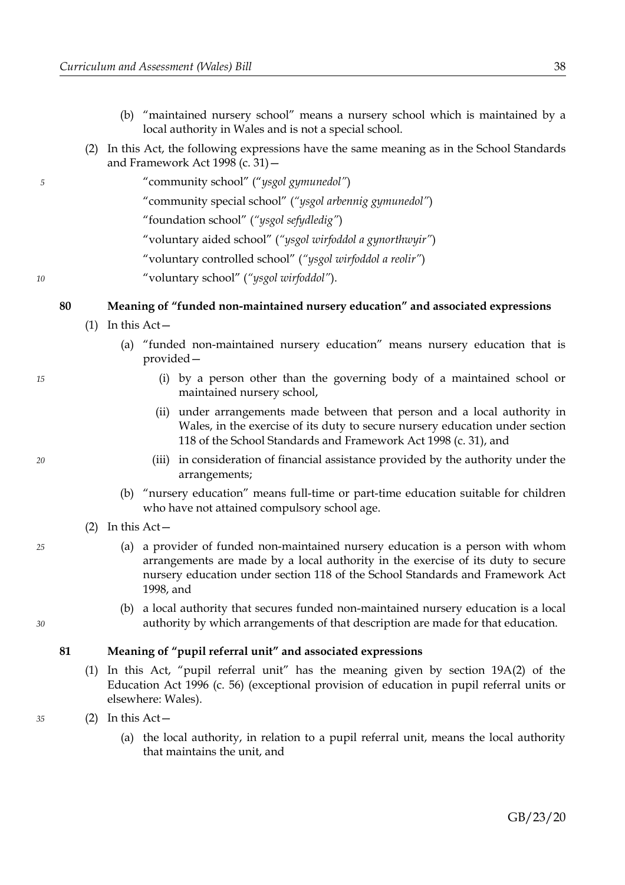- <span id="page-41-9"></span>(b) "maintained nursery school" means a nursery school which is maintained by a local authority in Wales and is not a special school.
- <span id="page-41-0"></span>(2) In this Act, the following expressions have the same meaning as in the School Standards and Framework Act 1998 (c. 31)—
	- "community school" ("*ysgol gymunedol"*)
	- "community special school" (*"ysgol arbennig gymunedol"*)
	- "foundation school" (*"ysgol sefydledig"*)
	- "voluntary aided school" (*"ysgol wirfoddol a gynorthwyir"*)
	- "voluntary controlled school" (*"ysgol wirfoddol a reolir"*)

"voluntary school" (*"ysgol wirfoddol"*).

### <span id="page-41-5"></span>**80 Meaning of "funded non-maintained nursery education" and associated expressions**

- <span id="page-41-12"></span><span id="page-41-7"></span> $(1)$  In this Act –
	- (a) "funded non-maintained nursery education" means nursery education that is provided—
		- (i) by a person other than the governing body of a maintained school or maintained nursery school,
		- (ii) under arrangements made between that person and a local authority in Wales, in the exercise of its duty to secure nursery education under section 118 of the School Standards and Framework Act 1998 (c. 31), and
		- (iii) in consideration of financial assistance provided by the authority under the arrangements;
	- (b) "nursery education" means full-time or part-time education suitable for children who have not attained compulsory school age.
- <span id="page-41-6"></span><span id="page-41-4"></span><span id="page-41-3"></span>(2) In this Act—
	- (a) a provider of funded non-maintained nursery education is a person with whom arrangements are made by a local authority in the exercise of its duty to secure nursery education under section 118 of the School Standards and Framework Act 1998, and
	- (b) a local authority that secures funded non-maintained nursery education is a local authority by which arrangements of that description are made for that education.

# <span id="page-41-2"></span>**81 Meaning of "pupil referral unit" and associated expressions**

<span id="page-41-10"></span><span id="page-41-1"></span>(1) In this Act, "pupil referral unit" has the meaning given by section 19A(2) of the Education Act 1996 (c. 56) (exceptional provision of education in pupil referral units or elsewhere: Wales).

<span id="page-41-8"></span>(2) In this Act—

<span id="page-41-11"></span>(a) the local authority, in relation to a pupil referral unit, means the local authority that maintains the unit, and

*20*

*15*

*5*

*10*

*30*

*25*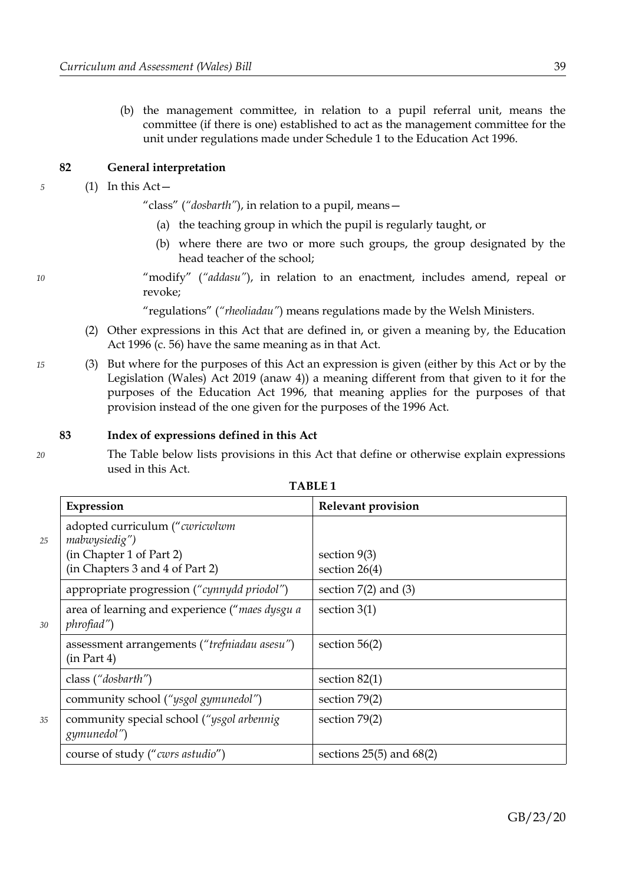<span id="page-42-2"></span>(b) the management committee, in relation to a pupil referral unit, means the committee (if there is one) established to act as the management committee for the unit under regulations made under Schedule 1 to the Education Act 1996.

# <span id="page-42-1"></span>**82 General interpretation**

# <span id="page-42-0"></span>(1) In this  $Act-$

"class" (*"dosbarth"*), in relation to a pupil, means—

- (a) the teaching group in which the pupil is regularly taught, or
- (b) where there are two or more such groups, the group designated by the head teacher of the school;
- "modify" (*"addasu"*), in relation to an enactment, includes amend, repeal or revoke;

"regulations" (*"rheoliadau"*) means regulations made by the Welsh Ministers.

- (2) Other expressions in this Act that are defined in, or given a meaning by, the Education Act 1996 (c. 56) have the same meaning as in that Act.
- (3) But where for the purposes of this Act an expression is given (either by this Act or by the Legislation (Wales) Act 2019 (anaw 4)) a meaning different from that given to it for the purposes of the Education Act 1996, that meaning applies for the purposes of that provision instead of the one given for the purposes of the 1996 Act.

### **83 Index of expressions defined in this Act**

*20*

*5*

*10*

*15*

The Table below lists provisions in this Act that define or otherwise explain expressions used in this Act.

|    | Expression                                                                                                     | <b>Relevant provision</b>         |
|----|----------------------------------------------------------------------------------------------------------------|-----------------------------------|
| 25 | adopted curriculum ("cwricwlwm<br>mabwysiedig")<br>(in Chapter 1 of Part 2)<br>(in Chapters 3 and 4 of Part 2) | section $9(3)$<br>section $26(4)$ |
| 30 | appropriate progression ("cynnydd priodol")                                                                    | section $7(2)$ and $(3)$          |
|    | area of learning and experience ("maes dysgu a<br>phrofiad")                                                   | section $3(1)$                    |
|    | assessment arrangements ("trefniadau asesu")<br>(in Part 4)                                                    | section $56(2)$                   |
|    | class ("dosbarth")                                                                                             | section $82(1)$                   |
| 35 | community school ("ysgol gymunedol")                                                                           | section $79(2)$                   |
|    | community special school ("ysgol arbennig<br>gymunedol")                                                       | section $79(2)$                   |
|    | course of study ("cwrs astudio")                                                                               | sections $25(5)$ and $68(2)$      |

**TABLE 1**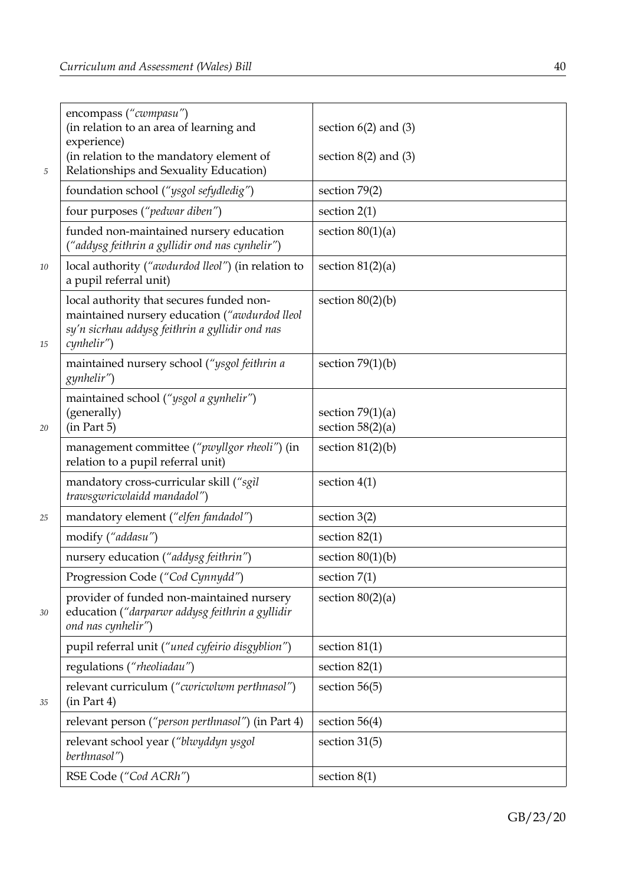| 5      | encompass ("cwmpasu")<br>(in relation to an area of learning and<br>experience)<br>(in relation to the mandatory element of<br>Relationships and Sexuality Education) | section $6(2)$ and $(3)$<br>section $8(2)$ and $(3)$ |
|--------|-----------------------------------------------------------------------------------------------------------------------------------------------------------------------|------------------------------------------------------|
|        | foundation school ("ysgol sefydledig")                                                                                                                                | section $79(2)$                                      |
|        | four purposes ("pedwar diben")                                                                                                                                        | section $2(1)$                                       |
|        | funded non-maintained nursery education<br>("addysg feithrin a gyllidir ond nas cynhelir")                                                                            | section $80(1)(a)$                                   |
| 10     | local authority ("awdurdod lleol") (in relation to<br>a pupil referral unit)                                                                                          | section $81(2)(a)$                                   |
| 15     | local authority that secures funded non-<br>maintained nursery education ("awdurdod lleol<br>sy'n sicrhau addysg feithrin a gyllidir ond nas<br>cynhelir")            | section $80(2)(b)$                                   |
|        | maintained nursery school ("ysgol feithrin a<br>gynhelir")                                                                                                            | section $79(1)(b)$                                   |
| $20\,$ | maintained school ("ysgol a gynhelir")<br>(generally)<br>(in Part 5)                                                                                                  | section $79(1)(a)$<br>section $58(2)(a)$             |
|        | management committee ("pwyllgor rheoli") (in<br>relation to a pupil referral unit)                                                                                    | section $81(2)(b)$                                   |
|        | mandatory cross-curricular skill ("sgìl<br>trawsgwricwlaidd mandadol")                                                                                                | section $4(1)$                                       |
| 25     | mandatory element ("elfen fandadol")                                                                                                                                  | section $3(2)$                                       |
|        | modify ("addasu")                                                                                                                                                     | section $82(1)$                                      |
|        | nursery education ("addysg feithrin")                                                                                                                                 | section $80(1)(b)$                                   |
|        | Progression Code ("Cod Cynnydd")                                                                                                                                      | section $7(1)$                                       |
| 30     | provider of funded non-maintained nursery<br>education ("darparwr addysg feithrin a gyllidir<br>ond nas cynhelir")                                                    | section $80(2)(a)$                                   |
|        | pupil referral unit ("uned cyfeirio disgyblion")                                                                                                                      | section $81(1)$                                      |
|        | regulations ("rheoliadau")                                                                                                                                            | section $82(1)$                                      |
| 35     | relevant curriculum ("cwricwlwm perthnasol")<br>(in Part 4)                                                                                                           | section $56(5)$                                      |
|        | relevant person ("person perthnasol") (in Part 4)                                                                                                                     | section $56(4)$                                      |
|        | relevant school year ("blwyddyn ysgol<br>berthnasol")                                                                                                                 | section $31(5)$                                      |
|        | RSE Code ("Cod ACRh")                                                                                                                                                 | section $8(1)$                                       |

GB/23/20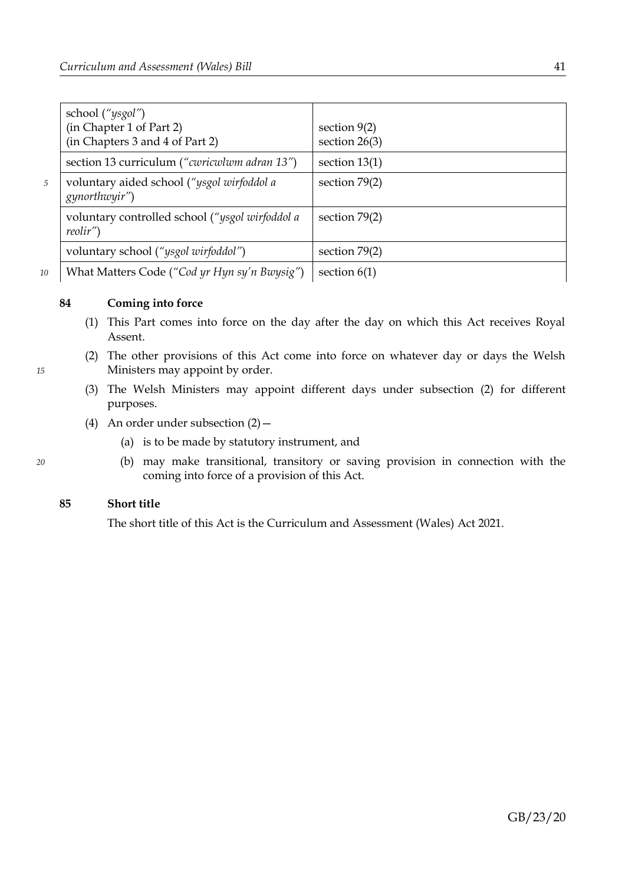|   | school ("ysgol")<br>(in Chapter 1 of Part 2)<br>(in Chapters 3 and 4 of Part 2) | section $9(2)$<br>section $26(3)$ |
|---|---------------------------------------------------------------------------------|-----------------------------------|
|   | section 13 curriculum ("cwricwlwm adran 13")                                    | section $13(1)$                   |
| 5 | voluntary aided school ("ysgol wirfoddol a<br><i>gynorthwyir</i> ")             | section $79(2)$                   |
|   | voluntary controlled school ("ysgol wirfoddol a<br>reolir'                      | section $79(2)$                   |
|   | voluntary school ("ysgol wirfoddol")                                            | section $79(2)$                   |
| 0 | What Matters Code ("Cod yr Hyn sy'n Bwysig")                                    | section $6(1)$                    |

*10*

*15*

*20*

# **84 Coming into force**

- (1) This Part comes into force on the day after the day on which this Act receives Royal Assent.
- <span id="page-44-0"></span>(2) The other provisions of this Act come into force on whatever day or days the Welsh Ministers may appoint by order.
- (3) The Welsh Ministers may appoint different days under subsection [\(2\)](#page-44-0) for different purposes.
- (4) An order under subsection  $(2)$ 
	- (a) is to be made by statutory instrument, and
	- (b) may make transitional, transitory or saving provision in connection with the coming into force of a provision of this Act.

# **85 Short title**

The short title of this Act is the Curriculum and Assessment (Wales) Act 2021.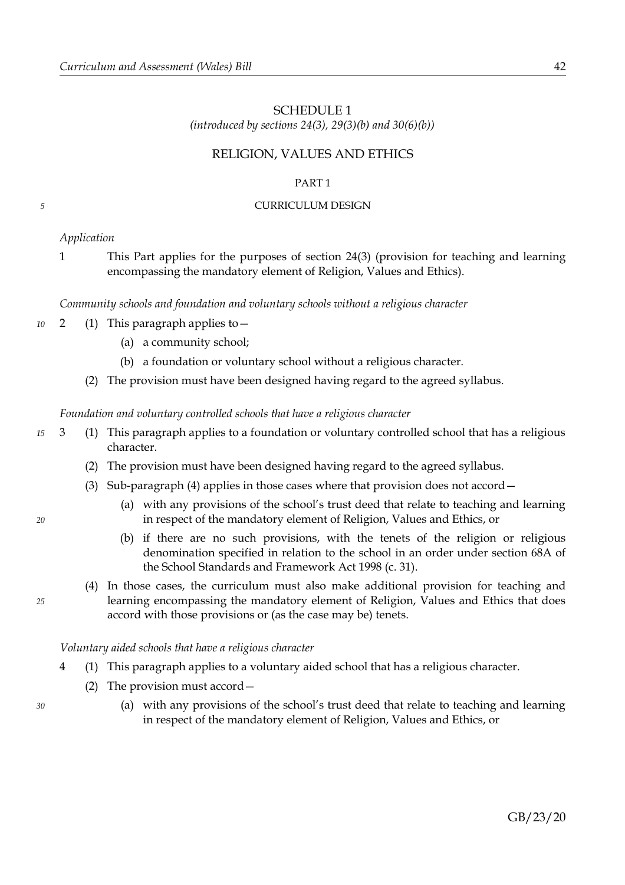# <span id="page-45-0"></span>SCHEDULE 1

*(introduced by sections [24](#page-11-1)[\(3\),](#page-11-5) [29](#page-13-1)[\(3\)](#page-13-7)[\(b\)](#page-13-6) and [30](#page-13-0)[\(6\)](#page-14-5)[\(b\)\)](#page-14-4)*

# RELIGION, VALUES AND ETHICS

# <span id="page-45-1"></span>PART 1

# CURRICULUM DESIGN

# *Application*

*5*

1 This Part applies for the purposes of section [24](#page-11-1)[\(3\)](#page-11-5) (provision for teaching and learning encompassing the mandatory element of Religion, Values and Ethics).

<span id="page-45-6"></span>*Community schools and foundation and voluntary schools without a religious character*

- 2 (1) This paragraph applies to— *10*
	- (a) a community school;
	- (b) a foundation or voluntary school without a religious character.
	- (2) The provision must have been designed having regard to the agreed syllabus.

<span id="page-45-5"></span><span id="page-45-4"></span>*Foundation and voluntary controlled schools that have a religious character*

- <span id="page-45-3"></span>3 (1) This paragraph applies to a foundation or voluntary controlled school that has a religious character. *15*
	- (2) The provision must have been designed having regard to the agreed syllabus.
	- (3) Sub-paragraph [\(4\)](#page-45-2) applies in those cases where that provision does not accord—
		- (a) with any provisions of the school's trust deed that relate to teaching and learning in respect of the mandatory element of Religion, Values and Ethics, or
		- (b) if there are no such provisions, with the tenets of the religion or religious denomination specified in relation to the school in an order under section 68A of the School Standards and Framework Act 1998 (c. 31).
	- (4) In those cases, the curriculum must also make additional provision for teaching and learning encompassing the mandatory element of Religion, Values and Ethics that does accord with those provisions or (as the case may be) tenets.

*Voluntary aided schools that have a religious character*

- <span id="page-45-8"></span><span id="page-45-7"></span>4 (1) This paragraph applies to a voluntary aided school that has a religious character.
	- (2) The provision must accord—
		- (a) with any provisions of the school's trust deed that relate to teaching and learning in respect of the mandatory element of Religion, Values and Ethics, or

<span id="page-45-2"></span>*25*

*30*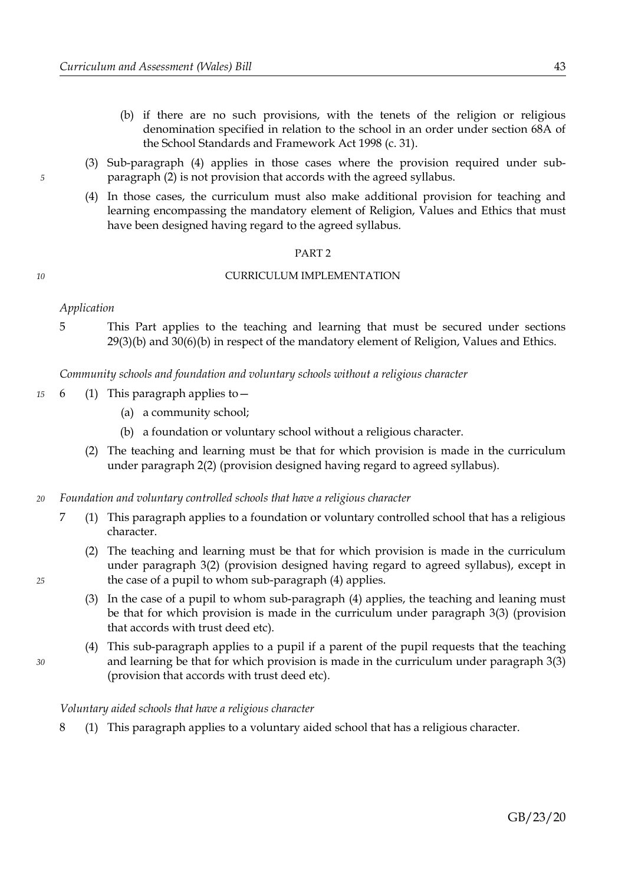- (b) if there are no such provisions, with the tenets of the religion or religious denomination specified in relation to the school in an order under section 68A of the School Standards and Framework Act 1998 (c. 31).
- <span id="page-46-3"></span>(3) Sub-paragraph [\(4\)](#page-46-2) applies in those cases where the provision required under subparagraph [\(2\)](#page-45-7) is not provision that accords with the agreed syllabus.
- <span id="page-46-2"></span>(4) In those cases, the curriculum must also make additional provision for teaching and learning encompassing the mandatory element of Religion, Values and Ethics that must have been designed having regard to the agreed syllabus.

#### <span id="page-46-0"></span>PART 2

#### CURRICULUM IMPLEMENTATION

#### *Application*

*5*

*10*

5 This Part applies to the teaching and learning that must be secured under sections [29](#page-13-1)[\(3\)](#page-13-7)[\(b\)](#page-13-6) and [30](#page-13-0)[\(6\)](#page-14-5)[\(b\)](#page-14-4) in respect of the mandatory element of Religion, Values and Ethics.

*Community schools and foundation and voluntary schools without a religious character*

- 6 (1) This paragraph applies to— *15*
	- (a) a community school;
	- (b) a foundation or voluntary school without a religious character.
	- (2) The teaching and learning must be that for which provision is made in the curriculum under paragraph [2](#page-45-6)[\(2\)](#page-45-5) (provision designed having regard to agreed syllabus).
- *Foundation and voluntary controlled schools that have a religious character 20*
	- 7 (1) This paragraph applies to a foundation or voluntary controlled school that has a religious character.
		- (2) The teaching and learning must be that for which provision is made in the curriculum under paragraph [3](#page-48-2)[\(2\)](#page-48-1) (provision designed having regard to agreed syllabus), except in the case of a pupil to whom sub-paragraph [\(4\)](#page-46-1) applies.
		- (3) In the case of a pupil to whom sub-paragraph [\(4\)](#page-46-1) applies, the teaching and leaning must be that for which provision is made in the curriculum under paragraph [3](#page-45-4)[\(3\)](#page-45-3) (provision that accords with trust deed etc).
		- (4) This sub-paragraph applies to a pupil if a parent of the pupil requests that the teaching and learning be that for which provision is made in the curriculum under paragraph [3](#page-45-4)[\(3\)](#page-45-3) (provision that accords with trust deed etc).

#### <span id="page-46-1"></span>*Voluntary aided schools that have a religious character*

8 (1) This paragraph applies to a voluntary aided school that has a religious character.

*25*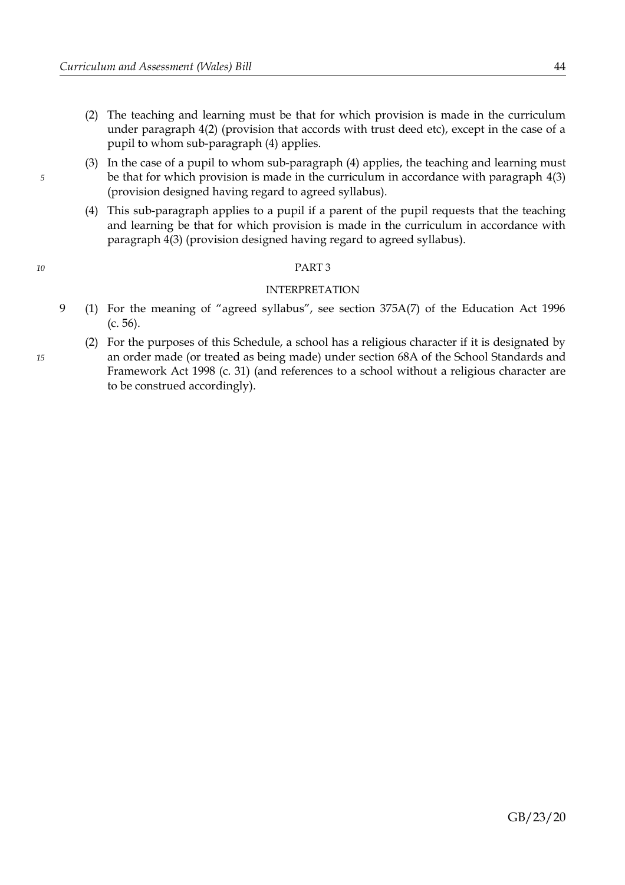- (2) The teaching and learning must be that for which provision is made in the curriculum under paragraph [4](#page-45-8)[\(2\)](#page-45-7) (provision that accords with trust deed etc), except in the case of a pupil to whom sub-paragraph [\(4\)](#page-47-0) applies.
- (3) In the case of a pupil to whom sub-paragraph [\(4\)](#page-47-0) applies, the teaching and learning must be that for which provision is made in the curriculum in accordance with paragraph [4](#page-45-8)[\(3\)](#page-46-3) (provision designed having regard to agreed syllabus).
- <span id="page-47-0"></span>(4) This sub-paragraph applies to a pupil if a parent of the pupil requests that the teaching and learning be that for which provision is made in the curriculum in accordance with paragraph [4](#page-45-8)[\(3\)](#page-46-3) (provision designed having regard to agreed syllabus).

#### PART 3

#### INTERPRETATION

- 9 (1) For the meaning of "agreed syllabus", see section 375A(7) of the Education Act 1996 (c. 56).
	- (2) For the purposes of this Schedule, a school has a religious character if it is designated by an order made (or treated as being made) under section 68A of the School Standards and Framework Act 1998 (c. 31) (and references to a school without a religious character are to be construed accordingly).

*10*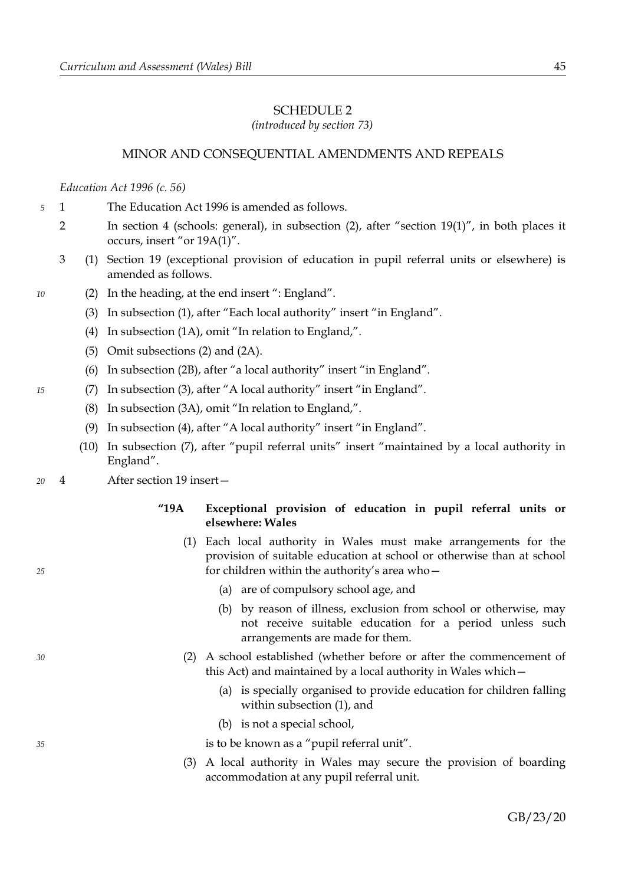# <span id="page-48-0"></span>SCHEDULE 2

*(introduced by section [73\)](#page-37-2)*

# MINOR AND CONSEQUENTIAL AMENDMENTS AND REPEALS

#### *Education Act 1996 (c. 56)*

- 1 The Education Act 1996 is amended as follows. *5*
	- 2 In section 4 (schools: general), in subsection (2), after "section 19(1)", in both places it occurs, insert "or 19A(1)".
	- 3 (1) Section 19 (exceptional provision of education in pupil referral units or elsewhere) is amended as follows.
		- (2) In the heading, at the end insert ": England".
			- (3) In subsection (1), after "Each local authority" insert "in England".
			- (4) In subsection (1A), omit "In relation to England,".
			- (5) Omit subsections (2) and (2A).
			- (6) In subsection (2B), after "a local authority" insert "in England".
			- (7) In subsection (3), after "A local authority" insert "in England".
				- (8) In subsection (3A), omit "In relation to England,".
				- (9) In subsection (4), after "A local authority" insert "in England".
			- (10) In subsection (7), after "pupil referral units" insert "maintained by a local authority in England".
- 4 After section 19 insert— *20*

### **"19A Exceptional provision of education in pupil referral units or elsewhere: Wales**

- (1) Each local authority in Wales must make arrangements for the provision of suitable education at school or otherwise than at school for children within the authority's area who—
	- (a) are of compulsory school age, and
	- (b) by reason of illness, exclusion from school or otherwise, may not receive suitable education for a period unless such arrangements are made for them.
- (2) A school established (whether before or after the commencement of this Act) and maintained by a local authority in Wales which—
	- (a) is specially organised to provide education for children falling within subsection (1), and
	- (b) is not a special school,
	- is to be known as a "pupil referral unit".
- (3) A local authority in Wales may secure the provision of boarding accommodation at any pupil referral unit.

*35*

*25*

*30*

<span id="page-48-2"></span><span id="page-48-1"></span>*10*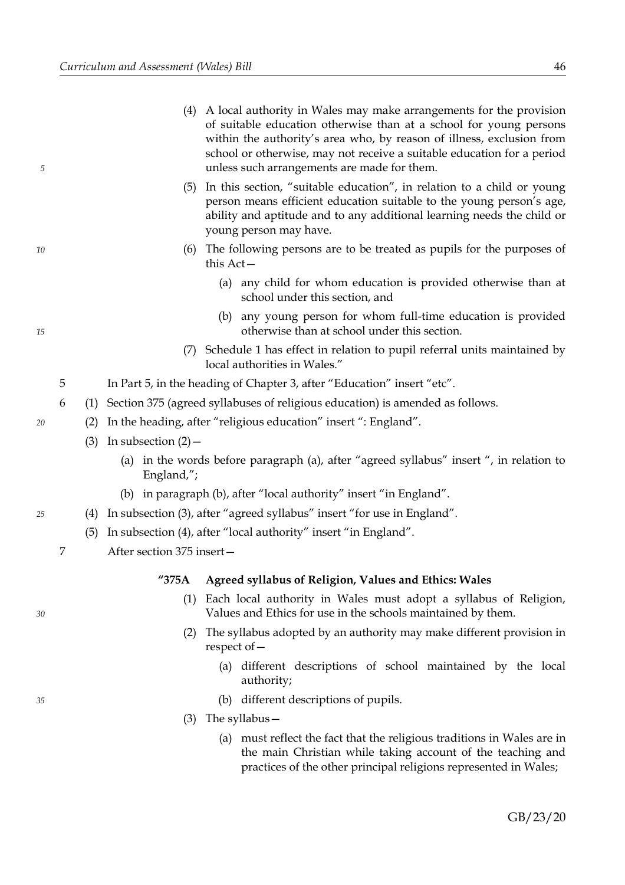- (5) In this section, "suitable education", in relation to a child or young person means efficient education suitable to the young person's age, ability and aptitude and to any additional learning needs the child or young person may have.
- (6) The following persons are to be treated as pupils for the purposes of this Act—
	- (a) any child for whom education is provided otherwise than at school under this section, and
	- (b) any young person for whom full-time education is provided otherwise than at school under this section.
- (7) Schedule 1 has effect in relation to pupil referral units maintained by local authorities in Wales."
- 5 In Part 5, in the heading of Chapter 3, after "Education" insert "etc".
- 6 (1) Section 375 (agreed syllabuses of religious education) is amended as follows.
	- (2) In the heading, after "religious education" insert ": England".
		- (3) In subsection  $(2)$ 
			- (a) in the words before paragraph (a), after "agreed syllabus" insert ", in relation to England,";
			- (b) in paragraph (b), after "local authority" insert "in England".
		- (4) In subsection (3), after "agreed syllabus" insert "for use in England".
	- (5) In subsection (4), after "local authority" insert "in England".
- 7 After section 375 insert—

### **"375A Agreed syllabus of Religion, Values and Ethics: Wales**

- (1) Each local authority in Wales must adopt a syllabus of Religion, Values and Ethics for use in the schools maintained by them.
- (2) The syllabus adopted by an authority may make different provision in respect of—
	- (a) different descriptions of school maintained by the local authority;
	- (b) different descriptions of pupils.
- (3) The syllabus—
	- (a) must reflect the fact that the religious traditions in Wales are in the main Christian while taking account of the teaching and practices of the other principal religions represented in Wales;

*20*

*5*

*10*

*15*

*30*

*25*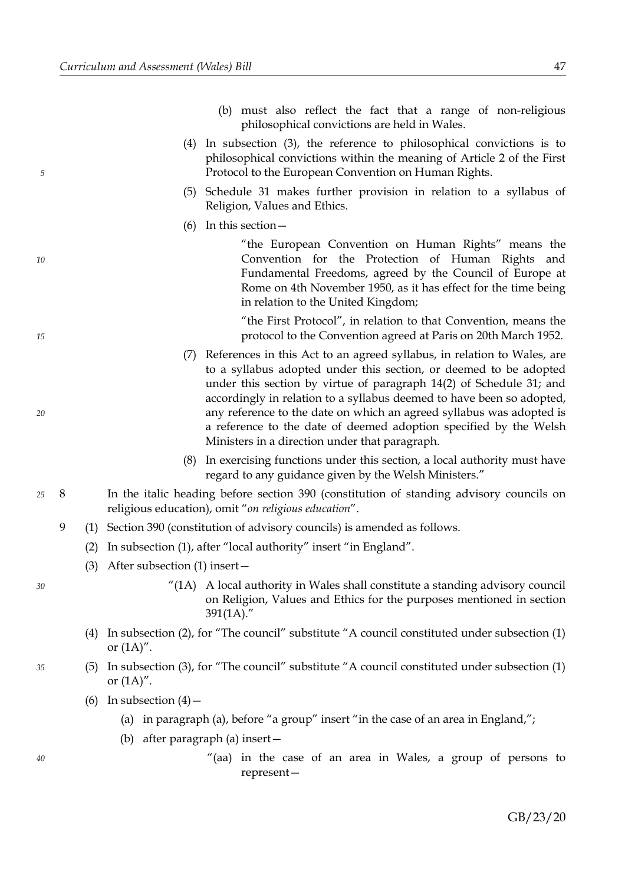- (b) must also reflect the fact that a range of non-religious philosophical convictions are held in Wales.
- (4) In subsection (3), the reference to philosophical convictions is to philosophical convictions within the meaning of Article 2 of the First Protocol to the European Convention on Human Rights.
- (5) Schedule 31 makes further provision in relation to a syllabus of Religion, Values and Ethics.
- (6) In this section—

"the European Convention on Human Rights" means the Convention for the Protection of Human Rights and Fundamental Freedoms, agreed by the Council of Europe at Rome on 4th November 1950, as it has effect for the time being in relation to the United Kingdom;

"the First Protocol", in relation to that Convention, means the protocol to the Convention agreed at Paris on 20th March 1952.

- (7) References in this Act to an agreed syllabus, in relation to Wales, are to a syllabus adopted under this section, or deemed to be adopted under this section by virtue of paragraph 14(2) of Schedule 31; and accordingly in relation to a syllabus deemed to have been so adopted, any reference to the date on which an agreed syllabus was adopted is a reference to the date of deemed adoption specified by the Welsh Ministers in a direction under that paragraph.
- (8) In exercising functions under this section, a local authority must have regard to any guidance given by the Welsh Ministers."
- 8 In the italic heading before section 390 (constitution of standing advisory councils on religious education), omit "*on religious education*". *25*
	- 9 (1) Section 390 (constitution of advisory councils) is amended as follows.
		- (2) In subsection (1), after "local authority" insert "in England".
		- (3) After subsection (1) insert—
- *30*

*35*

*5*

*10*

*15*

*20*

- $^{\prime\prime}(1A)$  A local authority in Wales shall constitute a standing advisory council on Religion, Values and Ethics for the purposes mentioned in section 391(1A)."
- (4) In subsection (2), for "The council" substitute "A council constituted under subsection (1) or  $(1A)$ ".
- (5) In subsection (3), for "The council" substitute "A council constituted under subsection (1) or  $(1A)$ ".
	- (6) In subsection  $(4)$ 
		- (a) in paragraph (a), before "a group" insert "in the case of an area in England,";
		- (b) after paragraph (a) insert—
			- "(aa) in the case of an area in Wales, a group of persons to represent—

GB/23/20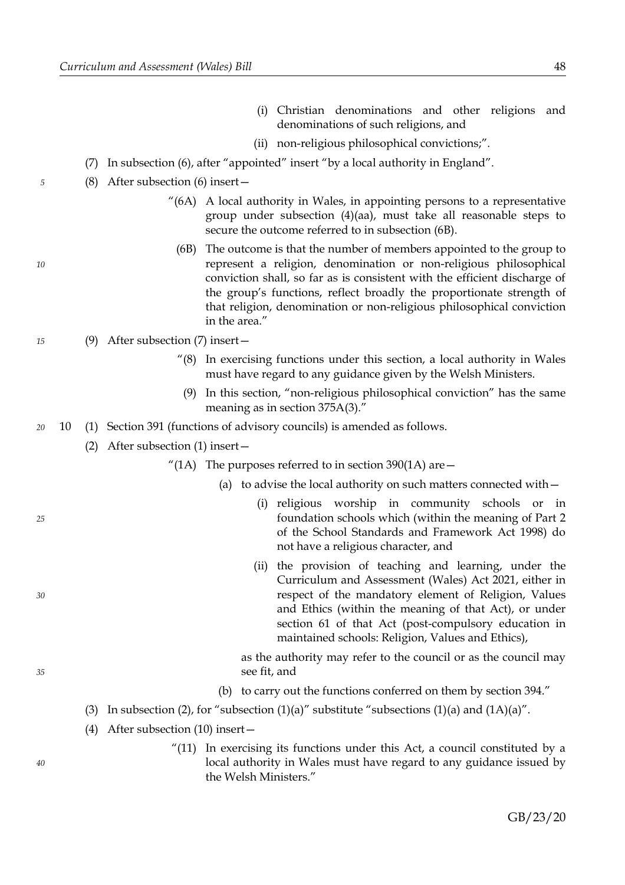- (i) Christian denominations and other religions and denominations of such religions, and
- (ii) non-religious philosophical convictions;".
- (7) In subsection (6), after "appointed" insert "by a local authority in England".
- (8) After subsection (6) insert—
	- $^{\prime\prime}$ (6A) A local authority in Wales, in appointing persons to a representative group under subsection (4)(aa), must take all reasonable steps to secure the outcome referred to in subsection (6B).
		- (6B) The outcome is that the number of members appointed to the group to represent a religion, denomination or non-religious philosophical conviction shall, so far as is consistent with the efficient discharge of the group's functions, reflect broadly the proportionate strength of that religion, denomination or non-religious philosophical conviction in the area."

#### (9) After subsection (7) insert— *15*

- "(8) In exercising functions under this section, a local authority in Wales must have regard to any guidance given by the Welsh Ministers.
	- (9) In this section, "non-religious philosophical conviction" has the same meaning as in section 375A(3)."
- 10 (1) Section 391 (functions of advisory councils) is amended as follows. *20*
	- (2) After subsection (1) insert—
		- "(1A) The purposes referred to in section 390(1A) are  $-$ 
			- (a) to advise the local authority on such matters connected with—
				- (i) religious worship in community schools or in foundation schools which (within the meaning of Part 2 of the School Standards and Framework Act 1998) do not have a religious character, and
				- (ii) the provision of teaching and learning, under the Curriculum and Assessment (Wales) Act 2021, either in respect of the mandatory element of Religion, Values and Ethics (within the meaning of that Act), or under section [61](#page-30-4) of that Act (post-compulsory education in maintained schools: Religion, Values and Ethics),

as the authority may refer to the council or as the council may see fit, and

- (b) to carry out the functions conferred on them by section 394."
- (3) In subsection (2), for "subsection  $(1)(a)$ " substitute "subsections  $(1)(a)$  and  $(1A)(a)$ ".
- (4) After subsection (10) insert—
	- "(11) In exercising its functions under this Act, a council constituted by a local authority in Wales must have regard to any guidance issued by the Welsh Ministers."

*25*

*30*

*35*

*10*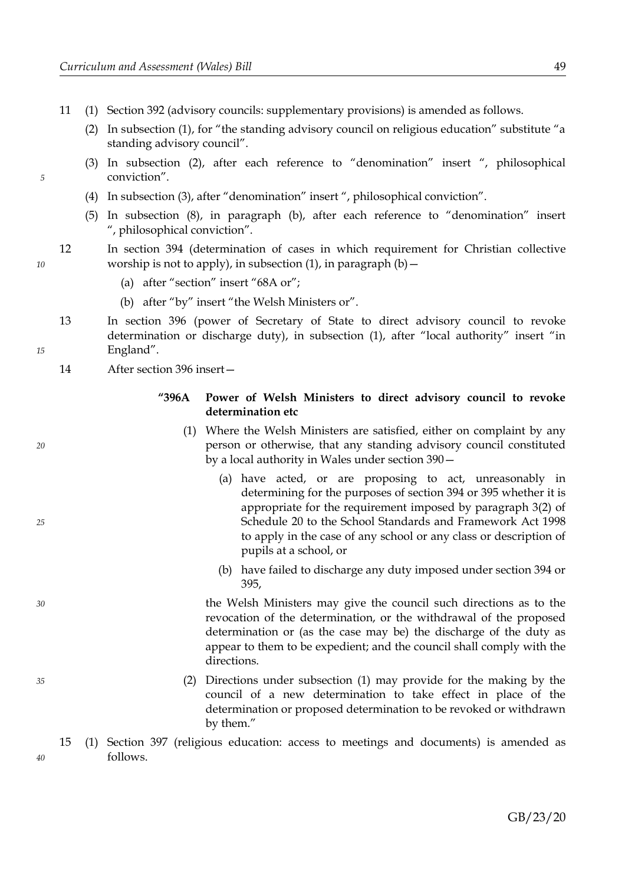- 11 (1) Section 392 (advisory councils: supplementary provisions) is amended as follows.
	- (2) In subsection (1), for "the standing advisory council on religious education" substitute "a standing advisory council".
	- (3) In subsection (2), after each reference to "denomination" insert ", philosophical conviction".
	- (4) In subsection (3), after "denomination" insert ", philosophical conviction".
	- (5) In subsection (8), in paragraph (b), after each reference to "denomination" insert ", philosophical conviction".
- 12 In section 394 (determination of cases in which requirement for Christian collective worship is not to apply), in subsection  $(1)$ , in paragraph  $(b)$  –
	- (a) after "section" insert "68A or";
	- (b) after "by" insert "the Welsh Ministers or".
- 13 In section 396 (power of Secretary of State to direct advisory council to revoke determination or discharge duty), in subsection (1), after "local authority" insert "in England".
	- 14 After section 396 insert—

# **"396A Power of Welsh Ministers to direct advisory council to revoke determination etc**

- (1) Where the Welsh Ministers are satisfied, either on complaint by any person or otherwise, that any standing advisory council constituted by a local authority in Wales under section 390—
	- (a) have acted, or are proposing to act, unreasonably in determining for the purposes of section 394 or 395 whether it is appropriate for the requirement imposed by paragraph 3(2) of Schedule 20 to the School Standards and Framework Act 1998 to apply in the case of any school or any class or description of pupils at a school, or
	- (b) have failed to discharge any duty imposed under section 394 or 395,

the Welsh Ministers may give the council such directions as to the revocation of the determination, or the withdrawal of the proposed determination or (as the case may be) the discharge of the duty as appear to them to be expedient; and the council shall comply with the directions.

(2) Directions under subsection (1) may provide for the making by the council of a new determination to take effect in place of the determination or proposed determination to be revoked or withdrawn by them."

*10*

*5*

*15*

- 
- *20*
- *25*
- *30*

*35*

<sup>15</sup> (1) Section 397 (religious education: access to meetings and documents) is amended as follows.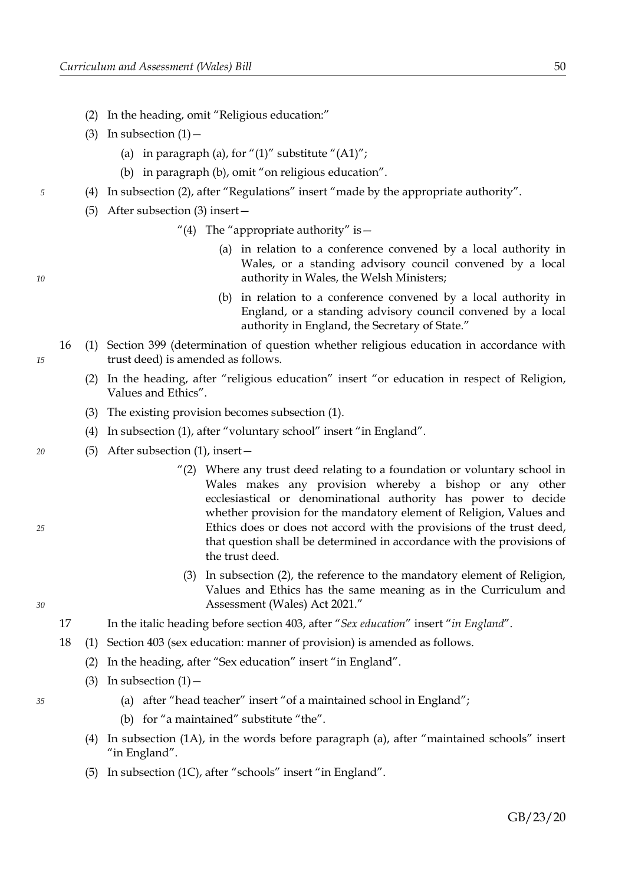- (2) In the heading, omit "Religious education:"
- (3) In subsection  $(1)$ 
	- (a) in paragraph (a), for " $(1)$ " substitute " $(A1)$ ";
	- (b) in paragraph (b), omit "on religious education".
- (4) In subsection (2), after "Regulations" insert "made by the appropriate authority".
	- (5) After subsection (3) insert—
		- "(4) The "appropriate authority" is  $-$ 
			- (a) in relation to a conference convened by a local authority in Wales, or a standing advisory council convened by a local authority in Wales, the Welsh Ministers;
			- (b) in relation to a conference convened by a local authority in England, or a standing advisory council convened by a local authority in England, the Secretary of State."
- 16 (1) Section 399 (determination of question whether religious education in accordance with trust deed) is amended as follows.
	- (2) In the heading, after "religious education" insert "or education in respect of Religion, Values and Ethics".
	- (3) The existing provision becomes subsection (1).
	- (4) In subsection (1), after "voluntary school" insert "in England".
	- (5) After subsection (1), insert—
		- "(2) Where any trust deed relating to a foundation or voluntary school in Wales makes any provision whereby a bishop or any other ecclesiastical or denominational authority has power to decide whether provision for the mandatory element of Religion, Values and Ethics does or does not accord with the provisions of the trust deed, that question shall be determined in accordance with the provisions of the trust deed.
		- (3) In subsection (2), the reference to the mandatory element of Religion, Values and Ethics has the same meaning as in the Curriculum and Assessment (Wales) Act 2021."
- 17 In the italic heading before section 403, after "*Sex education*" insert "*in England*".
- 18 (1) Section 403 (sex education: manner of provision) is amended as follows.
	- (2) In the heading, after "Sex education" insert "in England".
	- (3) In subsection  $(1)$ 
		- (a) after "head teacher" insert "of a maintained school in England";
		- (b) for "a maintained" substitute "the".
	- (4) In subsection (1A), in the words before paragraph (a), after "maintained schools" insert "in England".
	- (5) In subsection (1C), after "schools" insert "in England".

*10*

*5*

*20*

*35*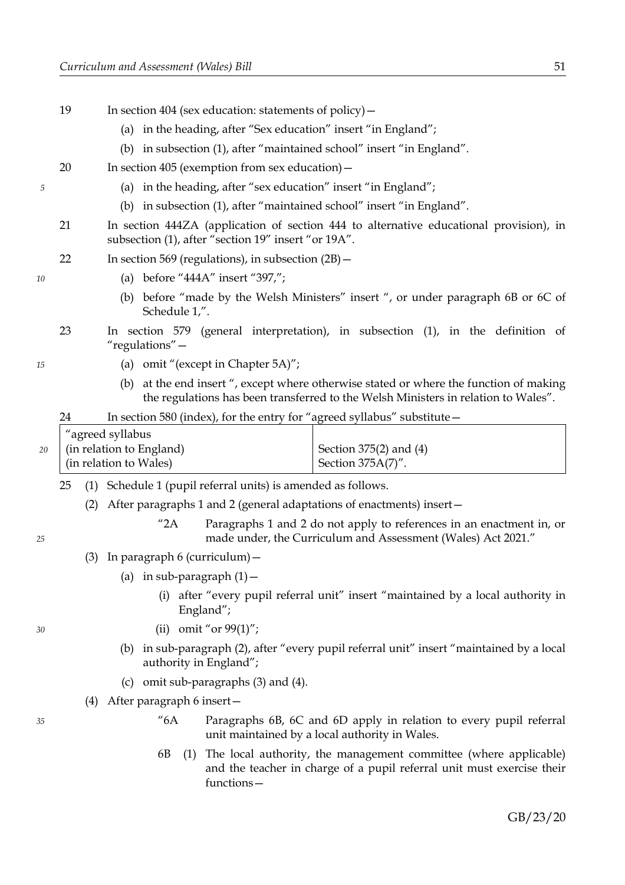- 19 In section 404 (sex education: statements of policy)— (a) in the heading, after "Sex education" insert "in England"; (b) in subsection (1), after "maintained school" insert "in England". 20 In section 405 (exemption from sex education)— (a) in the heading, after "sex education" insert "in England"; (b) in subsection (1), after "maintained school" insert "in England". 21 In section 444ZA (application of section 444 to alternative educational provision), in subsection (1), after "section 19" insert "or 19A". 22 In section 569 (regulations), in subsection (2B)— (a) before "444A" insert "397,"; (b) before "made by the Welsh Ministers" insert ", or under paragraph 6B or 6C of Schedule 1,". 23 In section 579 (general interpretation), in subsection (1), in the definition of "regulations"— (a) omit "(except in Chapter 5A)"; (b) at the end insert ", except where otherwise stated or where the function of making the regulations has been transferred to the Welsh Ministers in relation to Wales". 24 In section 580 (index), for the entry for "agreed syllabus" substitute— "agreed syllabus (in relation to England) (in relation to Wales) Section 375(2) and (4) Section 375A(7)". 25 (1) Schedule 1 (pupil referral units) is amended as follows. (2) After paragraphs 1 and 2 (general adaptations of enactments) insert— "2A Paragraphs 1 and 2 do not apply to references in an enactment in, or made under, the Curriculum and Assessment (Wales) Act 2021." (3) In paragraph 6 (curriculum)— (a) in sub-paragraph  $(1)$  -(i) after "every pupil referral unit" insert "maintained by a local authority in England"; (ii) omit "or 99(1)"; (b) in sub-paragraph (2), after "every pupil referral unit" insert "maintained by a local authority in England"; *5 10 15 20 25 30*
	- (c) omit sub-paragraphs (3) and (4).
	- (4) After paragraph 6 insert—

*35*

- "6A Paragraphs 6B, 6C and 6D apply in relation to every pupil referral unit maintained by a local authority in Wales.
- 6B (1) The local authority, the management committee (where applicable) and the teacher in charge of a pupil referral unit must exercise their functions—

GB/23/20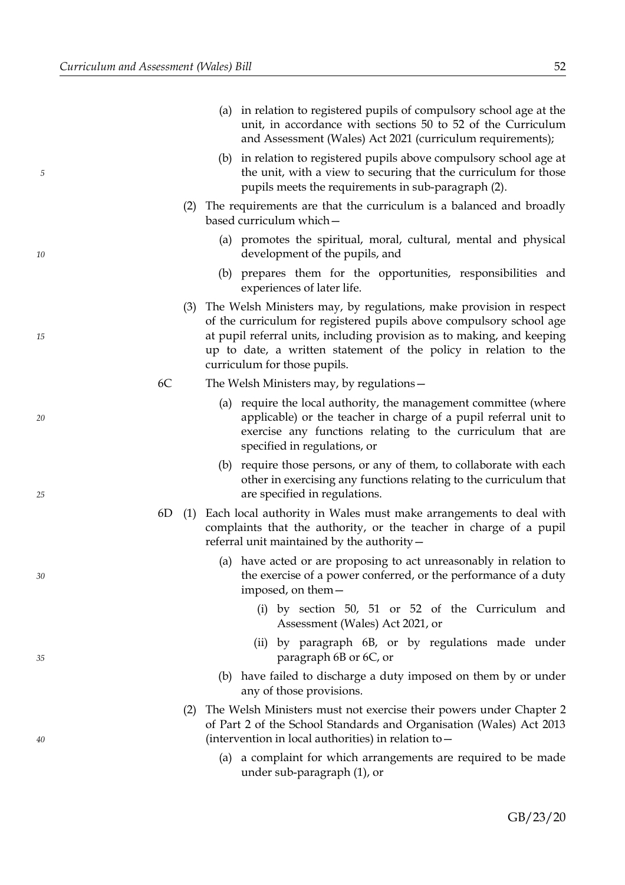|    |    |     | (a) in relation to registered pupils of compulsory school age at the<br>unit, in accordance with sections 50 to 52 of the Curriculum<br>and Assessment (Wales) Act 2021 (curriculum requirements);                                                                                                                      |
|----|----|-----|-------------------------------------------------------------------------------------------------------------------------------------------------------------------------------------------------------------------------------------------------------------------------------------------------------------------------|
| 5  |    |     | (b) in relation to registered pupils above compulsory school age at<br>the unit, with a view to securing that the curriculum for those<br>pupils meets the requirements in sub-paragraph (2).                                                                                                                           |
|    |    |     | (2) The requirements are that the curriculum is a balanced and broadly<br>based curriculum which-                                                                                                                                                                                                                       |
| 10 |    |     | (a) promotes the spiritual, moral, cultural, mental and physical<br>development of the pupils, and                                                                                                                                                                                                                      |
|    |    |     | (b) prepares them for the opportunities, responsibilities and<br>experiences of later life.                                                                                                                                                                                                                             |
| 15 |    | (3) | The Welsh Ministers may, by regulations, make provision in respect<br>of the curriculum for registered pupils above compulsory school age<br>at pupil referral units, including provision as to making, and keeping<br>up to date, a written statement of the policy in relation to the<br>curriculum for those pupils. |
|    | 6C |     | The Welsh Ministers may, by regulations -                                                                                                                                                                                                                                                                               |
| 20 |    |     | (a) require the local authority, the management committee (where<br>applicable) or the teacher in charge of a pupil referral unit to<br>exercise any functions relating to the curriculum that are<br>specified in regulations, or                                                                                      |
| 25 |    |     | (b) require those persons, or any of them, to collaborate with each<br>other in exercising any functions relating to the curriculum that<br>are specified in regulations.                                                                                                                                               |
|    | 6D | (1) | Each local authority in Wales must make arrangements to deal with<br>complaints that the authority, or the teacher in charge of a pupil<br>referral unit maintained by the authority-                                                                                                                                   |
| 30 |    |     | (a) have acted or are proposing to act unreasonably in relation to<br>the exercise of a power conferred, or the performance of a duty<br>imposed, on them-                                                                                                                                                              |
|    |    |     | (i) by section 50, 51 or 52 of the Curriculum and<br>Assessment (Wales) Act 2021, or                                                                                                                                                                                                                                    |
| 35 |    |     | (ii) by paragraph 6B, or by regulations made under<br>paragraph 6B or 6C, or                                                                                                                                                                                                                                            |
|    |    |     | (b) have failed to discharge a duty imposed on them by or under<br>any of those provisions.                                                                                                                                                                                                                             |
| 40 |    | (2) | The Welsh Ministers must not exercise their powers under Chapter 2<br>of Part 2 of the School Standards and Organisation (Wales) Act 2013<br>(intervention in local authorities) in relation to -                                                                                                                       |
|    |    |     | a complaint for which arrangements are required to be made<br>(a)<br>under sub-paragraph (1), or                                                                                                                                                                                                                        |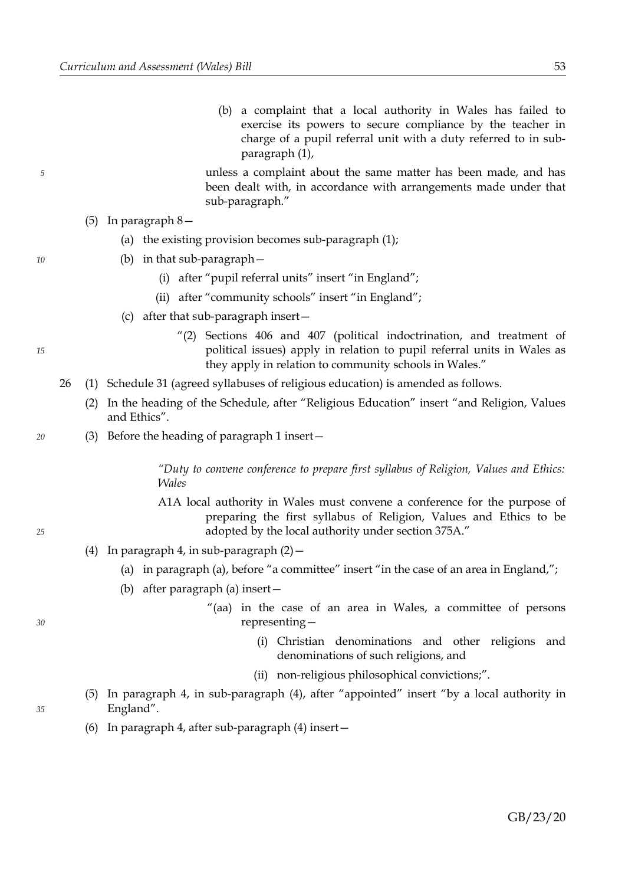(b) a complaint that a local authority in Wales has failed to exercise its powers to secure compliance by the teacher in charge of a pupil referral unit with a duty referred to in subparagraph (1),

unless a complaint about the same matter has been made, and has been dealt with, in accordance with arrangements made under that sub-paragraph."

- (5) In paragraph 8—
	- (a) the existing provision becomes sub-paragraph (1);
	- (b) in that sub-paragraph—
		- (i) after "pupil referral units" insert "in England";
		- (ii) after "community schools" insert "in England";
	- (c) after that sub-paragraph insert—
		- "(2) Sections 406 and 407 (political indoctrination, and treatment of political issues) apply in relation to pupil referral units in Wales as they apply in relation to community schools in Wales."
- 26 (1) Schedule 31 (agreed syllabuses of religious education) is amended as follows.
	- (2) In the heading of the Schedule, after "Religious Education" insert "and Religion, Values and Ethics".
	- (3) Before the heading of paragraph 1 insert—

*"Duty to convene conference to prepare first syllabus of Religion, Values and Ethics: Wales*

- A1A local authority in Wales must convene a conference for the purpose of preparing the first syllabus of Religion, Values and Ethics to be adopted by the local authority under section 375A."
- (4) In paragraph 4, in sub-paragraph  $(2)$  -
	- (a) in paragraph (a), before "a committee" insert "in the case of an area in England,";
	- (b) after paragraph (a) insert—
		- "(aa) in the case of an area in Wales, a committee of persons representing—
			- (i) Christian denominations and other religions and denominations of such religions, and
			- (ii) non-religious philosophical convictions;".
- (5) In paragraph 4, in sub-paragraph (4), after "appointed" insert "by a local authority in England".
- (6) In paragraph 4, after sub-paragraph (4) insert—

*20*

*10*

*5*

*25*

*35*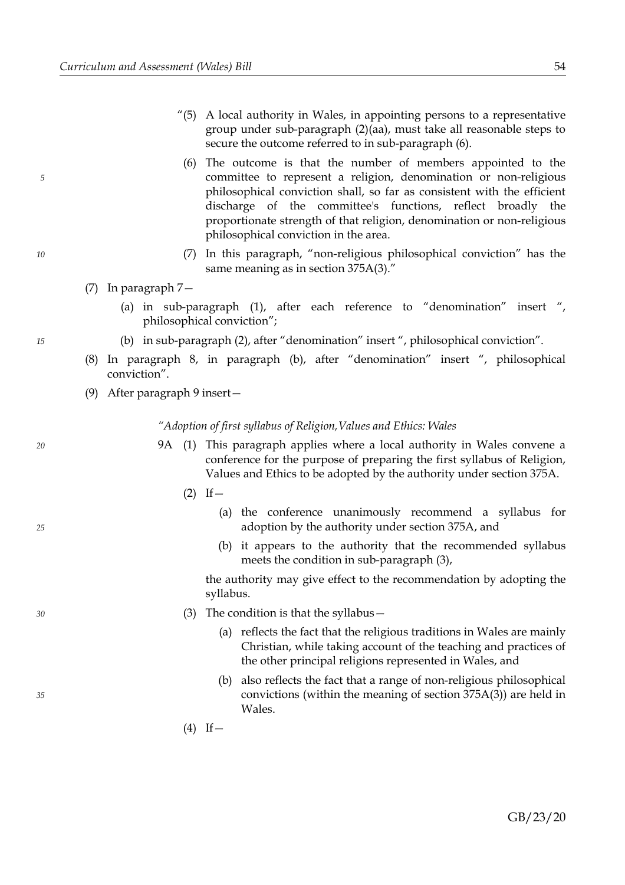- "(5) A local authority in Wales, in appointing persons to a representative group under sub-paragraph (2)(aa), must take all reasonable steps to secure the outcome referred to in sub-paragraph (6).
	- (6) The outcome is that the number of members appointed to the committee to represent a religion, denomination or non-religious philosophical conviction shall, so far as consistent with the efficient discharge of the committee's functions, reflect broadly the proportionate strength of that religion, denomination or non-religious philosophical conviction in the area.
	- (7) In this paragraph, "non-religious philosophical conviction" has the same meaning as in section 375A(3)."
- (7) In paragraph 7—
	- (a) in sub-paragraph (1), after each reference to "denomination" insert ", philosophical conviction";
	- (b) in sub-paragraph (2), after "denomination" insert ", philosophical conviction".
- (8) In paragraph 8, in paragraph (b), after "denomination" insert ", philosophical conviction".
- (9) After paragraph 9 insert—

*"Adoption of first syllabus of Religion,Values and Ethics: Wales*

- 9A (1) This paragraph applies where a local authority in Wales convene a conference for the purpose of preparing the first syllabus of Religion, Values and Ethics to be adopted by the authority under section 375A.
	- $(2)$  If  $-$ 
		- (a) the conference unanimously recommend a syllabus for adoption by the authority under section 375A, and
		- (b) it appears to the authority that the recommended syllabus meets the condition in sub-paragraph (3),

the authority may give effect to the recommendation by adopting the syllabus.

- (3) The condition is that the syllabus—
	- (a) reflects the fact that the religious traditions in Wales are mainly Christian, while taking account of the teaching and practices of the other principal religions represented in Wales, and
	- (b) also reflects the fact that a range of non-religious philosophical convictions (within the meaning of section 375A(3)) are held in Wales.
	- $(4)$  If —

*15*

*5*

*10*

*20*

*30*

*25*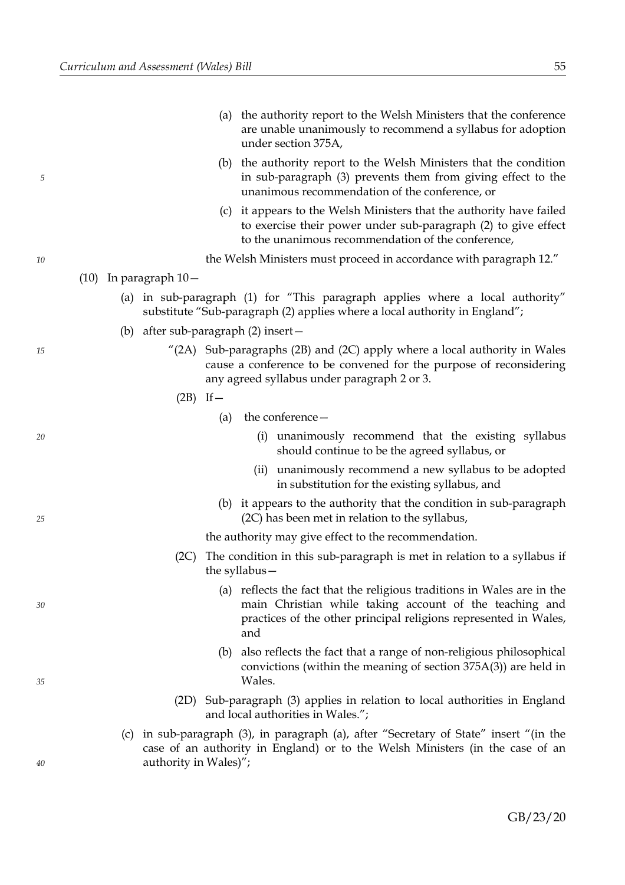|    |                           | (a) | the authority report to the Welsh Ministers that the conference<br>are unable unanimously to recommend a syllabus for adoption<br>under section 375A,                                                           |
|----|---------------------------|-----|-----------------------------------------------------------------------------------------------------------------------------------------------------------------------------------------------------------------|
| 5  |                           |     | (b) the authority report to the Welsh Ministers that the condition<br>in sub-paragraph (3) prevents them from giving effect to the<br>unanimous recommendation of the conference, or                            |
|    |                           |     | (c) it appears to the Welsh Ministers that the authority have failed<br>to exercise their power under sub-paragraph (2) to give effect<br>to the unanimous recommendation of the conference,                    |
| 10 |                           |     | the Welsh Ministers must proceed in accordance with paragraph 12."                                                                                                                                              |
|    | $(10)$ In paragraph $10-$ |     |                                                                                                                                                                                                                 |
|    |                           |     | (a) in sub-paragraph (1) for "This paragraph applies where a local authority"<br>substitute "Sub-paragraph (2) applies where a local authority in England";                                                     |
|    |                           |     | (b) after sub-paragraph $(2)$ insert $-$                                                                                                                                                                        |
| 15 |                           |     | $^{\prime\prime}$ (2A) Sub-paragraphs (2B) and (2C) apply where a local authority in Wales<br>cause a conference to be convened for the purpose of reconsidering<br>any agreed syllabus under paragraph 2 or 3. |
|    | $(2B)$ If $-$             |     |                                                                                                                                                                                                                 |
|    |                           | (a) | the conference -                                                                                                                                                                                                |
| 20 |                           |     | unanimously recommend that the existing syllabus<br>(i)<br>should continue to be the agreed syllabus, or                                                                                                        |
|    |                           |     | unanimously recommend a new syllabus to be adopted<br>(iii)<br>in substitution for the existing syllabus, and                                                                                                   |
| 25 |                           | (b) | it appears to the authority that the condition in sub-paragraph<br>(2C) has been met in relation to the syllabus,                                                                                               |
|    |                           |     | the authority may give effect to the recommendation.                                                                                                                                                            |
|    | (2C)                      |     | The condition in this sub-paragraph is met in relation to a syllabus if<br>the syllabus $-$                                                                                                                     |
| 30 |                           |     | (a) reflects the fact that the religious traditions in Wales are in the<br>main Christian while taking account of the teaching and<br>practices of the other principal religions represented in Wales,<br>and   |
| 35 |                           | (b) | also reflects the fact that a range of non-religious philosophical<br>convictions (within the meaning of section 375A(3)) are held in<br>Wales.                                                                 |
|    | (2D)                      |     | Sub-paragraph (3) applies in relation to local authorities in England<br>and local authorities in Wales.";                                                                                                      |
|    |                           |     | (c) in sub-paragraph (3), in paragraph (a), after "Secretary of State" insert "(in the<br>case of an authority in England) or to the Welsh Ministers (in the case of an                                         |
| 40 | authority in Wales)";     |     |                                                                                                                                                                                                                 |

GB/23/20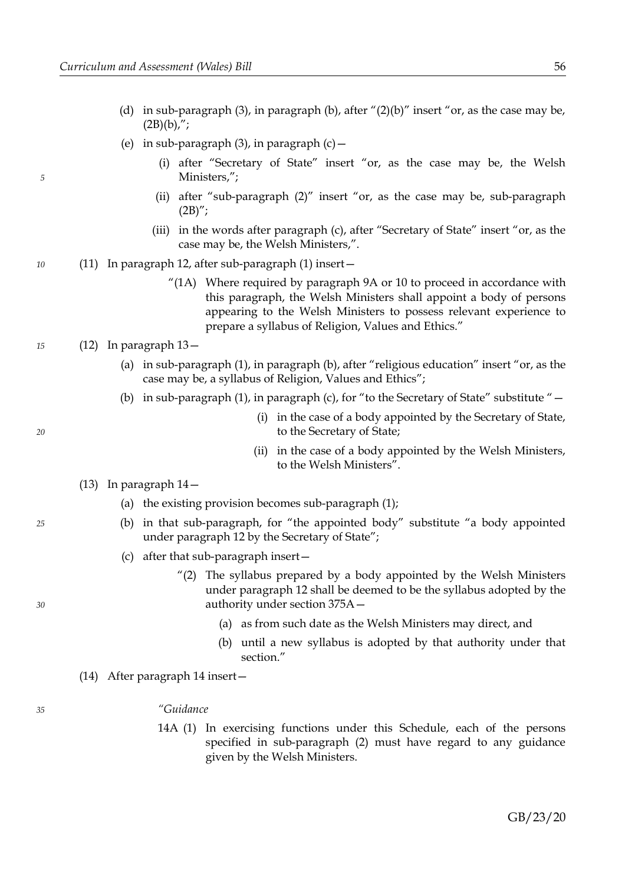- (d) in sub-paragraph (3), in paragraph (b), after " $(2)(b)$ " insert "or, as the case may be,  $(2B)(b)$ ,";
- (e) in sub-paragraph  $(3)$ , in paragraph  $(c)$  -
	- (i) after "Secretary of State" insert "or, as the case may be, the Welsh Ministers,";
	- (ii) after "sub-paragraph (2)" insert "or, as the case may be, sub-paragraph  $(2B)''$ ;
	- (iii) in the words after paragraph (c), after "Secretary of State" insert "or, as the case may be, the Welsh Ministers,".
- (11) In paragraph 12, after sub-paragraph (1) insert—
	- $^{\prime\prime}(1A)$  Where required by paragraph 9A or 10 to proceed in accordance with this paragraph, the Welsh Ministers shall appoint a body of persons appearing to the Welsh Ministers to possess relevant experience to prepare a syllabus of Religion, Values and Ethics."

#### (12) In paragraph 13—

- (a) in sub-paragraph (1), in paragraph (b), after "religious education" insert "or, as the case may be, a syllabus of Religion, Values and Ethics";
- (b) in sub-paragraph (1), in paragraph (c), for "to the Secretary of State" substitute " $-$ 
	- (i) in the case of a body appointed by the Secretary of State, to the Secretary of State;
	- (ii) in the case of a body appointed by the Welsh Ministers, to the Welsh Ministers".

#### (13) In paragraph 14—

- (a) the existing provision becomes sub-paragraph (1);
- (b) in that sub-paragraph, for "the appointed body" substitute "a body appointed under paragraph 12 by the Secretary of State";
- (c) after that sub-paragraph insert—
	- "(2) The syllabus prepared by a body appointed by the Welsh Ministers under paragraph 12 shall be deemed to be the syllabus adopted by the authority under section 375A—
		- (a) as from such date as the Welsh Ministers may direct, and
		- (b) until a new syllabus is adopted by that authority under that section."
- (14) After paragraph 14 insert—

#### *"Guidance*

14A (1) In exercising functions under this Schedule, each of the persons specified in sub-paragraph (2) must have regard to any guidance given by the Welsh Ministers.

*20*

*5*

*10*

*15*

*25*

*30*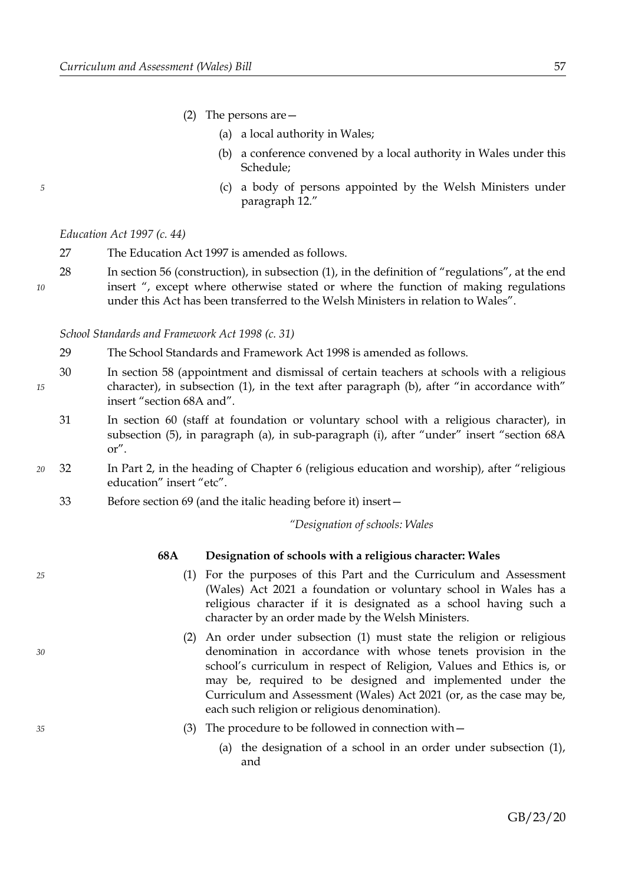- (2) The persons are—
	- (a) a local authority in Wales;
	- (b) a conference convened by a local authority in Wales under this Schedule;
	- (c) a body of persons appointed by the Welsh Ministers under paragraph 12."

*Education Act 1997 (c. 44)*

- 27 The Education Act 1997 is amended as follows.
- 28 In section 56 (construction), in subsection (1), in the definition of "regulations", at the end insert ", except where otherwise stated or where the function of making regulations under this Act has been transferred to the Welsh Ministers in relation to Wales". *10*

*School Standards and Framework Act 1998 (c. 31)*

- 29 The School Standards and Framework Act 1998 is amended as follows.
- 30 In section 58 (appointment and dismissal of certain teachers at schools with a religious character), in subsection (1), in the text after paragraph (b), after "in accordance with" insert "section 68A and". *15*
	- 31 In section 60 (staff at foundation or voluntary school with a religious character), in subsection (5), in paragraph (a), in sub-paragraph (i), after "under" insert "section 68A or".
- 32 In Part 2, in the heading of Chapter 6 (religious education and worship), after "religious education" insert "etc". *20*
	- 33 Before section 69 (and the italic heading before it) insert—

*"Designation of schools: Wales*

*25*

*30*

*35*

*5*

# **68A Designation of schools with a religious character: Wales**

- (1) For the purposes of this Part and the Curriculum and Assessment (Wales) Act 2021 a foundation or voluntary school in Wales has a religious character if it is designated as a school having such a character by an order made by the Welsh Ministers.
- (2) An order under subsection (1) must state the religion or religious denomination in accordance with whose tenets provision in the school's curriculum in respect of Religion, Values and Ethics is, or may be, required to be designed and implemented under the Curriculum and Assessment (Wales) Act 2021 (or, as the case may be, each such religion or religious denomination).
- (3) The procedure to be followed in connection with—
	- (a) the designation of a school in an order under subsection (1), and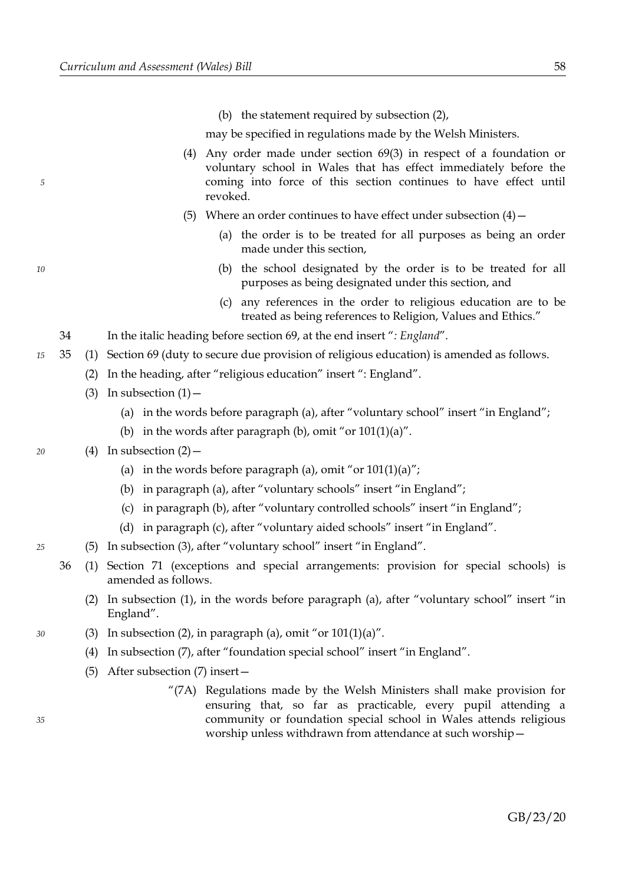(b) the statement required by subsection (2),

may be specified in regulations made by the Welsh Ministers.

- (4) Any order made under section 69(3) in respect of a foundation or voluntary school in Wales that has effect immediately before the coming into force of this section continues to have effect until revoked.
- (5) Where an order continues to have effect under subsection  $(4)$  -
	- (a) the order is to be treated for all purposes as being an order made under this section,
	- (b) the school designated by the order is to be treated for all purposes as being designated under this section, and
	- (c) any references in the order to religious education are to be treated as being references to Religion, Values and Ethics."
- 34 In the italic heading before section 69, at the end insert "*: England*".
- 35 (1) Section 69 (duty to secure due provision of religious education) is amended as follows. *15*
	- (2) In the heading, after "religious education" insert ": England".
	- (3) In subsection  $(1)$ 
		- (a) in the words before paragraph (a), after "voluntary school" insert "in England";
		- (b) in the words after paragraph (b), omit "or  $101(1)(a)$ ".

#### (4) In subsection  $(2)$  –

- (a) in the words before paragraph (a), omit "or  $101(1)(a)$ ";
- (b) in paragraph (a), after "voluntary schools" insert "in England";
- (c) in paragraph (b), after "voluntary controlled schools" insert "in England";
- (d) in paragraph (c), after "voluntary aided schools" insert "in England".
- (5) In subsection (3), after "voluntary school" insert "in England". *25*
	- 36 (1) Section 71 (exceptions and special arrangements: provision for special schools) is amended as follows.
		- (2) In subsection (1), in the words before paragraph (a), after "voluntary school" insert "in England".
		- (3) In subsection (2), in paragraph (a), omit "or  $101(1)(a)$ ".
			- (4) In subsection (7), after "foundation special school" insert "in England".
			- (5) After subsection (7) insert—
				- "(7A) Regulations made by the Welsh Ministers shall make provision for ensuring that, so far as practicable, every pupil attending a community or foundation special school in Wales attends religious worship unless withdrawn from attendance at such worship—

*35*

*30*

*5*

*10*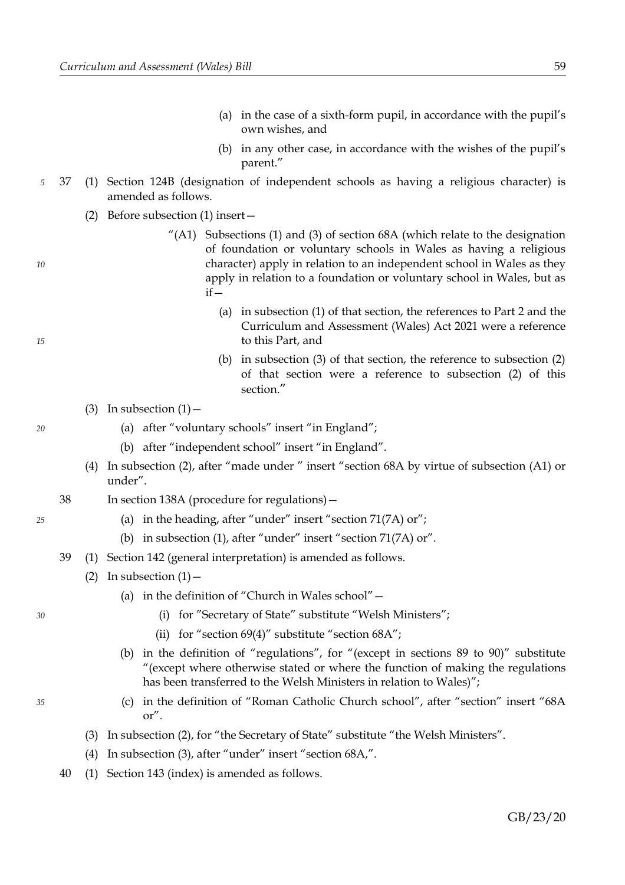- (a) in the case of a sixth-form pupil, in accordance with the pupil's own wishes, and
- (b) in any other case, in accordance with the wishes of the pupil's parent."
- 37 (1) Section 124B (designation of independent schools as having a religious character) is amended as follows.
	- (2) Before subsection (1) insert—
		- "(A1) Subsections (1) and (3) of section 68A (which relate to the designation of foundation or voluntary schools in Wales as having a religious character) apply in relation to an independent school in Wales as they apply in relation to a foundation or voluntary school in Wales, but as  $if -$ 
			- (a) in subsection (1) of that section, the references to Part 2 and the Curriculum and Assessment (Wales) Act 2021 were a reference to this Part, and
			- (b) in subsection (3) of that section, the reference to subsection (2) of that section were a reference to subsection (2) of this section."
	- (3) In subsection  $(1)$ 
		- (a) after "voluntary schools" insert "in England";
		- (b) after "independent school" insert "in England".
	- (4) In subsection (2), after "made under " insert "section 68A by virtue of subsection (A1) or under".
	- 38 In section 138A (procedure for regulations)—
		- (a) in the heading, after "under" insert "section 71(7A) or";
		- (b) in subsection (1), after "under" insert "section 71(7A) or".
	- 39 (1) Section 142 (general interpretation) is amended as follows.
		- (2) In subsection  $(1)$ 
			- (a) in the definition of "Church in Wales school"—
				- (i) for "Secretary of State" substitute "Welsh Ministers";
				- (ii) for "section  $69(4)$ " substitute "section  $68A$ ";
			- (b) in the definition of "regulations", for "(except in sections 89 to 90)" substitute "(except where otherwise stated or where the function of making the regulations has been transferred to the Welsh Ministers in relation to Wales)";
			- (c) in the definition of "Roman Catholic Church school", after "section" insert "68A or".
		- (3) In subsection (2), for "the Secretary of State" substitute "the Welsh Ministers".
		- (4) In subsection (3), after "under" insert "section 68A,".
	- 40 (1) Section 143 (index) is amended as follows.

*15*

*5*

*10*

*20*

*30*

*35*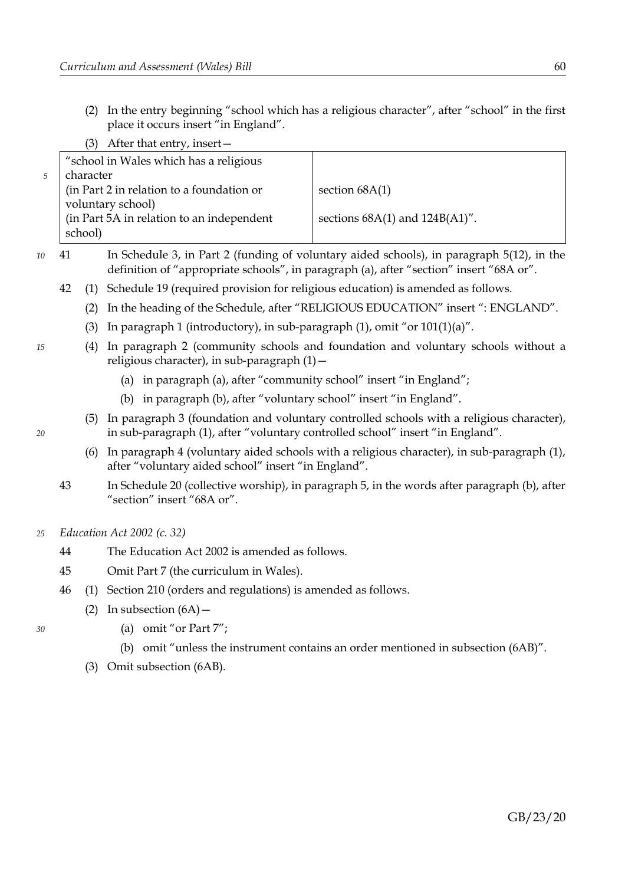(2) In the entry beginning "school which has a religious character", after "school" in the first place it occurs insert "in England".

| After that entry, insert $-$              |                                     |
|-------------------------------------------|-------------------------------------|
| "school in Wales which has a religious    |                                     |
| character                                 |                                     |
| (in Part 2 in relation to a foundation or | section $68A(1)$                    |
| voluntary school)                         |                                     |
| (in Part 5A in relation to an independent | sections $68A(1)$ and $124B(A1)$ ". |
| school)                                   |                                     |
|                                           |                                     |

- 41 In Schedule 3, in Part 2 (funding of voluntary aided schools), in paragraph 5(12), in the definition of "appropriate schools", in paragraph (a), after "section" insert "68A or".
	- 42 (1) Schedule 19 (required provision for religious education) is amended as follows.
		- (2) In the heading of the Schedule, after "RELIGIOUS EDUCATION" insert ": ENGLAND".
		- (3) In paragraph 1 (introductory), in sub-paragraph  $(1)$ , omit "or  $101(1)(a)$ ".
		- (4) In paragraph 2 (community schools and foundation and voluntary schools without a religious character), in sub-paragraph (1)—
			- (a) in paragraph (a), after "community school" insert "in England";
			- (b) in paragraph (b), after "voluntary school" insert "in England".
		- (5) In paragraph 3 (foundation and voluntary controlled schools with a religious character), in sub-paragraph (1), after "voluntary controlled school" insert "in England".
		- (6) In paragraph 4 (voluntary aided schools with a religious character), in sub-paragraph (1), after "voluntary aided school" insert "in England".
	- 43 In Schedule 20 (collective worship), in paragraph 5, in the words after paragraph (b), after "section" insert "68A or".
- *Education Act 2002 (c. 32) 25*
	- 44 The Education Act 2002 is amended as follows.
	- 45 Omit Part 7 (the curriculum in Wales).
	- 46 (1) Section 210 (orders and regulations) is amended as follows.
		- (2) In subsection  $(6A)$ 
			- (a) omit "or Part 7";
			- (b) omit "unless the instrument contains an order mentioned in subsection (6AB)".
		- (3) Omit subsection (6AB).

*20*

*30*

*10*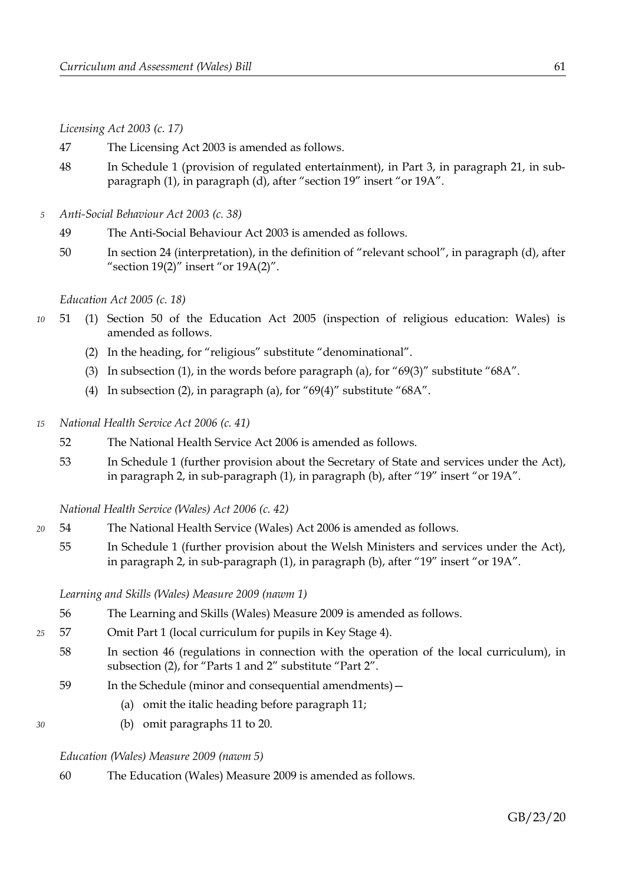*Licensing Act 2003 (c. 17)*

- 47 The Licensing Act 2003 is amended as follows.
- 48 In Schedule 1 (provision of regulated entertainment), in Part 3, in paragraph 21, in subparagraph (1), in paragraph (d), after "section 19" insert "or 19A".
- *Anti-Social Behaviour Act 2003 (c. 38) 5*
	- 49 The Anti-Social Behaviour Act 2003 is amended as follows.
	- 50 In section 24 (interpretation), in the definition of "relevant school", in paragraph (d), after "section  $19(2)$ " insert "or  $19A(2)$ ".

*Education Act 2005 (c. 18)*

- 51 (1) Section 50 of the Education Act 2005 (inspection of religious education: Wales) is amended as follows. *10*
	- (2) In the heading, for "religious" substitute "denominational".
	- (3) In subsection (1), in the words before paragraph (a), for " $69(3)$ " substitute " $68A$ ".
	- (4) In subsection (2), in paragraph (a), for "69(4)" substitute "68A".
- *National Health Service Act 2006 (c. 41) 15*
	- 52 The National Health Service Act 2006 is amended as follows.
	- 53 In Schedule 1 (further provision about the Secretary of State and services under the Act), in paragraph 2, in sub-paragraph (1), in paragraph (b), after "19" insert "or 19A".

*National Health Service (Wales) Act 2006 (c. 42)*

- 54 The National Health Service (Wales) Act 2006 is amended as follows. *20*
	- 55 In Schedule 1 (further provision about the Welsh Ministers and services under the Act), in paragraph 2, in sub-paragraph (1), in paragraph (b), after "19" insert "or 19A".

*Learning and Skills (Wales) Measure 2009 (nawm 1)*

- 56 The Learning and Skills (Wales) Measure 2009 is amended as follows.
- 57 Omit Part 1 (local curriculum for pupils in Key Stage 4). *25*
	- 58 In section 46 (regulations in connection with the operation of the local curriculum), in subsection (2), for "Parts 1 and 2" substitute "Part 2".
		- 59 In the Schedule (minor and consequential amendments)—
			- (a) omit the italic heading before paragraph 11;
			- (b) omit paragraphs 11 to 20.

# *Education (Wales) Measure 2009 (nawm 5)*

*30*

60 The Education (Wales) Measure 2009 is amended as follows.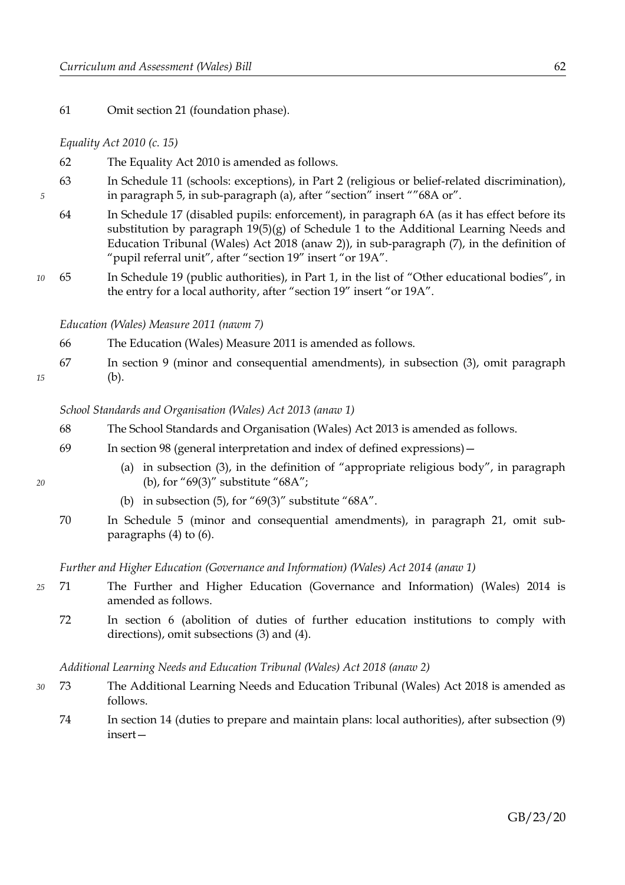61 Omit section 21 (foundation phase).

#### *Equality Act 2010 (c. 15)*

*5*

*15*

*20*

- 62 The Equality Act 2010 is amended as follows.
- 63 In Schedule 11 (schools: exceptions), in Part 2 (religious or belief-related discrimination), in paragraph 5, in sub-paragraph (a), after "section" insert ""68A or".
- 64 In Schedule 17 (disabled pupils: enforcement), in paragraph 6A (as it has effect before its substitution by paragraph 19(5)(g) of Schedule 1 to the Additional Learning Needs and Education Tribunal (Wales) Act 2018 (anaw 2)), in sub-paragraph (7), in the definition of "pupil referral unit", after "section 19" insert "or 19A".
- 65 In Schedule 19 (public authorities), in Part 1, in the list of "Other educational bodies", in the entry for a local authority, after "section 19" insert "or 19A". *10*

*Education (Wales) Measure 2011 (nawm 7)*

- 66 The Education (Wales) Measure 2011 is amended as follows.
- 67 In section 9 (minor and consequential amendments), in subsection (3), omit paragraph (b).

*School Standards and Organisation (Wales) Act 2013 (anaw 1)*

- 68 The School Standards and Organisation (Wales) Act 2013 is amended as follows.
- 69 In section 98 (general interpretation and index of defined expressions)—
	- (a) in subsection (3), in the definition of "appropriate religious body", in paragraph (b), for "69(3)" substitute "68A";
	- (b) in subsection (5), for "69(3)" substitute "68A".
- 70 In Schedule 5 (minor and consequential amendments), in paragraph 21, omit subparagraphs (4) to (6).

*Further and Higher Education (Governance and Information) (Wales) Act 2014 (anaw 1)*

- 71 The Further and Higher Education (Governance and Information) (Wales) 2014 is amended as follows. *25*
	- 72 In section 6 (abolition of duties of further education institutions to comply with directions), omit subsections (3) and (4).

*Additional Learning Needs and Education Tribunal (Wales) Act 2018 (anaw 2)*

- 73 The Additional Learning Needs and Education Tribunal (Wales) Act 2018 is amended as follows. *30*
	- 74 In section 14 (duties to prepare and maintain plans: local authorities), after subsection (9) insert—